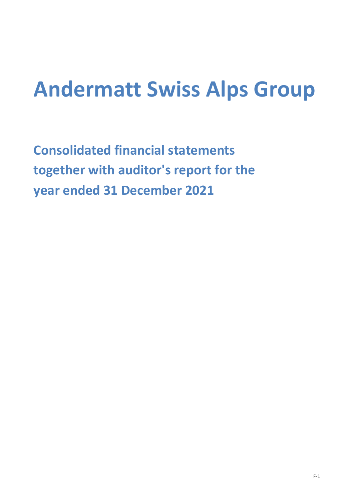## Andermatt Swiss Alps Group

Consolidated financial statements together with auditor's report for the year ended 31 December 2021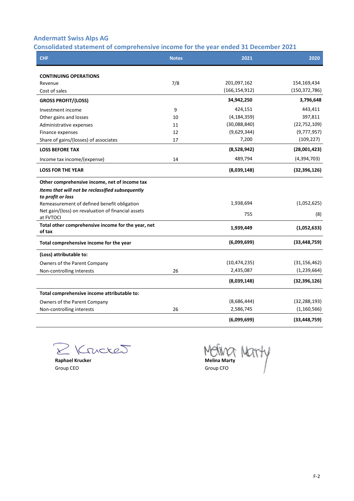## Consolidated statement of comprehensive income for the year ended 31 December 2021

| <b>CHF</b>                                                            | <b>Notes</b> | 2021            | 2020            |
|-----------------------------------------------------------------------|--------------|-----------------|-----------------|
| <b>CONTINUING OPERATIONS</b>                                          |              |                 |                 |
| Revenue                                                               | 7/8          | 201,097,162     | 154,169,434     |
| Cost of sales                                                         |              | (166, 154, 912) | (150, 372, 786) |
| <b>GROSS PROFIT/(LOSS)</b>                                            |              | 34,942,250      | 3,796,648       |
| Investment income                                                     | 9            | 424,151         | 443,411         |
| Other gains and losses                                                | 10           | (4, 184, 359)   | 397,811         |
| Administrative expenses                                               | 11           | (30,088,840)    | (22, 752, 109)  |
| Finance expenses                                                      | 12           | (9,629,344)     | (9,777,957)     |
| Share of gains/(losses) of associates                                 | 17           | 7,200           | (109, 227)      |
| <b>LOSS BEFORE TAX</b>                                                |              | (8,528,942)     | (28,001,423)    |
| Income tax income/(expense)                                           | 14           | 489,794         | (4,394,703)     |
| <b>LOSS FOR THE YEAR</b>                                              |              | (8,039,148)     | (32, 396, 126)  |
| Other comprehensive income, net of income tax                         |              |                 |                 |
| Items that will not be reclassified subsequently<br>to profit or loss |              |                 |                 |
| Remeasurement of defined benefit obligation                           |              | 1,938,694       | (1,052,625)     |
| Net gain/(loss) on revaluation of financial assets                    |              |                 |                 |
| at FVTOCI                                                             |              | 755             | (8)             |
| Total other comprehensive income for the year, net<br>of tax          |              | 1,939,449       | (1,052,633)     |
| Total comprehensive income for the year                               |              | (6,099,699)     | (33, 448, 759)  |
| (Loss) attributable to:                                               |              |                 |                 |
| Owners of the Parent Company                                          |              | (10, 474, 235)  | (31, 156, 462)  |
| Non-controlling interests                                             | 26           | 2,435,087       | (1, 239, 664)   |
|                                                                       |              | (8,039,148)     | (32, 396, 126)  |
| Total comprehensive income attributable to:                           |              |                 |                 |
| Owners of the Parent Company                                          |              | (8,686,444)     | (32, 288, 193)  |
| Non-controlling interests                                             | 26           | 2,586,745       | (1, 160, 566)   |
|                                                                       |              | (6,099,699)     | (33, 448, 759)  |

2 Krucket

Group CEO

Raphael Krucker Melina Marty<br>Group CEO Group CEO Group CFO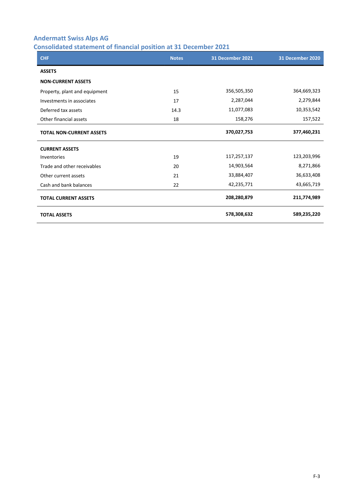## Andermatt Swiss Alps AG Consolidated statement of financial position at 31 December 2021

| <b>CHF</b>                      | <b>Notes</b> | <b>31 December 2021</b> | <b>31 December 2020</b> |
|---------------------------------|--------------|-------------------------|-------------------------|
| <b>ASSETS</b>                   |              |                         |                         |
| <b>NON-CURRENT ASSETS</b>       |              |                         |                         |
| Property, plant and equipment   | 15           | 356,505,350             | 364,669,323             |
| Investments in associates       | 17           | 2,287,044               | 2,279,844               |
| Deferred tax assets             | 14.3         | 11,077,083              | 10,353,542              |
| Other financial assets          | 18           | 158,276                 | 157,522                 |
| <b>TOTAL NON-CURRENT ASSETS</b> |              | 370,027,753             | 377,460,231             |
| <b>CURRENT ASSETS</b>           |              |                         |                         |
| Inventories                     | 19           | 117,257,137             | 123,203,996             |
| Trade and other receivables     | 20           | 14,903,564              | 8,271,866               |
| Other current assets            | 21           | 33,884,407              | 36,633,408              |
| Cash and bank balances          | 22           | 42,235,771              | 43,665,719              |
| <b>TOTAL CURRENT ASSETS</b>     |              | 208,280,879             | 211,774,989             |
| <b>TOTAL ASSETS</b>             |              | 578,308,632             | 589,235,220             |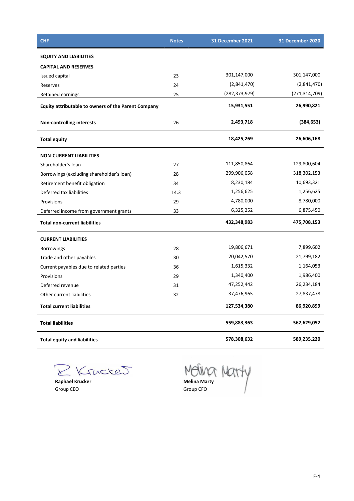| <b>CHF</b>                                          | <b>Notes</b> | <b>31 December 2021</b> | <b>31 December 2020</b> |
|-----------------------------------------------------|--------------|-------------------------|-------------------------|
| <b>EQUITY AND LIABILITIES</b>                       |              |                         |                         |
| <b>CAPITAL AND RESERVES</b>                         |              |                         |                         |
| Issued capital                                      | 23           | 301,147,000             | 301,147,000             |
| Reserves                                            | 24           | (2,841,470)             | (2,841,470)             |
| Retained earnings                                   | 25           | (282, 373, 979)         | (271, 314, 709)         |
| Equity attributable to owners of the Parent Company |              | 15,931,551              | 26,990,821              |
| <b>Non-controlling interests</b>                    | 26           | 2,493,718               | (384, 653)              |
| <b>Total equity</b>                                 |              | 18,425,269              | 26,606,168              |
| <b>NON-CURRENT LIABILITIES</b>                      |              |                         |                         |
| Shareholder's loan                                  | 27           | 111,850,864             | 129,800,604             |
| Borrowings (excluding shareholder's loan)           | 28           | 299,906,058             | 318,302,153             |
| Retirement benefit obligation                       | 34           | 8,230,184               | 10,693,321              |
| Deferred tax liabilities                            | 14.3         | 1,256,625               | 1,256,625               |
| Provisions                                          | 29           | 4,780,000               | 8,780,000               |
| Deferred income from government grants              | 33           | 6,325,252               | 6,875,450               |
| <b>Total non-current liabilities</b>                |              | 432,348,983             | 475,708,153             |
| <b>CURRENT LIABILITIES</b>                          |              |                         |                         |
| <b>Borrowings</b>                                   | 28           | 19,806,671              | 7,899,602               |
| Trade and other payables                            | 30           | 20,042,570              | 21,799,182              |
| Current payables due to related parties             | 36           | 1,615,332               | 1,164,053               |
| Provisions                                          | 29           | 1,340,400               | 1,986,400               |
| Deferred revenue                                    | 31           | 47,252,442              | 26,234,184              |
| Other current liabilities                           | 32           | 37,476,965              | 27,837,478              |
| <b>Total current liabilities</b>                    |              | 127,534,380             | 86,920,899              |
| <b>Total liabilities</b>                            |              | 559,883,363             | 562,629,052             |
| <b>Total equity and liabilities</b>                 |              | 578,308,632             | 589,235,220             |

2 Kruckes

Raphael Krucker Melina Marty<br>Group CEO Group CEO Group CEO Group CFO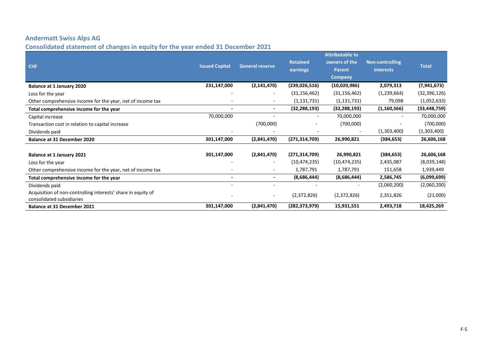Consolidated statement of changes in equity for the year ended 31 December 2021

|                                                              |                          |                          |                 | <b>Attributable to</b> |                  |                |
|--------------------------------------------------------------|--------------------------|--------------------------|-----------------|------------------------|------------------|----------------|
| <b>CHF</b>                                                   | <b>Issued Capital</b>    | <b>General reserve</b>   | <b>Retained</b> | owners of the          | Non-controlling  | <b>Total</b>   |
|                                                              |                          |                          | earnings        | <b>Parent</b>          | <b>interests</b> |                |
|                                                              |                          |                          |                 | <b>Company</b>         |                  |                |
| Balance at 1 January 2020                                    | 231,147,000              | (2, 141, 470)            | (239, 026, 516) | (10,020,986)           | 2,079,313        | (7, 941, 673)  |
| Loss for the year                                            |                          |                          | (31, 156, 462)  | (31, 156, 462)         | (1,239,664)      | (32, 396, 126) |
| Other comprehensive income for the year, net of income tax   | $\overline{\phantom{a}}$ | $\sim$                   | (1, 131, 731)   | (1, 131, 731)          | 79,098           | (1,052,633)    |
| Total comprehensive income for the year                      | $\overline{\phantom{0}}$ | $\overline{\phantom{a}}$ | (32, 288, 193)  | (32, 288, 193)         | (1, 160, 566)    | (33, 448, 759) |
| Capital increase                                             | 70,000,000               |                          |                 | 70,000,000             |                  | 70,000,000     |
| Transaction cost in relation to capital increase             |                          | (700,000)                |                 | (700,000)              |                  | (700,000)      |
| Dividends paid                                               |                          |                          |                 |                        | (1,303,400)      | (1,303,400)    |
| <b>Balance at 31 December 2020</b>                           | 301,147,000              | (2,841,470)              | (271, 314, 709) | 26,990,821             | (384, 653)       | 26,606,168     |
|                                                              |                          |                          |                 |                        |                  |                |
| Balance at 1 January 2021                                    | 301,147,000              | (2,841,470)              | (271, 314, 709) | 26,990,821             | (384, 653)       | 26,606,168     |
| Loss for the year                                            |                          | $\overline{\phantom{a}}$ | (10, 474, 235)  | (10, 474, 235)         | 2,435,087        | (8,039,148)    |
| Other comprehensive income for the year, net of income tax   |                          |                          | 1,787,791       | 1,787,791              | 151,658          | 1,939,449      |
| Total comprehensive income for the year                      | $\overline{\phantom{a}}$ |                          | (8,686,444)     | (8,686,444)            | 2,586,745        | (6,099,699)    |
| Dividends paid                                               |                          |                          |                 |                        | (2,060,200)      | (2,060,200)    |
| Acquisition of non-controlling interests' share in equity of |                          | $\overline{\phantom{a}}$ | (2,372,826)     | (2,372,826)            | 2,351,826        | (21,000)       |
| consolidated subsidiaries                                    |                          |                          |                 |                        |                  |                |
| <b>Balance at 31 December 2021</b>                           | 301,147,000              | (2,841,470)              | (282, 373, 979) | 15,931,551             | 2,493,718        | 18,425,269     |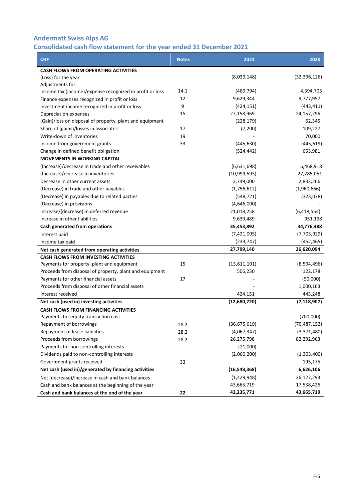## Consolidated cash flow statement for the year ended 31 December 2021

| <b>CHF</b>                                               | <b>Notes</b> | 2021           | 2020           |
|----------------------------------------------------------|--------------|----------------|----------------|
| <b>CASH FLOWS FROM OPERATING ACTIVITIES</b>              |              |                |                |
| (Loss) for the year                                      |              | (8,039,148)    | (32, 396, 126) |
| Adjustments for:                                         |              |                |                |
| Income tax (income)/expense recognized in profit or loss | 14.1         | (489, 794)     | 4,394,703      |
| Finance expenses recognized in profit or loss            | 12           | 9,629,344      | 9,777,957      |
| Investment income recognized in profit or loss           | 9            | (424, 151)     | (443, 411)     |
| Depreciation expenses                                    | 15           | 27,158,969     | 24,157,296     |
| (Gain)/loss on disposal of property, plant and equipment |              | (228, 179)     | 62,345         |
| Share of (gains)/losses in associates                    | 17           | (7, 200)       | 109,227        |
| Write-down of inventories                                | 19           |                | 70,000         |
| Income from government grants                            | 33           | (445, 630)     | (445, 619)     |
| Change in defined benefit obligation                     |              | (524, 442)     | 653,981        |
| <b>MOVEMENTS IN WORKING CAPITAL</b>                      |              |                |                |
| (Increase)/decrease in trade and other receivables       |              | (6,631,698)    | 6,468,918      |
| (Increase)/decrease in inventories                       |              | (10,999,593)   | 27,285,051     |
| Decrease in other current assets                         |              | 2,749,000      | 2,833,266      |
| (Decrease) in trade and other payables                   |              | (1,756,612)    | (1,960,666)    |
| (Decrease) in payables due to related parties            |              | (548, 721)     | (323,078)      |
| (Decrease) in provisions                                 |              | (4,646,000)    |                |
| Increase/(decrease) in deferred revenue                  |              | 21,018,258     | (6,418,554)    |
| Increase in other liabilities                            |              | 9,639,489      | 951,198        |
| Cash generated from operations                           |              | 35,453,892     | 34,776,488     |
| Interest paid                                            |              | (7,421,005)    | (7,703,929)    |
| Income tax paid                                          |              | (233, 747)     | (452, 465)     |
| Net cash generated from operating activities             |              | 27,799,140     | 26,620,094     |
| <b>CASH FLOWS FROM INVESTING ACTIVITIES</b>              |              |                |                |
| Payments for property, plant and equipment               | 15           | (13,611,101)   | (8,594,496)    |
| Proceeds from disposal of property, plant and equipment  |              | 506,230        | 122,178        |
| Payments for other financial assets                      | 17           |                | (90,000)       |
| Proceeds from disposal of other financial assets         |              |                | 1,000,163      |
| Interest received                                        |              | 424,151        | 443,248        |
| Net cash (used in) investing activities                  |              | (12,680,720)   | (7, 118, 907)  |
| <b>CASH FLOWS FROM FINANCING ACTIVITIES</b>              |              |                |                |
| Payments for equity transaction cost                     |              |                | (700,000)      |
| Repayment of borrowings                                  | 28.2         | (36, 675, 619) | (70, 487, 152) |
| Repayment of lease liabilities                           | 28.2         | (4,067,347)    | (3,371,480)    |
| Proceeds from borrowings                                 | 28.2         | 26,275,798     | 82,292,963     |
| Payments for non-controlling interests                   |              | (21,000)       |                |
| Dividends paid to non-controlling interests              |              | (2,060,200)    | (1,303,400)    |
| Government grants received                               | 33           |                | 195,175        |
| Net cash (used in)/generated by financing activities     |              | (16,548,368)   | 6,626,106      |
| Net (decrease)/increase in cash and bank balances        |              | (1,429,948)    | 26,127,293     |
| Cash and bank balances at the beginning of the year      |              | 43,665,719     | 17,538,426     |
| Cash and bank balances at the end of the year            | 22           | 42,235,771     | 43,665,719     |
|                                                          |              |                |                |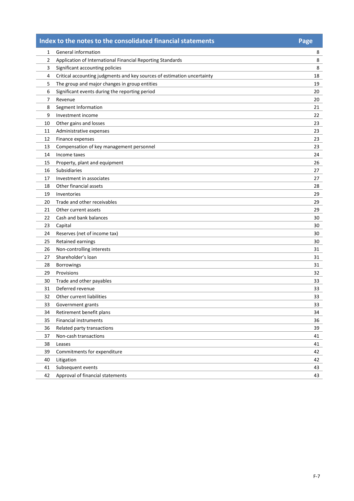|    | Index to the notes to the consolidated financial statements             | Page |
|----|-------------------------------------------------------------------------|------|
| 1  | <b>General information</b>                                              | 8    |
| 2  | Application of International Financial Reporting Standards              | 8    |
| 3  | Significant accounting policies                                         | 8    |
| 4  | Critical accounting judgments and key sources of estimation uncertainty | 18   |
| 5  | The group and major changes in group entities                           | 19   |
| 6  | Significant events during the reporting period                          | 20   |
| 7  | Revenue                                                                 | 20   |
| 8  | Segment Information                                                     | 21   |
| 9  | Investment income                                                       | 22   |
| 10 | Other gains and losses                                                  | 23   |
| 11 | Administrative expenses                                                 | 23   |
| 12 | Finance expenses                                                        | 23   |
| 13 | Compensation of key management personnel                                | 23   |
| 14 | Income taxes                                                            | 24   |
| 15 | Property, plant and equipment                                           | 26   |
| 16 | <b>Subsidiaries</b>                                                     | 27   |
| 17 | Investment in associates                                                | 27   |
| 18 | Other financial assets                                                  | 28   |
| 19 | Inventories                                                             | 29   |
| 20 | Trade and other receivables                                             | 29   |
| 21 | Other current assets                                                    | 29   |
| 22 | Cash and bank balances                                                  | 30   |
| 23 | Capital                                                                 | 30   |
| 24 | Reserves (net of income tax)                                            | 30   |
| 25 | Retained earnings                                                       | 30   |
| 26 | Non-controlling interests                                               | 31   |
| 27 | Shareholder's loan                                                      | 31   |
| 28 | Borrowings                                                              | 31   |
| 29 | Provisions                                                              | 32   |
| 30 | Trade and other payables                                                | 33   |
| 31 | Deferred revenue                                                        | 33   |
| 32 | Other current liabilities                                               | 33   |
| 33 | Government grants                                                       | 33   |
| 34 | Retirement benefit plans                                                | 34   |
| 35 | <b>Financial instruments</b>                                            | 36   |
| 36 | Related party transactions                                              | 39   |
| 37 | Non-cash transactions                                                   | 41   |
| 38 | Leases                                                                  | 41   |
| 39 | Commitments for expenditure                                             | 42   |
| 40 | Litigation                                                              | 42   |
| 41 | Subsequent events                                                       | 43   |
| 42 | Approval of financial statements                                        | 43   |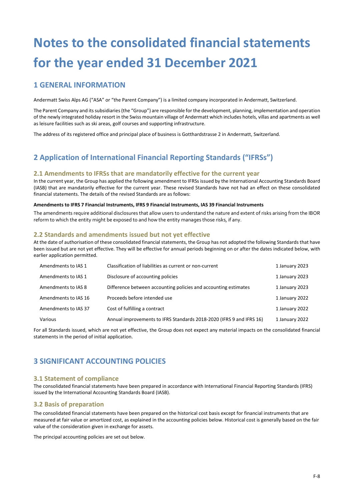## Notes to the consolidated financial statements for the year ended 31 December 2021

## 1 GENERAL INFORMATION

Andermatt Swiss Alps AG ("ASA" or "the Parent Company") is a limited company incorporated in Andermatt, Switzerland.

The Parent Company and its subsidiaries (the "Group") are responsible for the development, planning, implementation and operation of the newly integrated holiday resort in the Swiss mountain village of Andermatt which includes hotels, villas and apartments as well as leisure facilities such as ski areas, golf courses and supporting infrastructure.

The address of its registered office and principal place of business is Gotthardstrasse 2 in Andermatt, Switzerland.

## 2 Application of International Financial Reporting Standards ("IFRSs")

## 2.1 Amendments to IFRSs that are mandatorily effective for the current year

In the current year, the Group has applied the following amendment to IFRSs issued by the International Accounting Standards Board (IASB) that are mandatorily effective for the current year. These revised Standards have not had an effect on these consolidated financial statements. The details of the revised Standards are as follows:

#### Amendments to IFRS 7 Financial Instruments, IFRS 9 Financial Instruments, IAS 39 Financial Instruments

The amendments require additional disclosures that allow users to understand the nature and extent of risks arising from the IBOR reform to which the entity might be exposed to and how the entity manages those risks, if any.

## 2.2 Standards and amendments issued but not yet effective

At the date of authorisation of these consolidated financial statements, the Group has not adopted the following Standards that have been issued but are not yet effective. They will be effective for annual periods beginning on or after the dates indicated below, with earlier application permitted.

| Amendments to IAS 1  | Classification of liabilities as current or non-current              | 1 January 2023 |
|----------------------|----------------------------------------------------------------------|----------------|
| Amendments to IAS 1  | Disclosure of accounting policies                                    | 1 January 2023 |
| Amendments to IAS 8  | Difference between accounting policies and accounting estimates      | 1 January 2023 |
| Amendments to IAS 16 | Proceeds before intended use                                         | 1 January 2022 |
| Amendments to IAS 37 | Cost of fulfilling a contract                                        | 1 January 2022 |
| Various              | Annual improvements to IFRS Standards 2018-2020 (IFRS 9 and IFRS 16) | 1 January 2022 |

For all Standards issued, which are not yet effective, the Group does not expect any material impacts on the consolidated financial statements in the period of initial application.

## 3 SIGNIFICANT ACCOUNTING POLICIES

## 3.1 Statement of compliance

The consolidated financial statements have been prepared in accordance with International Financial Reporting Standards (IFRS) issued by the International Accounting Standards Board (IASB).

## 3.2 Basis of preparation

The consolidated financial statements have been prepared on the historical cost basis except for financial instruments that are measured at fair value or amortized cost, as explained in the accounting policies below. Historical cost is generally based on the fair value of the consideration given in exchange for assets.

The principal accounting policies are set out below.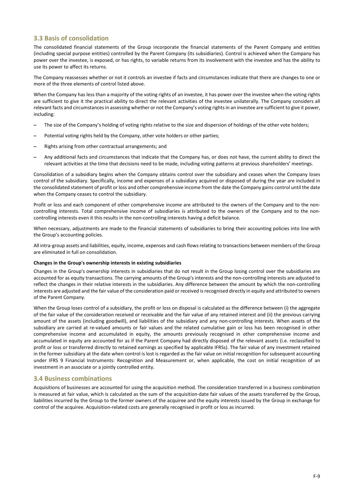## 3.3 Basis of consolidation

The consolidated financial statements of the Group incorporate the financial statements of the Parent Company and entities (including special purpose entities) controlled by the Parent Company (its subsidiaries). Control is achieved when the Company has power over the investee, is exposed, or has rights, to variable returns from its involvement with the investee and has the ability to use its power to affect its returns.

The Company reassesses whether or not it controls an investee if facts and circumstances indicate that there are changes to one or more of the three elements of control listed above.

When the Company has less than a majority of the voting rights of an investee, it has power over the investee when the voting rights are sufficient to give it the practical ability to direct the relevant activities of the investee unilaterally. The Company considers all relevant facts and circumstances in assessing whether or not the Company's voting rights in an investee are sufficient to give it power, including:

- The size of the Company's holding of voting rights relative to the size and dispersion of holdings of the other vote holders;
- Potential voting rights held by the Company, other vote holders or other parties;
- Rights arising from other contractual arrangements; and
- Any additional facts and circumstances that indicate that the Company has, or does not have, the current ability to direct the relevant activities at the time that decisions need to be made, including voting patterns at previous shareholders' meetings.

Consolidation of a subsidiary begins when the Company obtains control over the subsidiary and ceases when the Company loses control of the subsidiary. Specifically, income and expenses of a subsidiary acquired or disposed of during the year are included in the consolidated statement of profit or loss and other comprehensive income from the date the Company gains control until the date when the Company ceases to control the subsidiary.

Profit or loss and each component of other comprehensive income are attributed to the owners of the Company and to the noncontrolling interests. Total comprehensive income of subsidiaries is attributed to the owners of the Company and to the noncontrolling interests even it this results in the non-controlling interests having a deficit balance.

When necessary, adjustments are made to the financial statements of subsidiaries to bring their accounting policies into line with the Group's accounting policies.

All intra-group assets and liabilities, equity, income, expenses and cash flows relating to transactions between members of the Group are eliminated in full on consolidation.

#### Changes in the Group's ownership interests in existing subsidiaries

Changes in the Group's ownership interests in subsidiaries that do not result in the Group losing control over the subsidiaries are accounted for as equity transactions. The carrying amounts of the Group's interests and the non-controlling interests are adjusted to reflect the changes in their relative interests in the subsidiaries. Any difference between the amount by which the non-controlling interests are adjusted and the fair value of the consideration paid or received is recognised directly in equity and attributed to owners of the Parent Company.

When the Group loses control of a subsidiary, the profit or loss on disposal is calculated as the difference between (i) the aggregate of the fair value of the consideration received or receivable and the fair value of any retained interest and (ii) the previous carrying amount of the assets (including goodwill), and liabilities of the subsidiary and any non-controlling interests. When assets of the subsidiary are carried at re-valued amounts or fair values and the related cumulative gain or loss has been recognised in other comprehensive income and accumulated in equity, the amounts previously recognised in other comprehensive income and accumulated in equity are accounted for as if the Parent Company had directly disposed of the relevant assets (i.e. reclassified to profit or loss or transferred directly to retained earnings as specified by applicable IFRSs). The fair value of any investment retained in the former subsidiary at the date when control is lost is regarded as the fair value on initial recognition for subsequent accounting under IFRS 9 Financial Instruments: Recognition and Measurement or, when applicable, the cost on initial recognition of an investment in an associate or a jointly controlled entity.

#### 3.4 Business combinations

Acquisitions of businesses are accounted for using the acquisition method. The consideration transferred in a business combination is measured at fair value, which is calculated as the sum of the acquisition-date fair values of the assets transferred by the Group, liabilities incurred by the Group to the former owners of the acquiree and the equity interests issued by the Group in exchange for control of the acquiree. Acquisition-related costs are generally recognised in profit or loss as incurred.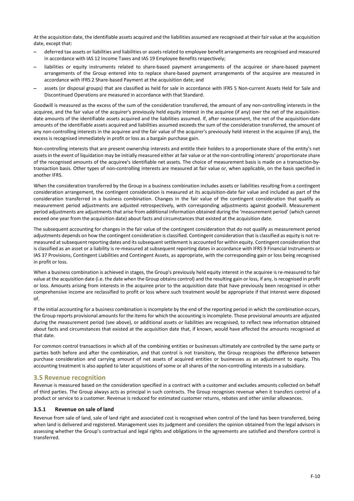At the acquisition date, the identifiable assets acquired and the liabilities assumed are recognised at their fair value at the acquisition date, except that:

- deferred tax assets or liabilities and liabilities or assets related to employee benefit arrangements are recognised and measured in accordance with IAS 12 Income Taxes and IAS 19 Employee Benefits respectively;
- liabilities or equity instruments related to share-based payment arrangements of the acquiree or share-based payment arrangements of the Group entered into to replace share-based payment arrangements of the acquiree are measured in accordance with IFRS 2 Share-based Payment at the acquisition date; and
- assets (or disposal groups) that are classified as held for sale in accordance with IFRS 5 Non-current Assets Held for Sale and Discontinued Operations are measured in accordance with that Standard.

Goodwill is measured as the excess of the sum of the consideration transferred, the amount of any non-controlling interests in the acquiree, and the fair value of the acquirer's previously held equity interest in the acquiree (if any) over the net of the acquisitiondate amounts of the identifiable assets acquired and the liabilities assumed. If, after reassessment, the net of the acquisition-date amounts of the identifiable assets acquired and liabilities assumed exceeds the sum of the consideration transferred, the amount of any non-controlling interests in the acquiree and the fair value of the acquirer's previously held interest in the acquiree (if any), the excess is recognised immediately in profit or loss as a bargain purchase gain.

Non-controlling interests that are present ownership interests and entitle their holders to a proportionate share of the entity's net assets in the event of liquidation may be initially measured either at fair value or at the non-controlling interests' proportionate share of the recognised amounts of the acquiree's identifiable net assets. The choice of measurement basis is made on a transaction-bytransaction basis. Other types of non-controlling interests are measured at fair value or, when applicable, on the basis specified in another IFRS.

When the consideration transferred by the Group in a business combination includes assets or liabilities resulting from a contingent consideration arrangement, the contingent consideration is measured at its acquisition-date fair value and included as part of the consideration transferred in a business combination. Changes in the fair value of the contingent consideration that qualify as measurement period adjustments are adjusted retrospectively, with corresponding adjustments against goodwill. Measurement period adjustments are adjustments that arise from additional information obtained during the 'measurement period' (which cannot exceed one year from the acquisition date) about facts and circumstances that existed at the acquisition date.

The subsequent accounting for changes in the fair value of the contingent consideration that do not qualify as measurement period adjustments depends on how the contingent consideration is classified. Contingent consideration that is classified as equity is not remeasured at subsequent reporting dates and its subsequent settlement is accounted for within equity. Contingent consideration that is classified as an asset or a liability is re-measured at subsequent reporting dates in accordance with IFRS 9 Financial Instruments or IAS 37 Provisions, Contingent Liabilities and Contingent Assets, as appropriate, with the corresponding gain or loss being recognised in profit or loss.

When a business combination is achieved in stages, the Group's previously held equity interest in the acquiree is re-measured to fair value at the acquisition date (i.e. the date when the Group obtains control) and the resulting gain or loss, if any, is recognised in profit or loss. Amounts arising from interests in the acquiree prior to the acquisition date that have previously been recognised in other comprehensive income are reclassified to profit or loss where such treatment would be appropriate if that interest were disposed of.

If the initial accounting for a business combination is incomplete by the end of the reporting period in which the combination occurs, the Group reports provisional amounts for the items for which the accounting is incomplete. Those provisional amounts are adjusted during the measurement period (see above), or additional assets or liabilities are recognised, to reflect new information obtained about facts and circumstances that existed at the acquisition date that, if known, would have affected the amounts recognised at that date.

For common control transactions in which all of the combining entities or businesses ultimately are controlled by the same party or parties both before and after the combination, and that control is not transitory, the Group recognises the difference between purchase consideration and carrying amount of net assets of acquired entities or businesses as an adjustment to equity. This accounting treatment is also applied to later acquisitions of some or all shares of the non-controlling interests in a subsidiary.

## 3.5 Revenue recognition

Revenue is measured based on the consideration specified in a contract with a customer and excludes amounts collected on behalf of third parties. The Group always acts as principal in such contracts. The Group recognises revenue when it transfers control of a product or service to a customer. Revenue is reduced for estimated customer returns, rebates and other similar allowances.

#### 3.5.1 Revenue on sale of land

Revenue from sale of land, sale of land right and associated cost is recognised when control of the land has been transferred, being when land is delivered and registered. Management uses its judgment and considers the opinion obtained from the legal advisors in assessing whether the Group's contractual and legal rights and obligations in the agreements are satisfied and therefore control is transferred.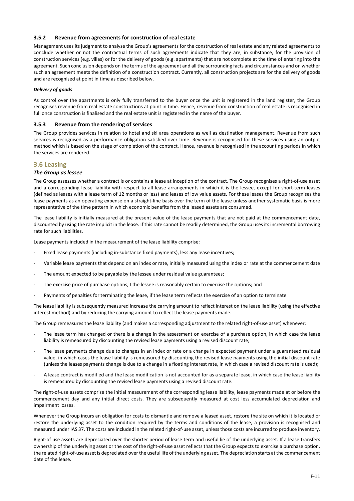#### 3.5.2 Revenue from agreements for construction of real estate

Management uses its judgment to analyse the Group's agreements for the construction of real estate and any related agreements to conclude whether or not the contractual terms of such agreements indicate that they are, in substance, for the provision of construction services (e.g. villas) or for the delivery of goods (e.g. apartments) that are not complete at the time of entering into the agreement. Such conclusion depends on the terms of the agreement and all the surrounding facts and circumstances and on whether such an agreement meets the definition of a construction contract. Currently, all construction projects are for the delivery of goods and are recognised at point in time as described below.

#### Delivery of goods

As control over the apartments is only fully transferred to the buyer once the unit is registered in the land register, the Group recognises revenue from real estate constructions at point in time. Hence, revenue from construction of real estate is recognised in full once construction is finalised and the real estate unit is registered in the name of the buyer.

#### 3.5.3 Revenue from the rendering of services

The Group provides services in relation to hotel and ski area operations as well as destination management. Revenue from such services is recognised as a performance obligation satisfied over time. Revenue is recognised for these services using an output method which is based on the stage of completion of the contract. Hence, revenue is recognised in the accounting periods in which the services are rendered.

## 3.6 Leasing

#### The Group as lessee

The Group assesses whether a contract is or contains a lease at inception of the contract. The Group recognises a right-of-use asset and a corresponding lease liability with respect to all lease arrangements in which it is the lessee, except for short-term leases (defined as leases with a lease term of 12 months or less) and leases of low value assets. For these leases the Group recognises the lease payments as an operating expense on a straight-line basis over the term of the lease unless another systematic basis is more representative of the time pattern in which economic benefits from the leased assets are consumed.

The lease liability is initially measured at the present value of the lease payments that are not paid at the commencement date, discounted by using the rate implicit in the lease. If this rate cannot be readily determined, the Group uses its incremental borrowing rate for such liabilities.

Lease payments included in the measurement of the lease liability comprise:

- Fixed lease payments (including in-substance fixed payments), less any lease incentives;
- Variable lease payments that depend on an index or rate, initially measured using the index or rate at the commencement date
- The amount expected to be payable by the lessee under residual value guarantees;
- The exercise price of purchase options, I the lessee is reasonably certain to exercise the options; and
- Payments of penalties for terminating the lease, if the lease term reflects the exercise of an option to terminate

The lease liability is subsequently measured increase the carrying amount to reflect interest on the lease liability (using the effective interest method) and by reducing the carrying amount to reflect the lease payments made.

The Group remeasures the lease liability (and makes a corresponding adjustment to the related right-of-use asset) whenever:

- The lease term has changed or there is a change in the assessment on exercise of a purchase option, in which case the lease liability is remeasured by discounting the revised lease payments using a revised discount rate;
- The lease payments change due to changes in an index or rate or a change in expected payment under a guaranteed residual value, in which cases the lease liability is remeasured by discounting the revised lease payments using the initial discount rate (unless the leases payments change is due to a change in a floating interest rate, in which case a revised discount rate is used);
- A lease contract is modified and the lease modification is not accounted for as a separate lease, in which case the lease liability is remeasured by discounting the revised lease payments using a revised discount rate.

The right-of-use assets comprise the initial measurement of the corresponding lease liability, lease payments made at or before the commencement day and any initial direct costs. They are subsequently measured at cost less accumulated depreciation and impairment losses.

Whenever the Group incurs an obligation for costs to dismantle and remove a leased asset, restore the site on which it is located or restore the underlying asset to the condition required by the terms and conditions of the lease, a provision is recognised and measured under IAS 37. The costs are included in the related right-of-use asset, unless those costs are incurred to produce inventory.

Right-of use assets are depreciated over the shorter period of lease term and useful lie of the underlying asset. If a lease transfers ownership of the underlying asset or the cost of the right-of-use asset reflects that the Group expects to exercise a purchase option, the related right-of-use asset is depreciated over the useful life of the underlying asset. The depreciation starts at the commencement date of the lease.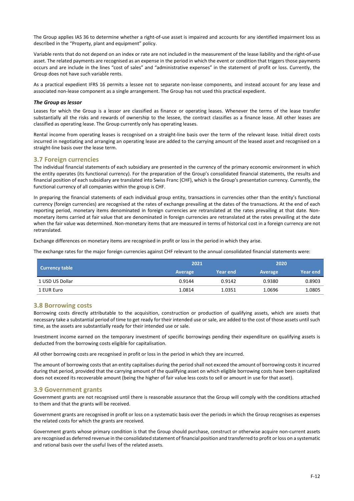The Group applies IAS 36 to determine whether a right-of-use asset is impaired and accounts for any identified impairment loss as described in the "Property, plant and equipment" policy.

Variable rents that do not depend on an index or rate are not included in the measurement of the lease liability and the right-of-use asset. The related payments are recognised as an expense in the period in which the event or condition that triggers those payments occurs and are include in the lines "cost of sales" and "administrative expenses" in the statement of profit or loss. Currently, the Group does not have such variable rents.

As a practical expedient IFRS 16 permits a lessee not to separate non-lease components, and instead account for any lease and associated non-lease component as a single arrangement. The Group has not used this practical expedient.

#### The Group as lessor

Leases for which the Group is a lessor are classified as finance or operating leases. Whenever the terms of the lease transfer substantially all the risks and rewards of ownership to the lessee, the contract classifies as a finance lease. All other leases are classified as operating lease. The Group currently only has operating leases.

Rental income from operating leases is recognised on a straight-line basis over the term of the relevant lease. Initial direct costs incurred in negotiating and arranging an operating lease are added to the carrying amount of the leased asset and recognised on a straight-line basis over the lease term.

#### 3.7 Foreign currencies

The individual financial statements of each subsidiary are presented in the currency of the primary economic environment in which the entity operates (its functional currency). For the preparation of the Group's consolidated financial statements, the results and financial position of each subsidiary are translated into Swiss Franc (CHF), which is the Group's presentation currency. Currently, the functional currency of all companies within the group is CHF.

In preparing the financial statements of each individual group entity, transactions in currencies other than the entity's functional currency (foreign currencies) are recognised at the rates of exchange prevailing at the dates of the transactions. At the end of each reporting period, monetary items denominated in foreign currencies are retranslated at the rates prevailing at that date. Nonmonetary items carried at fair value that are denominated in foreign currencies are retranslated at the rates prevailing at the date when the fair value was determined. Non-monetary items that are measured in terms of historical cost in a foreign currency are not retranslated.

Exchange differences on monetary items are recognised in profit or loss in the period in which they arise.

The exchange rates for the major foreign currencies against CHF relevant to the annual consolidated financial statements were:

|                 | 2021    | 2020     |         |           |
|-----------------|---------|----------|---------|-----------|
| Currency table  | Average | Year end | Average | 'Year end |
| 1 USD US Dollar | 0.9144  | 0.9142   | 0.9380  | 0.8903    |
| 1 EUR Euro      | 1.0814  | 1.0351   | 1.0696  | 1.0805    |

#### 3.8 Borrowing costs

Borrowing costs directly attributable to the acquisition, construction or production of qualifying assets, which are assets that necessary take a substantial period of time to get ready for their intended use or sale, are added to the cost of those assets until such time, as the assets are substantially ready for their intended use or sale.

Investment income earned on the temporary investment of specific borrowings pending their expenditure on qualifying assets is deducted from the borrowing costs eligible for capitalisation.

All other borrowing costs are recognised in profit or loss in the period in which they are incurred.

The amount of borrowing costs that an entity capitalises during the period shall not exceed the amount of borrowing costs it incurred during that period, provided that the carrying amount of the qualifying asset on which eligible borrowing costs have been capitalized does not exceed its recoverable amount (being the higher of fair value less costs to sell or amount in use for that asset).

#### 3.9 Government grants

Government grants are not recognised until there is reasonable assurance that the Group will comply with the conditions attached to them and that the grants will be received.

Government grants are recognised in profit or loss on a systematic basis over the periods in which the Group recognises as expenses the related costs for which the grants are received.

Government grants whose primary condition is that the Group should purchase, construct or otherwise acquire non-current assets are recognised as deferred revenue in the consolidated statement of financial position and transferred to profit or loss on a systematic and rational basis over the useful lives of the related assets.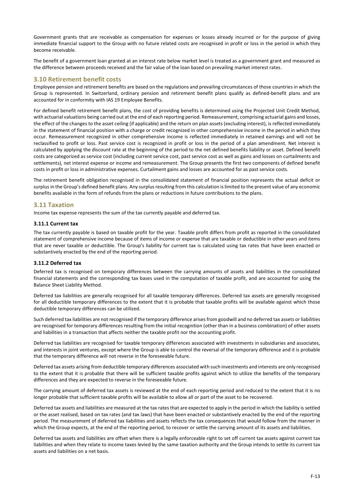Government grants that are receivable as compensation for expenses or losses already incurred or for the purpose of giving immediate financial support to the Group with no future related costs are recognised in profit or loss in the period in which they become receivable.

The benefit of a government loan granted at an interest rate below market level is treated as a government grant and measured as the difference between proceeds received and the fair value of the loan based on prevailing market interest rates.

## 3.10 Retirement benefit costs

Employee pension and retirement benefits are based on the regulations and prevailing circumstances of those countries in which the Group is represented. In Switzerland, ordinary pension and retirement benefit plans qualify as defined-benefit plans and are accounted for in conformity with IAS 19 Employee Benefits.

For defined benefit retirement benefit plans, the cost of providing benefits is determined using the Projected Unit Credit Method, with actuarial valuations being carried out at the end of each reporting period. Remeasurement, comprising actuarial gains and losses, the effect of the changes to the asset ceiling (if applicable) and the return on plan assets (excluding interest), is reflected immediately in the statement of financial position with a charge or credit recognized in other comprehensive income in the period in which they occur. Remeasurement recognized in other comprehensive income is reflected immediately in retained earnings and will not be reclassified to profit or loss. Past service cost is recognized in profit or loss in the period of a plan amendment. Net interest is calculated by applying the discount rate at the beginning of the period to the net defined benefits liability or asset. Defined benefit costs are categorized as service cost (including current service cost, past service cost as well as gains and losses on curtailments and settlements), net interest expense or income and remeasurement. The Group presents the first two components of defined benefit costs in profit or loss in administrative expenses. Curtailment gains and losses are accounted for as past service costs.

The retirement benefit obligation recognised in the consolidated statement of financial position represents the actual deficit or surplus in the Group's defined benefit plans. Any surplus resulting from this calculation is limited to the present value of any economic benefits available in the form of refunds from the plans or reductions in future contributions to the plans.

## 3.11 Taxation

Income tax expense represents the sum of the tax currently payable and deferred tax.

#### 3.11.1 Current tax

The tax currently payable is based on taxable profit for the year. Taxable profit differs from profit as reported in the consolidated statement of comprehensive income because of items of income or expense that are taxable or deductible in other years and items that are never taxable or deductible. The Group's liability for current tax is calculated using tax rates that have been enacted or substantively enacted by the end of the reporting period.

#### 3.11.2 Deferred tax

Deferred tax is recognised on temporary differences between the carrying amounts of assets and liabilities in the consolidated financial statements and the corresponding tax bases used in the computation of taxable profit, and are accounted for using the Balance Sheet Liability Method.

Deferred tax liabilities are generally recognised for all taxable temporary differences. Deferred tax assets are generally recognised for all deductible temporary differences to the extent that it is probable that taxable profits will be available against which those deductible temporary differences can be utilized.

Such deferred tax liabilities are not recognised if the temporary difference arises from goodwill and no deferred tax assets or liabilities are recognised for temporary differences resulting from the initial recognition (other than in a business combination) of other assets and liabilities in a transaction that affects neither the taxable profit nor the accounting profit.

Deferred tax liabilities are recognised for taxable temporary differences associated with investments in subsidiaries and associates, and interests in joint ventures, except where the Group is able to control the reversal of the temporary difference and it is probable that the temporary difference will not reverse in the foreseeable future.

Deferred tax assets arising from deductible temporary differences associated with such investments and interests are only recognised to the extent that it is probable that there will be sufficient taxable profits against which to utilize the benefits of the temporary differences and they are expected to reverse in the foreseeable future.

The carrying amount of deferred tax assets is reviewed at the end of each reporting period and reduced to the extent that it is no longer probable that sufficient taxable profits will be available to allow all or part of the asset to be recovered.

Deferred tax assets and liabilities are measured at the tax rates that are expected to apply in the period in which the liability is settled or the asset realised, based on tax rates (and tax laws) that have been enacted or substantively enacted by the end of the reporting period. The measurement of deferred tax liabilities and assets reflects the tax consequences that would follow from the manner in which the Group expects, at the end of the reporting period, to recover or settle the carrying amount of its assets and liabilities.

Deferred tax assets and liabilities are offset when there is a legally enforceable right to set off current tax assets against current tax liabilities and when they relate to income taxes levied by the same taxation authority and the Group intends to settle its current tax assets and liabilities on a net basis.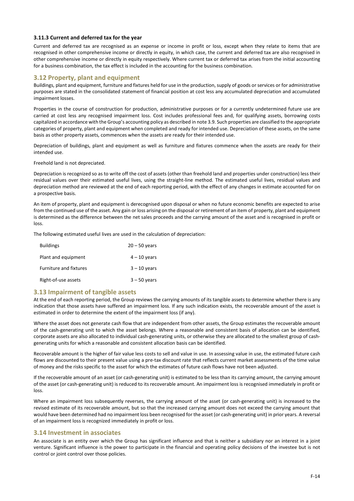#### 3.11.3 Current and deferred tax for the year

Current and deferred tax are recognised as an expense or income in profit or loss, except when they relate to items that are recognised in other comprehensive income or directly in equity, in which case, the current and deferred tax are also recognised in other comprehensive income or directly in equity respectively. Where current tax or deferred tax arises from the initial accounting for a business combination, the tax effect is included in the accounting for the business combination.

## 3.12 Property, plant and equipment

Buildings, plant and equipment, furniture and fixtures held for use in the production, supply of goods or services or for administrative purposes are stated in the consolidated statement of financial position at cost less any accumulated depreciation and accumulated impairment losses.

Properties in the course of construction for production, administrative purposes or for a currently undetermined future use are carried at cost less any recognised impairment loss. Cost includes professional fees and, for qualifying assets, borrowing costs capitalized in accordance with the Group's accounting policy as described in note 3.9. Such properties are classified to the appropriate categories of property, plant and equipment when completed and ready for intended use. Depreciation of these assets, on the same basis as other property assets, commences when the assets are ready for their intended use.

Depreciation of buildings, plant and equipment as well as furniture and fixtures commence when the assets are ready for their intended use.

Freehold land is not depreciated.

Depreciation is recognized so as to write off the cost of assets (other than freehold land and properties under construction) less their residual values over their estimated useful lives, using the straight-line method. The estimated useful lives, residual values and depreciation method are reviewed at the end of each reporting period, with the effect of any changes in estimate accounted for on a prospective basis.

An item of property, plant and equipment is derecognised upon disposal or when no future economic benefits are expected to arise from the continued use of the asset. Any gain or loss arising on the disposal or retirement of an item of property, plant and equipment is determined as the difference between the net sales proceeds and the carrying amount of the asset and is recognised in profit or loss.

The following estimated useful lives are used in the calculation of depreciation:

| <b>Buildings</b>              | $20 - 50$ years |
|-------------------------------|-----------------|
| Plant and equipment           | $4 - 10$ years  |
| <b>Furniture and fixtures</b> | $3 - 10$ years  |
| Right-of-use assets           | $3 - 50$ years  |

### 3.13 Impairment of tangible assets

At the end of each reporting period, the Group reviews the carrying amounts of its tangible assets to determine whether there is any indication that those assets have suffered an impairment loss. If any such indication exists, the recoverable amount of the asset is estimated in order to determine the extent of the impairment loss (if any).

Where the asset does not generate cash flow that are independent from other assets, the Group estimates the recoverable amount of the cash-generating unit to which the asset belongs. Where a reasonable and consistent basis of allocation can be identified, corporate assets are also allocated to individual cash-generating units, or otherwise they are allocated to the smallest group of cashgenerating units for which a reasonable and consistent allocation basis can be identified.

Recoverable amount is the higher of fair value less costs to sell and value in use. In assessing value in use, the estimated future cash flows are discounted to their present value using a pre-tax discount rate that reflects current market assessments of the time value of money and the risks specific to the asset for which the estimates of future cash flows have not been adjusted.

If the recoverable amount of an asset (or cash-generating unit) is estimated to be less than its carrying amount, the carrying amount of the asset (or cash-generating unit) is reduced to its recoverable amount. An impairment loss is recognised immediately in profit or loss.

Where an impairment loss subsequently reverses, the carrying amount of the asset (or cash-generating unit) is increased to the revised estimate of its recoverable amount, but so that the increased carrying amount does not exceed the carrying amount that would have been determined had no impairment loss been recognised for the asset (or cash-generating unit) in prior years. A reversal of an impairment loss is recognized immediately in profit or loss.

## 3.14 Investment in associates

An associate is an entity over which the Group has significant influence and that is neither a subsidiary nor an interest in a joint venture. Significant influence is the power to participate in the financial and operating policy decisions of the investee but is not control or joint control over those policies.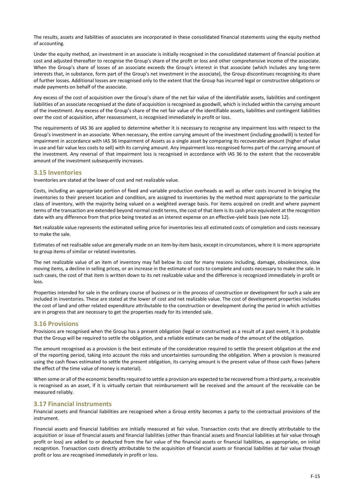The results, assets and liabilities of associates are incorporated in these consolidated financial statements using the equity method of accounting.

Under the equity method, an investment in an associate is initially recognised in the consolidated statement of financial position at cost and adjusted thereafter to recognise the Group's share of the profit or loss and other comprehensive income of the associate. When the Group's share of losses of an associate exceeds the Group's interest in that associate (which includes any long-term interests that, in substance, form part of the Group's net investment in the associate), the Group discontinues recognising its share of further losses. Additional losses are recognised only to the extent that the Group has incurred legal or constructive obligations or made payments on behalf of the associate.

Any excess of the cost of acquisition over the Group's share of the net fair value of the identifiable assets, liabilities and contingent liabilities of an associate recognised at the date of acquisition is recognised as goodwill, which is included within the carrying amount of the investment. Any excess of the Group's share of the net fair value of the identifiable assets, liabilities and contingent liabilities over the cost of acquisition, after reassessment, is recognised immediately in profit or loss.

The requirements of IAS 36 are applied to determine whether it is necessary to recognise any impairment loss with respect to the Group's investment in an associate. When necessary, the entire carrying amount of the investment (including goodwill) is tested for impairment in accordance with IAS 36 Impairment of Assets as a single asset by comparing its recoverable amount (higher of value in use and fair value less costs to sell) with its carrying amount. Any impairment loss recognised forms part of the carrying amount of the investment. Any reversal of that impairment loss is recognised in accordance with IAS 36 to the extent that the recoverable amount of the investment subsequently increases.

## 3.15 Inventories

Inventories are stated at the lower of cost and net realizable value.

Costs, including an appropriate portion of fixed and variable production overheads as well as other costs incurred in bringing the inventories to their present location and condition, are assigned to inventories by the method most appropriate to the particular class of inventory, with the majority being valued on a weighted average basis. For items acquired on credit and where payment terms of the transaction are extended beyond normal credit terms, the cost of that item is its cash price equivalent at the recognition date with any difference from that price being treated as an interest expense on an effective-yield basis (see note 12).

Net realizable value represents the estimated selling price for inventories less all estimated costs of completion and costs necessary to make the sale.

Estimates of net realisable value are generally made on an item-by-item basis, except in circumstances, where it is more appropriate to group items of similar or related inventories.

The net realizable value of an item of inventory may fall below its cost for many reasons including, damage, obsolescence, slow moving items, a decline in selling prices, or an increase in the estimate of costs to complete and costs necessary to make the sale. In such cases, the cost of that item is written down to its net realizable value and the difference is recognized immediately in profit or loss.

Properties intended for sale in the ordinary course of business or in the process of construction or development for such a sale are included in inventories. These are stated at the lower of cost and net realizable value. The cost of development properties includes the cost of land and other related expenditure attributable to the construction or development during the period in which activities are in progress that are necessary to get the properties ready for its intended sale.

## 3.16 Provisions

Provisions are recognised when the Group has a present obligation (legal or constructive) as a result of a past event, it is probable that the Group will be required to settle the obligation, and a reliable estimate can be made of the amount of the obligation.

The amount recognised as a provision is the best estimate of the consideration required to settle the present obligation at the end of the reporting period, taking into account the risks and uncertainties surrounding the obligation. When a provision is measured using the cash flows estimated to settle the present obligation, its carrying amount is the present value of those cash flows (where the effect of the time value of money is material).

When some or all of the economic benefits required to settle a provision are expected to be recovered from a third party, a receivable is recognised as an asset, if it is virtually certain that reimbursement will be received and the amount of the receivable can be measured reliably.

## 3.17 Financial instruments

Financial assets and financial liabilities are recognised when a Group entity becomes a party to the contractual provisions of the instrument.

Financial assets and financial liabilities are initially measured at fair value. Transaction costs that are directly attributable to the acquisition or issue of financial assets and financial liabilities (other than financial assets and financial liabilities at fair value through profit or loss) are added to or deducted from the fair value of the financial assets or financial liabilities, as appropriate, on initial recognition. Transaction costs directly attributable to the acquisition of financial assets or financial liabilities at fair value through profit or loss are recognised immediately in profit or loss.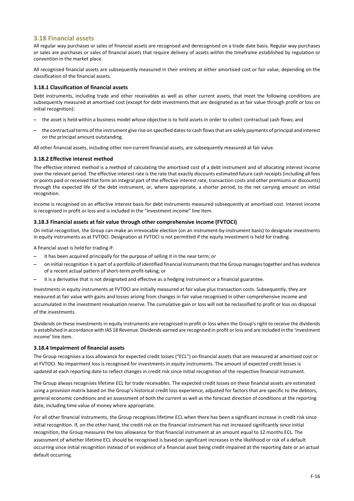## 3.18 Financial assets

All regular way purchases or sales of financial assets are recognised and derecognised on a trade date basis. Regular way purchases or sales are purchases or sales of financial assets that require delivery of assets within the timeframe established by regulation or convention in the market place.

All recognised financial assets are subsequently measured in their entirety at either amortised cost or fair value, depending on the classification of the financial assets.

## 3.18.1 Classification of financial assets

Debt instruments, including trade and other receivables as well as other current assets, that meet the following conditions are subsequently measured at amortised cost (except for debt investments that are designated as at fair value through profit or loss on initial recognition):

- the asset is held within a business model whose objective is to hold assets in order to collect contractual cash flows; and
- the contractual terms of the instrument give rise on specified dates to cash flows that are solely payments of principal and interest on the principal amount outstanding.

All other financial assets, including other non-current financial assets, are subsequently measured at fair value.

#### 3.18.2 Effective interest method

The effective interest method is a method of calculating the amortised cost of a debt instrument and of allocating interest income over the relevant period. The effective interest rate is the rate that exactly discounts estimated future cash receipts (including all fees or points paid or received that form an integral part of the effective interest rate, transaction costs and other premiums or discounts) through the expected life of the debt instrument, or, where appropriate, a shorter period, to the net carrying amount on initial recognition.

Income is recognised on an effective interest basis for debt instruments measured subsequently at amortised cost. Interest income is recognised in profit or loss and is included in the "investment income" line item.

#### 3.18.3 Financial assets at fair value through other comprehensive income (FVTOCI)

On initial recognition, the Group can make an irrevocable election (on an instrument-by-instrument basis) to designate investments in equity instruments as at FVTOCI. Designation at FVTOCI is not permitted if the equity investment is held for trading.

A financial asset is held for trading if:

- it has been acquired principally for the purpose of selling it in the near term; or
- on initial recognition it is part of a portfolio of identified financial instruments that the Group manages together and has evidence of a recent actual pattern of short-term profit-taking; or
- it is a derivative that is not designated and effective as a hedging instrument or a financial guarantee.

Investments in equity instruments at FVTOCI are initially measured at fair value plus transaction costs. Subsequently, they are measured at fair value with gains and losses arising from changes in fair value recognised in other comprehensive income and accumulated in the investment revaluation reserve. The cumulative gain or loss will not be reclassified to profit or loss on disposal of the investments.

Dividends on these investments in equity instruments are recognised in profit or loss when the Group's right to receive the dividends is established in accordance with IAS 18 Revenue. Dividends earned are recognised in profit or loss and are included in the 'investment income' line item.

#### 3.18.4 Impairment of financial assets

The Group recognises a loss allowance for expected credit losses ("ECL") on financial assets that are measured at amortised cost or at FVTOCI. No impairment loss is recognised for investments in equity instruments. The amount of expected credit losses is updated at each reporting date to reflect changes in credit risk since initial recognition of the respective financial instrument.

The Group always recognises lifetime ECL for trade receivables. The expected credit losses on these financial assets are estimated using a provision matrix based on the Group's historical credit loss experience, adjusted for factors that are specific to the debtors, general economic conditions and an assessment of both the current as well as the forecast direction of conditions at the reporting date, including time value of money where appropriate.

For all other financial instruments, the Group recognises lifetime ECL when there has been a significant increase in credit risk since initial recognition. If, on the other hand, the credit risk on the financial instrument has not increased significantly since initial recognition, the Group measures the loss allowance for that financial instrument at an amount equal to 12 months ECL. The assessment of whether lifetime ECL should be recognised is based on significant increases in the likelihood or risk of a default occurring since initial recognition instead of on evidence of a financial asset being credit-impaired at the reporting date or an actual default occurring.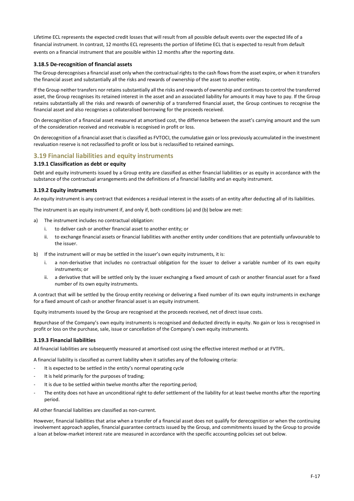Lifetime ECL represents the expected credit losses that will result from all possible default events over the expected life of a financial instrument. In contrast, 12 months ECL represents the portion of lifetime ECL that is expected to result from default events on a financial instrument that are possible within 12 months after the reporting date.

#### 3.18.5 De-recognition of financial assets

The Group derecognises a financial asset only when the contractual rights to the cash flows from the asset expire, or when it transfers the financial asset and substantially all the risks and rewards of ownership of the asset to another entity.

If the Group neither transfers nor retains substantially all the risks and rewards of ownership and continues to control the transferred asset, the Group recognises its retained interest in the asset and an associated liability for amounts it may have to pay. If the Group retains substantially all the risks and rewards of ownership of a transferred financial asset, the Group continues to recognise the financial asset and also recognises a collateralised borrowing for the proceeds received.

On derecognition of a financial asset measured at amortised cost, the difference between the asset's carrying amount and the sum of the consideration received and receivable is recognised in profit or loss.

On derecognition of a financial asset that is classified as FVTOCI, the cumulative gain or loss previously accumulated in the investment revaluation reserve is not reclassified to profit or loss but is reclassified to retained earnings.

## 3.19 Financial liabilities and equity instruments

#### 3.19.1 Classification as debt or equity

Debt and equity instruments issued by a Group entity are classified as either financial liabilities or as equity in accordance with the substance of the contractual arrangements and the definitions of a financial liability and an equity instrument.

#### 3.19.2 Equity instruments

An equity instrument is any contract that evidences a residual interest in the assets of an entity after deducting all of its liabilities.

The instrument is an equity instrument if, and only if, both conditions (a) and (b) below are met:

- a) The instrument includes no contractual obligation:
	- i. to deliver cash or another financial asset to another entity; or
	- ii. to exchange financial assets or financial liabilities with another entity under conditions that are potentially unfavourable to the issuer.
- b) If the instrument will or may be settled in the issuer's own equity instruments, it is:
	- i. a non-derivative that includes no contractual obligation for the issuer to deliver a variable number of its own equity instruments; or
	- ii. a derivative that will be settled only by the issuer exchanging a fixed amount of cash or another financial asset for a fixed number of its own equity instruments.

A contract that will be settled by the Group entity receiving or delivering a fixed number of its own equity instruments in exchange for a fixed amount of cash or another financial asset is an equity instrument.

Equity instruments issued by the Group are recognised at the proceeds received, net of direct issue costs.

Repurchase of the Company's own equity instruments is recognised and deducted directly in equity. No gain or loss is recognised in profit or loss on the purchase, sale, issue or cancellation of the Company's own equity instruments.

#### 3.19.3 Financial liabilities

All financial liabilities are subsequently measured at amortised cost using the effective interest method or at FVTPL.

A financial liability is classified as current liability when it satisfies any of the following criteria:

- It is expected to be settled in the entity's normal operating cycle
- It is held primarily for the purposes of trading:
- It is due to be settled within twelve months after the reporting period;
- The entity does not have an unconditional right to defer settlement of the liability for at least twelve months after the reporting period.

All other financial liabilities are classified as non-current.

However, financial liabilities that arise when a transfer of a financial asset does not qualify for derecognition or when the continuing involvement approach applies, financial guarantee contracts issued by the Group, and commitments issued by the Group to provide a loan at below-market interest rate are measured in accordance with the specific accounting policies set out below.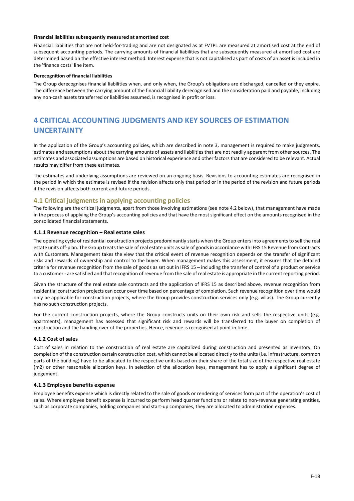#### Financial liabilities subsequently measured at amortised cost

Financial liabilities that are not held-for-trading and are not designated as at FVTPL are measured at amortised cost at the end of subsequent accounting periods. The carrying amounts of financial liabilities that are subsequently measured at amortised cost are determined based on the effective interest method. Interest expense that is not capitalised as part of costs of an asset is included in the 'finance costs' line item.

#### Derecognition of financial liabilities

The Group derecognises financial liabilities when, and only when, the Group's obligations are discharged, cancelled or they expire. The difference between the carrying amount of the financial liability derecognised and the consideration paid and payable, including any non-cash assets transferred or liabilities assumed, is recognised in profit or loss.

## 4 CRITICAL ACCOUNTING JUDGMENTS AND KEY SOURCES OF ESTIMATION UNCERTAINTY

In the application of the Group's accounting policies, which are described in note 3, management is required to make judgments, estimates and assumptions about the carrying amounts of assets and liabilities that are not readily apparent from other sources. The estimates and associated assumptions are based on historical experience and other factors that are considered to be relevant. Actual results may differ from these estimates.

The estimates and underlying assumptions are reviewed on an ongoing basis. Revisions to accounting estimates are recognised in the period in which the estimate is revised if the revision affects only that period or in the period of the revision and future periods if the revision affects both current and future periods.

## 4.1 Critical judgments in applying accounting policies

The following are the critical judgments, apart from those involving estimations (see note 4.2 below), that management have made in the process of applying the Group's accounting policies and that have the most significant effect on the amounts recognised in the consolidated financial statements.

#### 4.1.1 Revenue recognition – Real estate sales

The operating cycle of residential construction projects predominantly starts when the Group enters into agreements to sell the real estate units off-plan. The Group treats the sale of real estate units as sale of goods in accordance with IFRS 15 Revenue from Contracts with Customers. Management takes the view that the critical event of revenue recognition depends on the transfer of significant risks and rewards of ownership and control to the buyer. When management makes this assessment, it ensures that the detailed criteria for revenue recognition from the sale of goods as set out in IFRS 15 – including the transfer of control of a product or service to a customer - are satisfied and that recognition of revenue from the sale of real estate is appropriate in the current reporting period.

Given the structure of the real estate sale contracts and the application of IFRS 15 as described above, revenue recognition from residential construction projects can occur over time based on percentage of completion. Such revenue recognition over time would only be applicable for construction projects, where the Group provides construction services only (e.g. villas). The Group currently has no such construction projects.

For the current construction projects, where the Group constructs units on their own risk and sells the respective units (e.g. apartments), management has assessed that significant risk and rewards will be transferred to the buyer on completion of construction and the handing over of the properties. Hence, revenue is recognised at point in time.

## 4.1.2 Cost of sales

Cost of sales in relation to the construction of real estate are capitalized during construction and presented as inventory. On completion of the construction certain construction cost, which cannot be allocated directly to the units (i.e. infrastructure, common parts of the building) have to be allocated to the respective units based on their share of the total size of the respective real estate (m2) or other reasonable allocation keys. In selection of the allocation keys, management has to apply a significant degree of judgement.

#### 4.1.3 Employee benefits expense

Employee benefits expense which is directly related to the sale of goods or rendering of services form part of the operation's cost of sales. Where employee benefit expense is incurred to perform head quarter functions or relate to non-revenue generating entities, such as corporate companies, holding companies and start-up companies, they are allocated to administration expenses.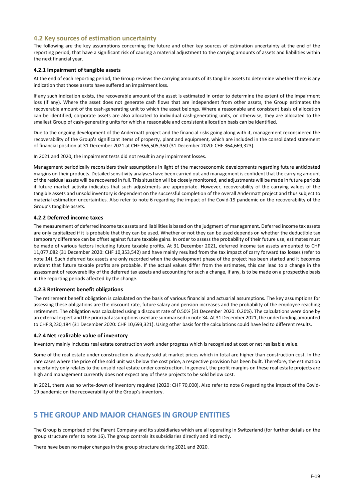## 4.2 Key sources of estimation uncertainty

The following are the key assumptions concerning the future and other key sources of estimation uncertainty at the end of the reporting period, that have a significant risk of causing a material adjustment to the carrying amounts of assets and liabilities within the next financial year.

#### 4.2.1 Impairment of tangible assets

At the end of each reporting period, the Group reviews the carrying amounts of its tangible assets to determine whether there is any indication that those assets have suffered an impairment loss.

If any such indication exists, the recoverable amount of the asset is estimated in order to determine the extent of the impairment loss (if any). Where the asset does not generate cash flows that are independent from other assets, the Group estimates the recoverable amount of the cash-generating unit to which the asset belongs. Where a reasonable and consistent basis of allocation can be identified, corporate assets are also allocated to individual cash-generating units, or otherwise, they are allocated to the smallest Group of cash-generating units for which a reasonable and consistent allocation basis can be identified.

Due to the ongoing development of the Andermatt project and the financial risks going along with it, management reconsidered the recoverability of the Group's significant items of property, plant and equipment, which are included in the consolidated statement of financial position at 31 December 2021 at CHF 356,505,350 (31 December 2020: CHF 364,669,323).

In 2021 and 2020, the impairment tests did not result in any impairment losses.

Management periodically reconsiders their assumptions in light of the macroeconomic developments regarding future anticipated margins on their products. Detailed sensitivity analyses have been carried out and management is confident that the carrying amount of the residual assets will be recovered in full. This situation will be closely monitored, and adjustments will be made in future periods if future market activity indicates that such adjustments are appropriate. However, recoverability of the carrying values of the tangible assets and unsold inventory is dependent on the successful completion of the overall Andermatt project and thus subject to material estimation uncertainties. Also refer to note 6 regarding the impact of the Covid-19 pandemic on the recoverability of the Group's tangible assets.

#### 4.2.2 Deferred income taxes

The measurement of deferred income tax assets and liabilities is based on the judgment of management. Deferred income tax assets are only capitalized if it is probable that they can be used. Whether or not they can be used depends on whether the deductible tax temporary difference can be offset against future taxable gains. In order to assess the probability of their future use, estimates must be made of various factors including future taxable profits. At 31 December 2021, deferred income tax assets amounted to CHF 11,077,082 (31 December 2020: CHF 10,353,542) and have mainly resulted from the tax impact of carry forward tax losses (refer to note 14). Such deferred tax assets are only recorded when the development phase of the project has been started and it becomes evident that future taxable profits are probable. If the actual values differ from the estimates, this can lead to a change in the assessment of recoverability of the deferred tax assets and accounting for such a change, if any, is to be made on a prospective basis in the reporting periods affected by the change.

#### 4.2.3 Retirement benefit obligations

The retirement benefit obligation is calculated on the basis of various financial and actuarial assumptions. The key assumptions for assessing these obligations are the discount rate, future salary and pension increases and the probability of the employee reaching retirement. The obligation was calculated using a discount rate of 0.50% (31 December 2020: 0.20%). The calculations were done by an external expert and the principal assumptions used are summarised in note 34. At 31 December 2021, the underfunding amounted to CHF 8,230,184 (31 December 2020: CHF 10,693,321). Using other basis for the calculations could have led to different results.

#### 4.2.4 Net realizable value of inventory

Inventory mainly includes real estate construction work under progress which is recognised at cost or net realisable value.

Some of the real estate under construction is already sold at market prices which in total are higher than construction cost. In the rare cases where the price of the sold unit was below the cost price, a respective provision has been built. Therefore, the estimation uncertainty only relates to the unsold real estate under construction. In general, the profit margins on these real estate projects are high and management currently does not expect any of these projects to be sold below cost.

In 2021, there was no write-down of inventory required (2020: CHF 70,000). Also refer to note 6 regarding the impact of the Covid-19 pandemic on the recoverability of the Group's inventory.

## 5 THE GROUP AND MAJOR CHANGES IN GROUP ENTITIES

The Group is comprised of the Parent Company and its subsidiaries which are all operating in Switzerland (for further details on the group structure refer to note 16). The group controls its subsidiaries directly and indirectly.

There have been no major changes in the group structure during 2021 and 2020.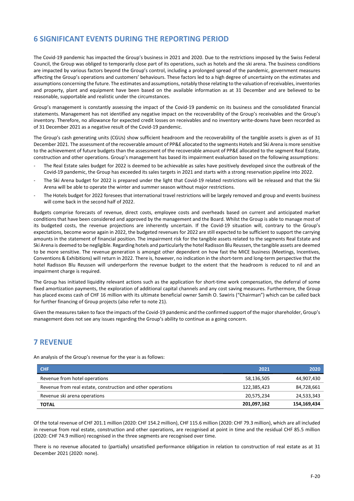## 6 SIGNIFICANT EVENTS DURING THE REPORTING PERIOD

The Covid-19 pandemic has impacted the Group's business in 2021 and 2020. Due to the restrictions imposed by the Swiss Federal Council, the Group was obliged to temporarily close part of its operations, such as hotels and the ski arena. The business conditions are impacted by various factors beyond the Group's control, including a prolonged spread of the pandemic, government measures affecting the Group's operations and customers' behaviours. These factors led to a high degree of uncertainty on the estimates and assumptions concerning the future. The estimates and assumptions, notably those relating to the valuation of receivables, inventories and property, plant and equipment have been based on the available information as at 31 December and are believed to be reasonable, supportable and realistic under the circumstances.

Group's management is constantly assessing the impact of the Covid-19 pandemic on its business and the consolidated financial statements. Management has not identified any negative impact on the recoverability of the Group's receivables and the Group's inventory. Therefore, no allowance for expected credit losses on receivables and no inventory write-downs have been recorded as of 31 December 2021 as a negative result of the Covid-19 pandemic.

The Group's cash generating units (CGUs) show sufficient headroom and the recoverability of the tangible assets is given as of 31 December 2021. The assessment of the recoverable amount of PP&E allocated to the segments Hotels and Ski Arena is more sensitive to the achievement of future budgets than the assessment of the recoverable amount of PP&E allocated to the segment Real Estate, construction and other operations. Group's management has based its impairment evaluation based on the following assumptions:

- The Real Estate sales budget for 2022 is deemed to be achievable as sales have positively developed since the outbreak of the Covid-19 pandemic, the Group has exceeded its sales targets in 2021 and starts with a strong reservation pipeline into 2022.
- The Ski Arena budget for 2022 is prepared under the light that Covid-19 related restrictions will be released and that the Ski Arena will be able to operate the winter and summer season without major restrictions.
- The Hotels budget for 2022 foresees that international travel restrictions will be largely removed and group and events business will come back in the second half of 2022.

Budgets comprise forecasts of revenue, direct costs, employee costs and overheads based on current and anticipated market conditions that have been considered and approved by the management and the Board. Whilst the Group is able to manage most of its budgeted costs, the revenue projections are inherently uncertain. If the Covid-19 situation will, contrary to the Group's expectations, become worse again in 2022, the budgeted revenues for 2022 are still expected to be sufficient to support the carrying amounts in the statement of financial position. The impairment risk for the tangible assets related to the segments Real Estate and Ski Arena is deemed to be negligible. Regarding hotels and particularly the hotel Radisson Blu Reussen, the tangible assets are deemed to be more sensitive. The revenue generation is amongst other dependent on how fast the MICE business (Meetings, Incentives, Conventions & Exhibitions) will return in 2022. There is, however, no indication in the short-term and long-term perspective that the hotel Radisson Blu Reussen will underperform the revenue budget to the extent that the headroom is reduced to nil and an impairment charge is required.

The Group has initiated liquidity relevant actions such as the application for short-time work compensation, the deferral of some fixed amortization payments, the exploration of additional capital channels and any cost saving measures. Furthermore, the Group has placed excess cash of CHF 16 million with its ultimate beneficial owner Samih O. Sawiris ("Chairman") which can be called back for further financing of Group projects (also refer to note 21).

Given the measures taken to face the impacts of the Covid-19 pandemic and the confirmed support of the major shareholder, Group's management does not see any issues regarding the Group's ability to continue as a going concern.

## 7 REVENUE

| <b>CHF</b>                                                  | 2021        | 2020        |
|-------------------------------------------------------------|-------------|-------------|
| Revenue from hotel operations                               | 58,136,505  | 44,907,430  |
| Revenue from real estate, construction and other operations | 122,385,423 | 84,728,661  |
| Revenue ski arena operations                                | 20,575,234  | 24,533,343  |
| <b>TOTAL</b>                                                | 201,097,162 | 154,169,434 |

An analysis of the Group's revenue for the year is as follows:

Of the total revenue of CHF 201.1 million (2020: CHF 154.2 million), CHF 115.6 million (2020: CHF 79.3 million), which are all included in revenue from real estate, construction and other operations, are recognised at point in time and the residual CHF 85.5 million (2020: CHF 74.9 million) recognised in the three segments are recognised over time.

There is no revenue allocated to (partially) unsatisfied performance obligation in relation to construction of real estate as at 31 December 2021 (2020: none).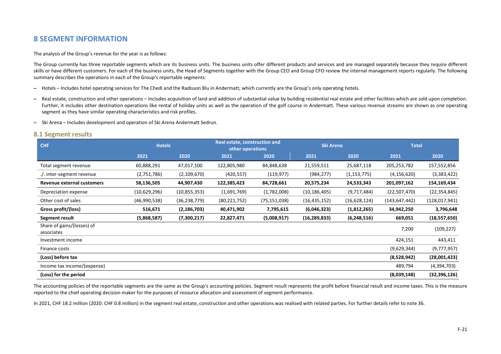## 8 SEGMENT INFORMATION

The analysis of the Group's revenue for the year is as follows:

The Group currently has three reportable segments which are its business units. The business units offer different products and services and are managed separately because they require different skills or have different customers. For each of the business units, the Head of Segments together with the Group CEO and Group CFO review the internal management reports regularly. The following summary describes the operations in each of the Group's reportable segments:

- Hotels Includes hotel operating services for The Chedi and the Radisson Blu in Andermatt, which currently are the Group's only operating hotels.
- Real estate, construction and other operations Includes acquisition of land and addition of substantial value by building residential real estate and other facilities which are sold upon completion. Further, it includes other destination operations like rental of holiday units as well as the operation of the golf course in Andermatt. These various revenue streams are shown as one operating segment as they have similar operating characteristics and risk profiles.
- Ski Arena Includes development and operation of Ski Arena Andermatt Sedrun.

## 8.1 Segment results

| <b>CHF</b>                               | <b>Hotels</b> |                | Real estate, construction and<br>other operations |              | <b>Ski Arena</b> |                | <b>Total</b>  |                 |
|------------------------------------------|---------------|----------------|---------------------------------------------------|--------------|------------------|----------------|---------------|-----------------|
|                                          | 2021          | 2020           | 2021                                              | 2020         | 2021             | 2020           | 2021          | 2020            |
| Total segment revenue                    | 60,888,291    | 47,017,100     | 122,805,980                                       | 84,848,638   | 21,559,511       | 25,687,118     | 205,253,782   | 157,552,856     |
| ./. inter-segment revenue                | (2,751,786)   | (2, 109, 670)  | (420, 557)                                        | (119, 977)   | (984, 277)       | (1, 153, 775)  | (4, 156, 620) | (3,383,422)     |
| <b>Revenue external customers</b>        | 58,136,505    | 44,907,430     | 122,385,423                                       | 84,728,661   | 20,575,234       | 24,533,343     | 201,097,162   | 154,169,434     |
| Depreciation expense                     | (10,629,296)  | (10, 855, 353) | (1,691,769)                                       | (1,782,008)  | (10, 186, 405)   | (9,717,484)    | (22,507,470)  | (22, 354, 845)  |
| Other cost of sales                      | (46,990,538)  | (36, 238, 779) | (80,221,752)                                      | (75,151,038) | (16, 435, 152)   | (16, 628, 124) | (143,647,442) | (128, 017, 941) |
| Gross profit/(loss)                      | 516,671       | (2, 186, 703)  | 40,471,902                                        | 7,795,615    | (6,046,323)      | (1,812,265)    | 34,942,250    | 3,796,648       |
| Segment result                           | (5,868,587)   | (7,300,217)    | 22,827,471                                        | (5,008,917)  | (16, 289, 833)   | (6, 248, 516)  | 669,051       | (18, 557, 650)  |
| Share of gains/(losses) of<br>associates |               |                |                                                   |              |                  |                | 7,200         | (109, 227)      |
| Investment income                        |               |                |                                                   |              |                  |                | 424,151       | 443,411         |
| Finance costs                            |               |                |                                                   |              |                  |                | (9,629,344)   | (9,777,957)     |
| (Loss) before tax                        |               |                |                                                   |              |                  |                | (8,528,942)   | (28,001,423)    |
| Income tax income/(expense)              |               |                |                                                   |              |                  |                | 489,794       | (4,394,703)     |
| (Loss) for the period                    |               |                |                                                   |              |                  |                | (8,039,148)   | (32, 396, 126)  |

The accounting policies of the reportable segments are the same as the Group's accounting policies. Segment result represents the profit before financial result and income taxes. This is the measure reported to the chief operating decision maker for the purposes of resource allocation and assessment of segment performance.

In 2021, CHF 18.2 million (2020: CHF 0.8 million) in the segment real estate, construction and other operations was realised with related parties. For further details refer to note 36.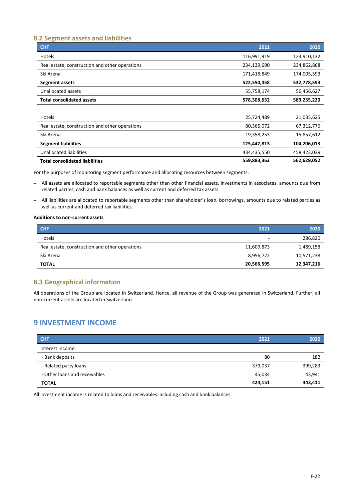## 8.2 Segment assets and liabilities

| <b>CHF</b>                                     | 2021        | 2020        |
|------------------------------------------------|-------------|-------------|
| Hotels                                         | 116,991,919 | 123,910,132 |
| Real estate, construction and other operations | 234,139,690 | 234,862,868 |
| Ski Arena                                      | 171,418,849 | 174,005,593 |
| Segment assets                                 | 522,550,458 | 532,778,593 |
| Unallocated assets                             | 55,758,174  | 56,456,627  |
| <b>Total consolidated assets</b>               | 578,308,632 | 589,235,220 |
|                                                |             |             |
| <b>Hotels</b>                                  | 25,724,489  | 21,035,625  |
| Real estate, construction and other operations | 80,365,072  | 67,312,776  |
| Ski Arena                                      | 19,358,253  | 15,857,612  |
| <b>Segment liabilities</b>                     | 125,447,813 | 104,206,013 |
| Unallocated liabilities                        | 434,435,550 | 458,423,039 |
| <b>Total consolidated liabilities</b>          | 559,883,363 | 562,629,052 |

For the purposes of monitoring segment performance and allocating resources between segments:

- All assets are allocated to reportable segments other than other financial assets, investments in associates, amounts due from related parties, cash and bank balances as well as current and deferred tax assets.
- All liabilities are allocated to reportable segments other than shareholder's loan, borrowings, amounts due to related parties as well as current and deferred tax liabilities.

## Additions to non-current assets

| <b>CHF</b>                                     | 2021                     | 2020       |
|------------------------------------------------|--------------------------|------------|
| Hotels                                         | $\overline{\phantom{a}}$ | 286,820    |
| Real estate, construction and other operations | 11,609,873               | 1,489,158  |
| Ski Arena                                      | 8,956,722                | 10,571,238 |
| <b>TOTAL</b>                                   | 20,566,595               | 12,347,216 |

## 8.3 Geographical information

All operations of the Group are located in Switzerland. Hence, all revenue of the Group was generated in Switzerland. Further, all non-current assets are located in Switzerland.

## 9 INVESTMENT INCOME

| <b>CHF</b>                    | 2021    | 2020    |
|-------------------------------|---------|---------|
| Interest income:              |         |         |
| - Bank deposits               | 80      | 182     |
| - Related party loans         | 379,037 | 399,289 |
| - Other loans and receivables | 45,034  | 43,941  |
| <b>TOTAL</b>                  | 424,151 | 443,411 |

All investment income is related to loans and receivables including cash and bank balances.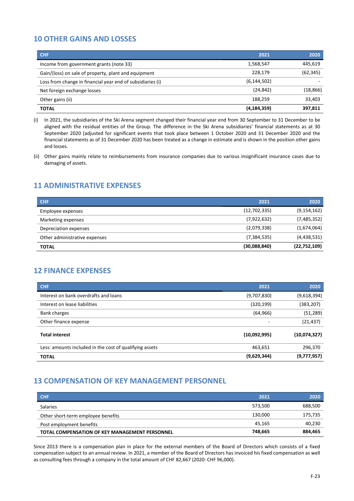## 10 OTHER GAINS AND LOSSES

| <b>CHF</b>                                                 | 2021          | 2020      |
|------------------------------------------------------------|---------------|-----------|
| Income from government grants (note 33)                    | 1,568,547     | 445.619   |
| Gain/(loss) on sale of property, plant and equipment       | 228,179       | (62, 345) |
| Loss from change in financial year end of subsidiaries (i) | (6, 144, 502) |           |
| Net foreign exchange losses                                | (24, 842)     | (18, 866) |
| Other gains (ii)                                           | 188,259       | 33,403    |
| <b>TOTAL</b>                                               | (4, 184, 359) | 397,811   |

(i) In 2021, the subsidiaries of the Ski Arena segment changed their financial year end from 30 September to 31 December to be aligned with the residual entities of the Group. The difference in the Ski Arena subsidiaries' financial statements as at 30 September 2020 (adjusted for significant events that took place between 1 October 2020 and 31 December 2020 and the financial statements as of 31 December 2020 has been treated as a change in estimate and is shown in the position other gains and losses.

(ii) Other gains mainly relate to reimbursements from insurance companies due to various insignificant insurance cases due to damaging of assets.

## 11 ADMINISTRATIVE EXPENSES

| <b>CHF</b>                    | 2021          | 2020          |
|-------------------------------|---------------|---------------|
| Employee expenses             | (12,702,335)  | (9, 154, 162) |
| Marketing expenses            | (7,922,632)   | (7,485,352)   |
| Depreciation expenses         | (2,079,338)   | (1,674,064)   |
| Other administrative expenses | (7, 384, 535) | (4,438,531)   |
| <b>TOTAL</b>                  | (30,088,840)  | (22,752,109)  |

## 12 FINANCE EXPENSES

| <b>CHF</b>                                              | 2021         | 2020         |
|---------------------------------------------------------|--------------|--------------|
| Interest on bank overdrafts and loans                   | (9,707,830)  | (9,618,394)  |
| Interest on lease liabilities                           | (320, 199)   | (383,207)    |
| <b>Bank charges</b>                                     | (64, 966)    | (51, 289)    |
| Other finance expense                                   | ۰            | (21, 437)    |
| <b>Total interest</b>                                   | (10,092,995) | (10,074,327) |
| Less: amounts included in the cost of qualifying assets | 463,651      | 296,370      |
| <b>TOTAL</b>                                            | (9,629,344)  | (9,777,957)  |

## 13 COMPENSATION OF KEY MANAGEMENT PERSONNEL

| <b>CHF</b>                                     | 2021    | 2020    |
|------------------------------------------------|---------|---------|
| <b>Salaries</b>                                | 573,500 | 688,500 |
| Other short-term employee benefits             | 130.000 | 175,735 |
| Post employment benefits                       | 45.165  | 40,230  |
| TOTAL COMPENSATION OF KEY MANAGEMENT PERSONNEL | 748.665 | 884,465 |

Since 2013 there is a compensation plan in place for the external members of the Board of Directors which consists of a fixed compensation subject to an annual review. In 2021, a member of the Board of Directors has invoiced his fixed compensation as well as consulting fees through a company in the total amount of CHF 82,667 (2020: CHF 96,000).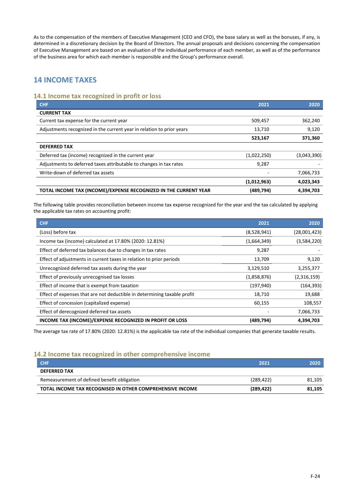As to the compensation of the members of Executive Management (CEO and CFO), the base salary as well as the bonuses, if any, is determined in a discretionary decision by the Board of Directors. The annual proposals and decisions concerning the compensation of Executive Management are based on an evaluation of the individual performance of each member, as well as of the performance of the business area for which each member is responsible and the Group's performance overall.

## 14 INCOME TAXES

## 14.1 Income tax recognized in profit or loss

| <b>CHF</b>                                                            | 2021        | 2020        |
|-----------------------------------------------------------------------|-------------|-------------|
| <b>CURRENT TAX</b>                                                    |             |             |
| Current tax expense for the current year                              | 509,457     | 362,240     |
| Adjustments recognized in the current year in relation to prior years | 13,710      | 9,120       |
|                                                                       | 523,167     | 371,360     |
| <b>DEFERRED TAX</b>                                                   |             |             |
| Deferred tax (income) recognized in the current year                  | (1,022,250) | (3,043,390) |
| Adjustments to deferred taxes attributable to changes in tax rates    | 9,287       |             |
| Write-down of deferred tax assets                                     |             | 7,066,733   |
|                                                                       | (1,012,963) | 4,023,343   |
| TOTAL INCOME TAX (INCOME)/EXPENSE RECOGNIZED IN THE CURRENT YEAR      | (489,794)   | 4,394,703   |

The following table provides reconciliation between income tax expense recognized for the year and the tax calculated by applying the applicable tax rates on accounting profit:

| <b>CHF</b>                                                               | 2021        | 2020         |
|--------------------------------------------------------------------------|-------------|--------------|
| (Loss) before tax                                                        | (8,528,941) | (28,001,423) |
| Income tax (income) calculated at 17.80% (2020: 12.81%)                  | (1,664,349) | (3,584,220)  |
| Effect of deferred tax balances due to changes in tax rates              | 9,287       |              |
| Effect of adjustments in current taxes in relation to prior periods      | 13,709      | 9,120        |
| Unrecognized deferred tax assets during the year                         | 3,129,510   | 3,255,377    |
| Effect of previously unrecognised tax losses                             | (1,858,876) | (2,316,159)  |
| Effect of income that is exempt from taxation                            | (197, 940)  | (164, 393)   |
| Effect of expenses that are not deductible in determining taxable profit | 18,710      | 19,688       |
| Effect of concession (capitalized expense)                               | 60,155      | 108,557      |
| Effect of derecognized deferred tax assets                               |             | 7,066,733    |
| INCOME TAX (INCOME)/EXPENSE RECOGNIZED IN PROFIT OR LOSS                 | (489, 794)  | 4,394,703    |

The average tax rate of 17.80% (2020: 12.81%) is the applicable tax rate of the individual companies that generate taxable results.

## 14.2 Income tax recognized in other comprehensive income

| <b>CHF</b>                                                | 2021       | 2020   |
|-----------------------------------------------------------|------------|--------|
| <b>DEFERRED TAX</b>                                       |            |        |
| Remeasurement of defined benefit obligation               | (289, 422) | 81.105 |
| TOTAL INCOME TAX RECOGNISED IN OTHER COMPREHENSIVE INCOME | (289, 422) | 81,105 |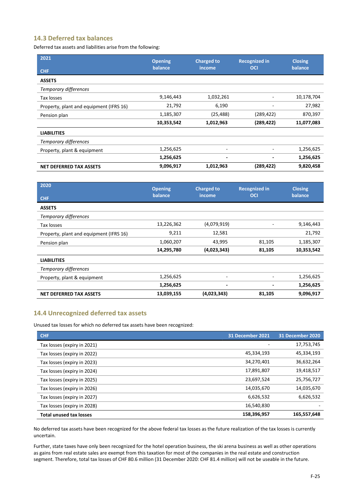## 14.3 Deferred tax balances

Deferred tax assets and liabilities arise from the following:

| 2021                                    | <b>Opening</b> | <b>Charged to</b> | <b>Recognized in</b> | <b>Closing</b> |
|-----------------------------------------|----------------|-------------------|----------------------|----------------|
| <b>CHF</b>                              | balance        | income            | <b>OCI</b>           | balance        |
| <b>ASSETS</b>                           |                |                   |                      |                |
| Temporary differences                   |                |                   |                      |                |
| Tax losses                              | 9,146,443      | 1,032,261         |                      | 10,178,704     |
| Property, plant and equipment (IFRS 16) | 21,792         | 6,190             |                      | 27,982         |
| Pension plan                            | 1,185,307      | (25, 488)         | (289, 422)           | 870,397        |
|                                         | 10,353,542     | 1,012,963         | (289, 422)           | 11,077,083     |
| <b>LIABILITIES</b>                      |                |                   |                      |                |
| <b>Temporary differences</b>            |                |                   |                      |                |
| Property, plant & equipment             | 1,256,625      | ٠                 |                      | 1,256,625      |
|                                         | 1,256,625      |                   |                      | 1,256,625      |
| <b>NET DEFERRED TAX ASSETS</b>          | 9,096,917      | 1,012,963         | (289, 422)           | 9,820,458      |

| 2020                                    | <b>Opening</b> | <b>Charged to</b>        | <b>Recognized in</b> | <b>Closing</b> |
|-----------------------------------------|----------------|--------------------------|----------------------|----------------|
| <b>CHF</b>                              | balance        | income                   | <b>OCI</b>           | balance        |
| <b>ASSETS</b>                           |                |                          |                      |                |
| <b>Temporary differences</b>            |                |                          |                      |                |
| Tax losses                              | 13,226,362     | (4,079,919)              |                      | 9,146,443      |
| Property, plant and equipment (IFRS 16) | 9,211          | 12,581                   |                      | 21,792         |
| Pension plan                            | 1,060,207      | 43,995                   | 81,105               | 1,185,307      |
|                                         | 14,295,780     | (4,023,343)              | 81,105               | 10,353,542     |
| <b>LIABILITIES</b>                      |                |                          |                      |                |
| <b>Temporary differences</b>            |                |                          |                      |                |
| Property, plant & equipment             | 1,256,625      | -                        |                      | 1,256,625      |
|                                         | 1,256,625      | $\overline{\phantom{0}}$ |                      | 1,256,625      |
| <b>NET DEFERRED TAX ASSETS</b>          | 13,039,155     | (4,023,343)              | 81,105               | 9,096,917      |

## 14.4 Unrecognized deferred tax assets

Unused tax losses for which no deferred tax assets have been recognized:

| <b>CHF</b>                     | 31 December 2021         | 31 December 2020 |
|--------------------------------|--------------------------|------------------|
| Tax losses (expiry in 2021)    | $\overline{\phantom{a}}$ | 17,753,745       |
| Tax losses (expiry in 2022)    | 45,334,193               | 45,334,193       |
| Tax losses (expiry in 2023)    | 34,270,401               | 36,632,264       |
| Tax losses (expiry in 2024)    | 17,891,807               | 19,418,517       |
| Tax losses (expiry in 2025)    | 23,697,524               | 25,756,727       |
| Tax losses (expiry in 2026)    | 14,035,670               | 14,035,670       |
| Tax losses (expiry in 2027)    | 6,626,532                | 6,626,532        |
| Tax losses (expiry in 2028)    | 16,540,830               |                  |
| <b>Total unused tax losses</b> | 158,396,957              | 165,557,648      |

No deferred tax assets have been recognized for the above federal tax losses as the future realization of the tax losses is currently uncertain.

Further, state taxes have only been recognized for the hotel operation business, the ski arena business as well as other operations as gains from real estate sales are exempt from this taxation for most of the companies in the real estate and construction segment. Therefore, total tax losses of CHF 80.6 million (31 December 2020: CHF 81.4 million) will not be useable in the future.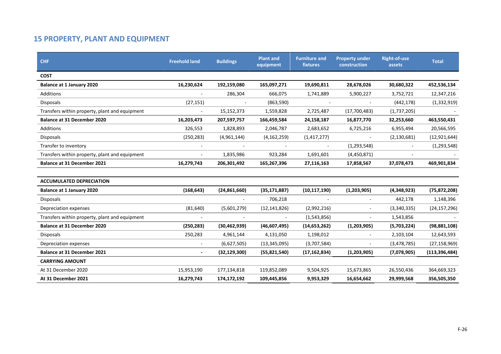## 15 PROPERTY, PLANT AND EQUIPMENT

| <b>CHF</b>                                     | <b>Freehold land</b>     | <b>Buildings</b> | <b>Plant and</b><br>equipment | <b>Furniture and</b><br>fixtures | <b>Property under</b><br>construction | <b>Right-of-use</b><br>assets | <b>Total</b>    |
|------------------------------------------------|--------------------------|------------------|-------------------------------|----------------------------------|---------------------------------------|-------------------------------|-----------------|
| <b>COST</b>                                    |                          |                  |                               |                                  |                                       |                               |                 |
| Balance at 1 January 2020                      | 16,230,624               | 192,159,080      | 165,097,271                   | 19,690,811                       | 28,678,026                            | 30,680,322                    | 452,536,134     |
| <b>Additions</b>                               |                          | 286,304          | 666,075                       | 1,741,889                        | 5,900,227                             | 3,752,721                     | 12,347,216      |
| Disposals                                      | (27, 151)                | $\sim$           | (863,590)                     |                                  |                                       | (442, 178)                    | (1, 332, 919)   |
| Transfers within property, plant and equipment | $\blacksquare$           | 15,152,373       | 1,559,828                     | 2,725,487                        | (17,700,483)                          | (1,737,205)                   |                 |
| <b>Balance at 31 December 2020</b>             | 16,203,473               | 207,597,757      | 166,459,584                   | 24,158,187                       | 16,877,770                            | 32,253,660                    | 463,550,431     |
| <b>Additions</b>                               | 326,553                  | 1,828,893        | 2,046,787                     | 2,683,652                        | 6,725,216                             | 6,955,494                     | 20,566,595      |
| <b>Disposals</b>                               | (250, 283)               | (4,961,144)      | (4, 162, 259)                 | (1, 417, 277)                    |                                       | (2, 130, 681)                 | (12, 921, 644)  |
| Transfer to inventory                          |                          |                  |                               |                                  | (1, 293, 548)                         |                               | (1, 293, 548)   |
| Transfers within property, plant and equipment | $\blacksquare$           | 1,835,986        | 923,284                       | 1,691,601                        | (4,450,871)                           |                               |                 |
| <b>Balance at 31 December 2021</b>             | 16,279,743               | 206,301,492      | 165,267,396                   | 27,116,163                       | 17,858,567                            | 37,078,473                    | 469,901,834     |
|                                                |                          |                  |                               |                                  |                                       |                               |                 |
| <b>ACCUMULATED DEPRECIATION</b>                |                          |                  |                               |                                  |                                       |                               |                 |
| Balance at 1 January 2020                      | (168, 643)               | (24, 861, 660)   | (35, 171, 887)                | (10, 117, 190)                   | (1,203,905)                           | (4,348,923)                   | (75, 872, 208)  |
| Disposals                                      |                          |                  | 706,218                       |                                  |                                       | 442,178                       | 1,148,396       |
| Depreciation expenses                          | (81, 640)                | (5,601,279)      | (12, 141, 826)                | (2,992,216)                      |                                       | (3,340,335)                   | (24, 157, 296)  |
| Transfers within property, plant and equipment |                          |                  |                               | (1,543,856)                      |                                       | 1,543,856                     |                 |
| <b>Balance at 31 December 2020</b>             | (250, 283)               | (30, 462, 939)   | (46,607,495)                  | (14, 653, 262)                   | (1,203,905)                           | (5,703,224)                   | (98,881,108)    |
| <b>Disposals</b>                               | 250,283                  | 4,961,144        | 4,131,050                     | 1,198,012                        | $\sim$                                | 2,103,104                     | 12,643,593      |
| Depreciation expenses                          | $\sim$                   | (6,627,505)      | (13, 345, 095)                | (3,707,584)                      |                                       | (3,478,785)                   | (27, 158, 969)  |
| <b>Balance at 31 December 2021</b>             | $\overline{\phantom{0}}$ | (32, 129, 300)   | (55,821,540)                  | (17, 162, 834)                   | (1,203,905)                           | (7,078,905)                   | (113, 396, 484) |
| <b>CARRYING AMOUNT</b>                         |                          |                  |                               |                                  |                                       |                               |                 |
| At 31 December 2020                            | 15,953,190               | 177,134,818      | 119,852,089                   | 9,504,925                        | 15,673,865                            | 26,550,436                    | 364,669,323     |
| At 31 December 2021                            | 16,279,743               | 174,172,192      | 109,445,856                   | 9,953,329                        | 16,654,662                            | 29,999,568                    | 356,505,350     |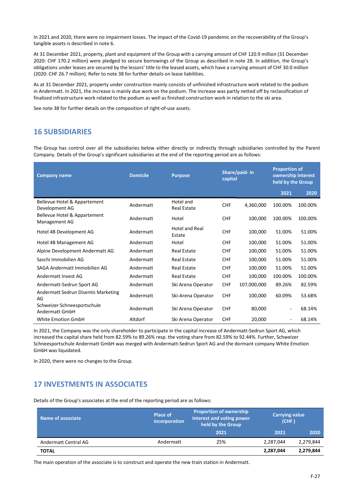In 2021 and 2020, there were no impairment losses. The impact of the Covid-19 pandemic on the recoverability of the Group's tangible assets is described in note 6.

At 31 December 2021, property, plant and equipment of the Group with a carrying amount of CHF 120.9 million (31 December 2020: CHF 170.2 million) were pledged to secure borrowings of the Group as described in note 28. In addition, the Group's obligations under leases are secured by the lessors' title to the leased assets, which have a carrying amount of CHF 30.0 million (2020: CHF 26.7 million). Refer to note 38 for further details on lease liabilities.

As at 31 December 2021, property under construction mainly consists of unfinished infrastructure work related to the podium in Andermatt. In 2021, the increase is mainly due work on the podium. The increase was partly netted off by reclassification of finalized infrastructure work related to the podium as well as finished construction work in relation to the ski area.

See note 38 for further details on the composition of right-of-use assets.

## 16 SUBSIDIARIES

The Group has control over all the subsidiaries below either directly or indirectly through subsidiaries controlled by the Parent Company. Details of the Group's significant subsidiaries at the end of the reporting period are as follows:

| <b>Company name</b>                            | <b>Domicile</b> | <b>Purpose</b>                  | Share/paid- in<br>capital |             | <b>Proportion of</b><br>ownership interest<br>held by the Group |         |
|------------------------------------------------|-----------------|---------------------------------|---------------------------|-------------|-----------------------------------------------------------------|---------|
|                                                |                 |                                 |                           |             | 2021                                                            | 2020    |
| Bellevue Hotel & Appartement<br>Development AG | Andermatt       | Hotel and<br><b>Real Estate</b> | <b>CHF</b>                | 4,360,000   | 100.00%                                                         | 100.00% |
| Bellevue Hotel & Appartement<br>Management AG  | Andermatt       | Hotel                           | <b>CHF</b>                | 100,000     | 100.00%                                                         | 100.00% |
| Hotel 4B Development AG                        | Andermatt       | Hotel and Real<br>Estate        | <b>CHF</b>                | 100,000     | 51.00%                                                          | 51.00%  |
| Hotel 4B Management AG                         | Andermatt       | Hotel                           | <b>CHF</b>                | 100,000     | 51.00%                                                          | 51.00%  |
| Alpine Development Andermatt AG                | Andermatt       | <b>Real Estate</b>              | <b>CHF</b>                | 100,000     | 51.00%                                                          | 51.00%  |
| Saschi Immobilien AG                           | Andermatt       | <b>Real Estate</b>              | <b>CHF</b>                | 100,000     | 51.00%                                                          | 51.00%  |
| SAGA Andermatt Immobilien AG                   | Andermatt       | <b>Real Estate</b>              | <b>CHF</b>                | 100,000     | 51.00%                                                          | 51.00%  |
| Andermatt Invest AG                            | Andermatt       | <b>Real Estate</b>              | <b>CHF</b>                | 100,000     | 100.00%                                                         | 100.00% |
| Andermatt-Sedrun Sport AG                      | Andermatt       | Ski Arena Operator              | <b>CHF</b>                | 107,000,000 | 89.26%                                                          | 82.59%  |
| Andermatt Sedrun Disentis Marketing<br>AG      | Andermatt       | Ski-Arena Operator              | <b>CHF</b>                | 100,000     | 60.09%                                                          | 53.68%  |
| Schweizer Schneesportschule<br>Andermatt GmbH  | Andermatt       | Ski Arena Operator              | <b>CHF</b>                | 80,000      | $\overline{\phantom{0}}$                                        | 68.14%  |
| <b>White Emotion GmbH</b>                      | Altdorf         | Ski Arena Operator              | <b>CHF</b>                | 20,000      | $\overline{\phantom{0}}$                                        | 68.14%  |

In 2021, the Company was the only shareholder to participate in the capital increase of Andermatt-Sedrun Sport AG, which increased the capital share held from 82.59% to 89.26% resp. the voting share from 82.59% to 92.44%. Further, Schweizer Schneesportschule Andermatt GmbH was merged with Andermatt-Sedrun Sport AG and the dormant company White Emotion GmbH was liquidated.

In 2020, there were no changes to the Group.

## 17 INVESTMENTS IN ASSOCIATES

Details of the Group's associates at the end of the reporting period are as follows:

| Name of associate    | <b>Place of</b><br>incorporation | <b>Proportion of ownership</b><br>interest and voting power<br>held by the Group <b>b</b> | <b>Carrying value</b><br>(CHF) |           |
|----------------------|----------------------------------|-------------------------------------------------------------------------------------------|--------------------------------|-----------|
|                      |                                  | 2021                                                                                      | 2021                           | 2020      |
| Andermatt Central AG | Andermatt                        | 25%                                                                                       | 2,287,044                      | 2,279,844 |
| <b>TOTAL</b>         |                                  |                                                                                           | 2,287,044                      | 2,279,844 |

The main operation of the associate is to construct and operate the new train station in Andermatt.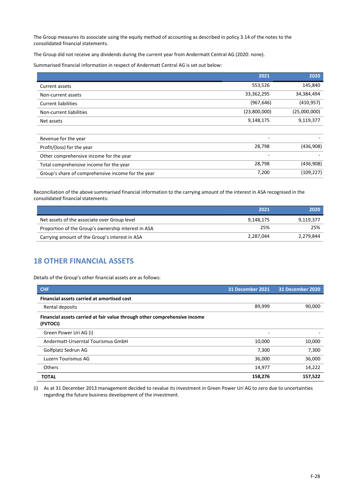The Group measures its associate using the equity method of accounting as described in policy 3.14 of the notes to the consolidated financial statements.

The Group did not receive any dividends during the current year from Andermatt Central AG (2020: none).

Summarised financial information in respect of Andermatt Central AG is set out below:

|                                                    | 2021         | 2020         |
|----------------------------------------------------|--------------|--------------|
| Current assets                                     | 553,526      | 145,840      |
| Non-current assets                                 | 33,362,295   | 34,384,494   |
| <b>Current liabilities</b>                         | (967, 646)   | (410, 957)   |
| Non-current liabilities                            | (23,800,000) | (25,000,000) |
| Net assets                                         | 9,148,175    | 9,119,377    |
|                                                    |              |              |
| Revenue for the year                               | ٠            |              |
| Profit/(loss) for the year                         | 28,798       | (436,908)    |
| Other comprehensive income for the year            |              |              |
| Total comprehensive income for the year            | 28,798       | (436,908)    |
| Group's share of comprehensive income for the year | 7,200        | (109, 227)   |

Reconciliation of the above summarised financial information to the carrying amount of the interest in ASA recognised in the consolidated financial statements:

|                                                     | 2021      | 2020      |
|-----------------------------------------------------|-----------|-----------|
| Net assets of the associate over Group level        | 9.148.175 | 9,119,377 |
| Proportion of the Group's ownership interest in ASA | 25%       | 25%       |
| Carrying amount of the Group's interest in ASA      | 2,287,044 | 2,279,844 |

## 18 OTHER FINANCIAL ASSETS

Details of the Group's other financial assets are as follows:

| <b>CHF</b>                                                                            | <b>31 December 2021</b> | 31 December 2020 |
|---------------------------------------------------------------------------------------|-------------------------|------------------|
| Financial assets carried at amortised cost                                            |                         |                  |
| Rental deposits                                                                       | 89,999                  | 90,000           |
| Financial assets carried at fair value through other comprehensive income<br>(FVTOCI) |                         |                  |
| Green Power Uri AG (i)                                                                | ۰                       |                  |
| Andermatt-Urserntal Tourismus GmbH                                                    | 10.000                  | 10,000           |
| Golfplatz Sedrun AG                                                                   | 7,300                   | 7,300            |
| Luzern Tourismus AG                                                                   | 36,000                  | 36,000           |
| <b>Others</b>                                                                         | 14,977                  | 14,222           |
| <b>TOTAL</b>                                                                          | 158,276                 | 157,522          |

(i) As at 31 December 2013 management decided to revalue its investment in Green Power Uri AG to zero due to uncertainties regarding the future business development of the investment.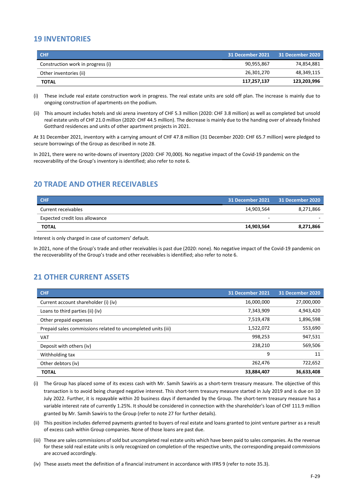## 19 INVENTORIES

| <b>CHF</b>                        | $\sim$ 31 December 2021 $^{\prime}$ | 31 December 2020 |
|-----------------------------------|-------------------------------------|------------------|
| Construction work in progress (i) | 90,955,867                          | 74,854,881       |
| Other inventories (ii)            | 26,301,270                          | 48,349,115       |
| <b>TOTAL</b>                      | 117,257,137                         | 123,203,996      |

(i) These include real estate construction work in progress. The real estate units are sold off plan. The increase is mainly due to ongoing construction of apartments on the podium.

(ii) This amount includes hotels and ski arena inventory of CHF 5.3 million (2020: CHF 3.8 million) as well as completed but unsold real estate units of CHF 21.0 million (2020: CHF 44.5 million). The decrease is mainly due to the handing over of already finished Gotthard residences and units of other apartment projects in 2021.

At 31 December 2021, inventory with a carrying amount of CHF 47.8 million (31 December 2020: CHF 65.7 million) were pledged to secure borrowings of the Group as described in note 28.

In 2021, there were no write-downs of inventory (2020: CHF 70,000). No negative impact of the Covid-19 pandemic on the recoverability of the Group's inventory is identified; also refer to note 6.

## 20 TRADE AND OTHER RECEIVABLES

| <b>CHF</b>                     | 31 December 2021 | <b>31 December 2020</b> |
|--------------------------------|------------------|-------------------------|
| Current receivables            | 14,903,564       | 8,271,866               |
| Expected credit loss allowance | ۰                |                         |
| <b>TOTAL</b>                   | 14,903,564       | 8,271,866               |

Interest is only charged in case of customers' default.

In 2021, none of the Group's trade and other receivables is past due (2020: none). No negative impact of the Covid-19 pandemic on the recoverability of the Group's trade and other receivables is identified; also refer to note 6.

## 21 OTHER CURRENT ASSETS

| <b>CHF</b>                                                   | <b>31 December 2021</b> | 31 December 2020 |
|--------------------------------------------------------------|-------------------------|------------------|
| Current account shareholder (i) (iv)                         | 16,000,000              | 27,000,000       |
| Loans to third parties (ii) (iv)                             | 7,343,909               | 4,943,420        |
| Other prepaid expenses                                       | 7,519,478               | 1,896,598        |
| Prepaid sales commissions related to uncompleted units (iii) | 1,522,072               | 553,690          |
| <b>VAT</b>                                                   | 998,253                 | 947,531          |
| Deposit with others (iv)                                     | 238,210                 | 569,506          |
| Withholding tax                                              | 9                       | 11               |
| Other debtors (iv)                                           | 262,476                 | 722,652          |
| <b>TOTAL</b>                                                 | 33,884,407              | 36,633,408       |

- (i) The Group has placed some of its excess cash with Mr. Samih Sawiris as a short-term treasury measure. The objective of this transaction is to avoid being charged negative interest. This short-term treasury measure started in July 2019 and is due on 10 July 2022. Further, it is repayable within 20 business days if demanded by the Group. The short-term treasury measure has a variable interest rate of currently 1.25%. It should be considered in connection with the shareholder's loan of CHF 111.9 million granted by Mr. Samih Sawiris to the Group (refer to note 27 for further details).
- (ii) This position includes deferred payments granted to buyers of real estate and loans granted to joint venture partner as a result of excess cash within Group companies. None of those loans are past due.
- (iii) These are sales commissions of sold but uncompleted real estate units which have been paid to sales companies. As the revenue for these sold real estate units is only recognized on completion of the respective units, the corresponding prepaid commissions are accrued accordingly.
- (iv) These assets meet the definition of a financial instrument in accordance with IFRS 9 (refer to note 35.3).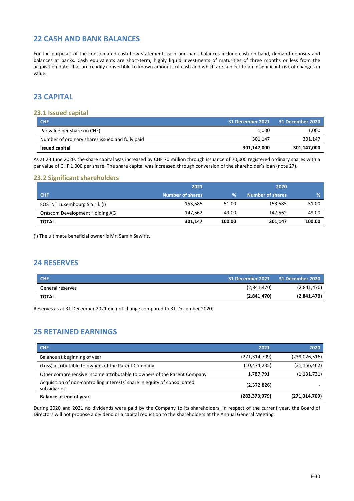## 22 CASH AND BANK BALANCES

For the purposes of the consolidated cash flow statement, cash and bank balances include cash on hand, demand deposits and balances at banks. Cash equivalents are short-term, highly liquid investments of maturities of three months or less from the acquisition date, that are readily convertible to known amounts of cash and which are subject to an insignificant risk of changes in value.

## 23 CAPITAL

## 23.1 Issued capital

| <b>CHF</b>                                      | 31 December 2021 | 31 December 2020 |
|-------------------------------------------------|------------------|------------------|
| Par value per share (in CHF)                    | 1.000            | 1,000            |
| Number of ordinary shares issued and fully paid | 301.147          | 301,147          |
| <b>Issued capital</b>                           | 301,147,000      | 301,147,000      |

As at 23 June 2020, the share capital was increased by CHF 70 million through issuance of 70,000 registered ordinary shares with a par value of CHF 1,000 per share. The share capital was increased through conversion of the shareholder's loan (note 27).

## 23.2 Significant shareholders

|                                | 2021<br>2020            |        |                         |        |
|--------------------------------|-------------------------|--------|-------------------------|--------|
| <b>CHF</b>                     | <b>Number of shares</b> | $\%$   | <b>Number of shares</b> | %      |
| SOSTNT Luxembourg S.a.r.l. (i) | 153.585                 | 51.00  | 153.585                 | 51.00  |
| Orascom Development Holding AG | 147.562                 | 49.00  | 147,562                 | 49.00  |
| <b>TOTAL</b>                   | 301.147                 | 100.00 | 301.147                 | 100.00 |

(i) The ultimate beneficial owner is Mr. Samih Sawiris.

## 24 RESERVES

| <b>CHF</b>       | 31 December 2021 | 31 December 2020 |
|------------------|------------------|------------------|
| General reserves | (2,841,470)      | (2,841,470)      |
| <b>TOTAL</b>     | (2,841,470)      | (2,841,470)      |

Reserves as at 31 December 2021 did not change compared to 31 December 2020.

## 25 RETAINED EARNINGS

| <b>CHF</b>                                                                                | 2021            | 2020            |
|-------------------------------------------------------------------------------------------|-----------------|-----------------|
| Balance at beginning of year                                                              | (271, 314, 709) | (239,026,516)   |
| (Loss) attributable to owners of the Parent Company                                       | (10, 474, 235)  | (31, 156, 462)  |
| Other comprehensive income attributable to owners of the Parent Company                   | 1,787,791       | (1, 131, 731)   |
| Acquisition of non-controlling interests' share in equity of consolidated<br>subsidiaries | (2,372,826)     |                 |
| <b>Balance at end of year</b>                                                             | (283, 373, 979) | (271, 314, 709) |

During 2020 and 2021 no dividends were paid by the Company to its shareholders. In respect of the current year, the Board of Directors will not propose a dividend or a capital reduction to the shareholders at the Annual General Meeting.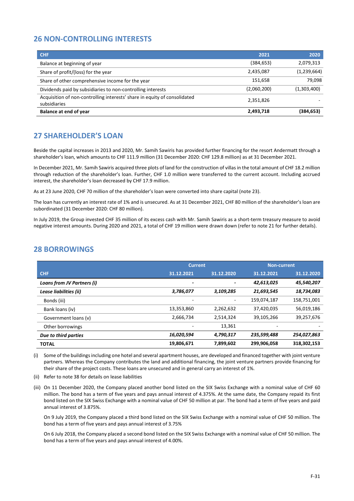## 26 NON-CONTROLLING INTERESTS

| <b>CHF</b>                                                                                | 2021        | 2020        |
|-------------------------------------------------------------------------------------------|-------------|-------------|
| Balance at beginning of year                                                              | (384, 653)  | 2,079,313   |
| Share of profit/(loss) for the year                                                       | 2,435,087   | (1,239,664) |
| Share of other comprehensive income for the year                                          | 151,658     | 79,098      |
| Dividends paid by subsidiaries to non-controlling interests                               | (2,060,200) | (1,303,400) |
| Acquisition of non-controlling interests' share in equity of consolidated<br>subsidiaries | 2,351,826   |             |
| <b>Balance at end of year</b>                                                             | 2,493,718   | (384,653)   |

## 27 SHAREHOLDER'S LOAN

Beside the capital increases in 2013 and 2020, Mr. Samih Sawiris has provided further financing for the resort Andermatt through a shareholder's loan, which amounts to CHF 111.9 million (31 December 2020: CHF 129.8 million) as at 31 December 2021.

In December 2021, Mr. Samih Sawiris acquired three plots of land for the construction of villas in the total amount of CHF 18.2 million through reduction of the shareholder's loan. Further, CHF 1.0 million were transferred to the current account. Including accrued interest, the shareholder's loan decreased by CHF 17.9 million.

As at 23 June 2020, CHF 70 million of the shareholder's loan were converted into share capital (note 23).

The loan has currently an interest rate of 1% and is unsecured. As at 31 December 2021, CHF 80 million of the shareholder's loan are subordinated (31 December 2020: CHF 80 million).

In July 2019, the Group invested CHF 35 million of its excess cash with Mr. Samih Sawiris as a short-term treasury measure to avoid negative interest amounts. During 2020 and 2021, a total of CHF 19 million were drawn down (refer to note 21 for further details).

|                            | <b>Current</b> |            | <b>Non-current</b> |             |
|----------------------------|----------------|------------|--------------------|-------------|
| <b>CHF</b>                 | 31.12.2021     | 31.12.2020 | 31.12.2021         | 31.12.2020  |
| Loans from JV Partners (i) |                |            | 42,613,025         | 45,540,207  |
| Lease liabilities (ii)     | 3,786,077      | 3,109,285  | 21,693,545         | 18,734,083  |
| Bonds (iii)                |                |            | 159,074,187        | 158,751,001 |
| Bank loans (iv)            | 13,353,860     | 2,262,632  | 37,420,035         | 56,019,186  |
| Government loans (v)       | 2,666,734      | 2,514,324  | 39,105,266         | 39,257,676  |
| Other borrowings           |                | 13,361     |                    |             |
| Due to third parties       | 16,020,594     | 4,790,317  | 235,599,488        | 254,027,863 |
| <b>TOTAL</b>               | 19,806,671     | 7,899,602  | 299,906,058        | 318,302,153 |

## 28 BORROWINGS

(i) Some of the buildings including one hotel and several apartment houses, are developed and financed together with joint venture partners. Whereas the Company contributes the land and additional financing, the joint venture partners provide financing for their share of the project costs. These loans are unsecured and in general carry an interest of 1%.

- (ii) Refer to note 38 for details on lease liabilities
- (iii) On 11 December 2020, the Company placed another bond listed on the SIX Swiss Exchange with a nominal value of CHF 60 million. The bond has a term of five years and pays annual interest of 4.375%. At the same date, the Company repaid its first bond listed on the SIX Swiss Exchange with a nominal value of CHF 50 million at par. The bond had a term of five years and paid annual interest of 3.875%.

On 9 July 2019, the Company placed a third bond listed on the SIX Swiss Exchange with a nominal value of CHF 50 million. The bond has a term of five years and pays annual interest of 3.75%

On 6 July 2018, the Company placed a second bond listed on the SIX Swiss Exchange with a nominal value of CHF 50 million. The bond has a term of five years and pays annual interest of 4.00%.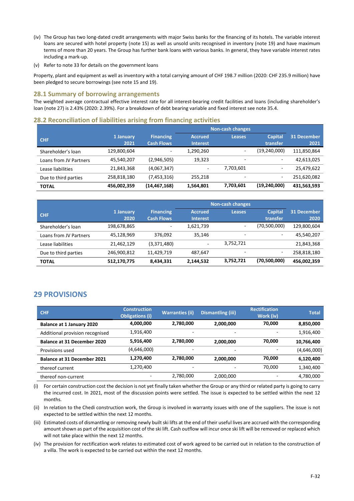- (iv) The Group has two long-dated credit arrangements with major Swiss banks for the financing of its hotels. The variable interest loans are secured with hotel property (note 15) as well as unsold units recognised in inventory (note 19) and have maximum terms of more than 20 years. The Group has further bank loans with various banks. In general, they have variable interest rates including a mark-up.
- (v) Refer to note 33 for details on the government loans

Property, plant and equipment as well as inventory with a total carrying amount of CHF 198.7 million (2020: CHF 235.9 million) have been pledged to secure borrowings (see note 15 and 19).

## 28.1 Summary of borrowing arrangements

The weighted average contractual effective interest rate for all interest-bearing credit facilities and loans (including shareholder's loan (note 27) is 2.43% (2020: 2.39%). For a breakdown of debt bearing variable and fixed interest see note 35.4.

## 28.2 Reconciliation of liabilities arising from financing activities

|                        |             |                          | <b>Non-cash changes</b> |                          |                |             |
|------------------------|-------------|--------------------------|-------------------------|--------------------------|----------------|-------------|
| <b>CHF</b>             | 1 January   | <b>Financing</b>         | <b>Accrued</b>          | <b>Leases</b>            | <b>Capital</b> | 31 December |
|                        | 2021        | <b>Cash Flows</b>        | <b>Interest</b>         |                          | transfer       | 2021        |
| Shareholder's loan     | 129,800,604 | $\overline{\phantom{a}}$ | 1,290,260               | ٠                        | (19, 240, 000) | 111,850,864 |
| Loans from JV Partners | 45,540,207  | (2,946,505)              | 19.323                  | $\overline{\phantom{0}}$ | -              | 42,613,025  |
| Lease liabilities      | 21,843,368  | (4,067,347)              |                         | 7,703,601                | -              | 25,479,622  |
| Due to third parties   | 258,818,180 | (7,453,316)              | 255.218                 | ٠                        | ۰              | 251,620,082 |
| <b>TOTAL</b>           | 456,002,359 | (14, 467, 168)           | 1,564,801               | 7,703,601                | (19, 240, 000) | 431,563,593 |

|                        |                   | <b>Non-cash changes</b>               |                                   |                          |                            |                            |
|------------------------|-------------------|---------------------------------------|-----------------------------------|--------------------------|----------------------------|----------------------------|
| <b>CHF</b>             | 1 January<br>2020 | <b>Financing</b><br><b>Cash Flows</b> | <b>Accrued</b><br><b>Interest</b> | <b>Leases</b>            | <b>Capital</b><br>transfer | <b>31 December</b><br>2020 |
| Shareholder's loan     | 198,678,865       |                                       | 1,621,739                         | ٠                        | (70,500,000)               | 129,800,604                |
| Loans from JV Partners | 45,128,969        | 376.092                               | 35.146                            | $\overline{\phantom{a}}$ | -                          | 45,540,207                 |
| Lease liabilities      | 21,462,129        | (3,371,480)                           | $\overline{\phantom{a}}$          | 3,752,721                |                            | 21,843,368                 |
| Due to third parties   | 246,900,812       | 11,429,719                            | 487,647                           | ٠                        | ۰                          | 258,818,180                |
| <b>TOTAL</b>           | 512,170,775       | 8,434,331                             | 2,144,532                         | 3,752,721                | (70,500,000)               | 456,002,359                |

## 29 PROVISIONS

| <b>CHF</b>                         | <b>Construction</b><br><b>Obligations (i)</b> | <b>Warranties (ii)</b> | <b>Dismantling (iii)</b> | <b>Rectification</b><br>Work (iv) | <b>Total</b> |
|------------------------------------|-----------------------------------------------|------------------------|--------------------------|-----------------------------------|--------------|
| <b>Balance at 1 January 2020</b>   | 4,000,000                                     | 2,780,000              | 2,000,000                | 70.000                            | 8,850,000    |
| Additional provision recognised    | 1,916,400                                     |                        | -                        |                                   | 1,916,400    |
| <b>Balance at 31 December 2020</b> | 5,916,400                                     | 2,780,000              | 2,000,000                | 70,000                            | 10,766,400   |
| Provisions used                    | (4,646,000)                                   | ۰                      |                          |                                   | (4,646,000)  |
| <b>Balance at 31 December 2021</b> | 1,270,400                                     | 2,780,000              | 2,000,000                | 70.000                            | 6,120,400    |
| thereof current                    | 1,270,400                                     |                        |                          | 70,000                            | 1,340,400    |
| thereof non-current                |                                               | 2,780,000              | 2,000,000                |                                   | 4,780,000    |

(i) For certain construction cost the decision is not yet finally taken whether the Group or any third or related party is going to carry the incurred cost. In 2021, most of the discussion points were settled. The issue is expected to be settled within the next 12 months.

(ii) In relation to the Chedi construction work, the Group is involved in warranty issues with one of the suppliers. The issue is not expected to be settled within the next 12 months.

- (iii) Estimated costs of dismantling or removing newly built ski lifts at the end of their useful lives are accrued with the corresponding amount shown as part of the acquisition cost of the ski lift. Cash outflow will incur once ski lift will be removed or replaced which will not take place within the next 12 months.
- (iv) The provision for rectification work relates to estimated cost of work agreed to be carried out in relation to the construction of a villa. The work is expected to be carried out within the next 12 months.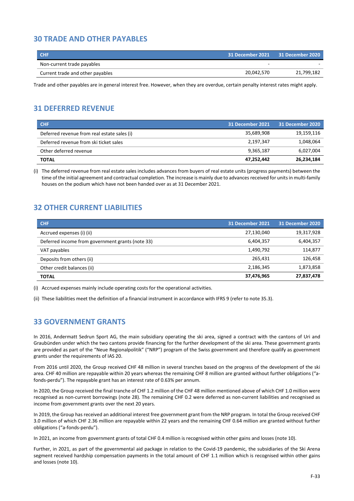## 30 TRADE AND OTHER PAYABLES

| <b>CHF</b>                       | 31 December 2021 31 December 2020 |            |
|----------------------------------|-----------------------------------|------------|
| Non-current trade payables       |                                   |            |
| Current trade and other payables | 20,042,570                        | 21,799,182 |

Trade and other payables are in general interest free. However, when they are overdue, certain penalty interest rates might apply.

## 31 DEFERRED REVENUE

| <b>CHF</b>                                  | 31 December 2021 | 31 December 2020' |
|---------------------------------------------|------------------|-------------------|
| Deferred revenue from real estate sales (i) | 35,689,908       | 19,159,116        |
| Deferred revenue from ski ticket sales      | 2,197,347        | 1,048,064         |
| Other deferred revenue                      | 9,365,187        | 6,027,004         |
| <b>TOTAL</b>                                | 47,252,442       | 26,234,184        |

(i) The deferred revenue from real estate sales includes advances from buyers of real estate units (progress payments) between the time of the initial agreement and contractual completion. The increase is mainly due to advances received for units in multi-family houses on the podium which have not been handed over as at 31 December 2021.

## 32 OTHER CURRENT LIABILITIES

| <b>CHF</b>                                       | 31 December 2021 | 31 December 2020 |
|--------------------------------------------------|------------------|------------------|
| Accrued expenses (i) (ii)                        | 27,130,040       | 19,317,928       |
| Deferred income from government grants (note 33) | 6,404,357        | 6,404,357        |
| VAT payables                                     | 1,490,792        | 114,877          |
| Deposits from others (ii)                        | 265.431          | 126,458          |
| Other credit balances (ii)                       | 2,186,345        | 1,873,858        |
| <b>TOTAL</b>                                     | 37,476,965       | 27,837,478       |

(i) Accrued expenses mainly include operating costs for the operational activities.

(ii) These liabilities meet the definition of a financial instrument in accordance with IFRS 9 (refer to note 35.3).

## 33 GOVERNMENT GRANTS

In 2016, Andermatt Sedrun Sport AG, the main subsidiary operating the ski area, signed a contract with the cantons of Uri and Graubünden under which the two cantons provide financing for the further development of the ski area. These government grants are provided as part of the "Neue Regionalpolitik" ("NRP") program of the Swiss government and therefore qualify as government grants under the requirements of IAS 20.

From 2016 until 2020, the Group received CHF 48 million in several tranches based on the progress of the development of the ski area. CHF 40 million are repayable within 20 years whereas the remaining CHF 8 million are granted without further obligations ("afonds-perdu"). The repayable grant has an interest rate of 0.63% per annum.

In 2020, the Group received the final tranche of CHF 1.2 million of the CHF 48 million mentioned above of which CHF 1.0 million were recognised as non-current borrowings (note 28). The remaining CHF 0.2 were deferred as non-current liabilities and recognised as income from government grants over the next 20 years.

In 2019, the Group has received an additional interest free government grant from the NRP program. In total the Group received CHF 3.0 million of which CHF 2.36 million are repayable within 22 years and the remaining CHF 0.64 million are granted without further obligations ("a-fonds-perdu").

In 2021, an income from government grants of total CHF 0.4 million is recognised within other gains and losses (note 10).

Further, in 2021, as part of the governmental aid package in relation to the Covid-19 pandemic, the subsidiaries of the Ski Arena segment received hardship compensation payments in the total amount of CHF 1.1 million which is recognised within other gains and losses (note 10).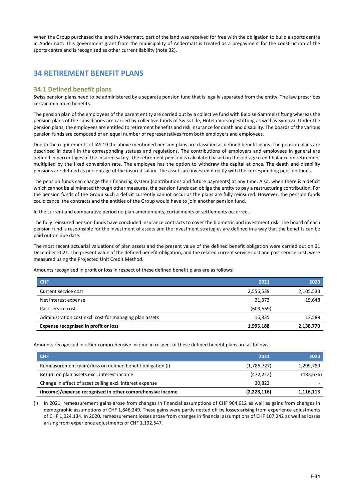When the Group purchased the land in Andermatt, part of the land was received for free with the obligation to build a sports centre in Andermatt. This government grant from the municipality of Andermatt is treated as a prepayment for the construction of the sports centre and is recognised as other current liability (note 32).

## 34 RETIREMENT BENEFIT PLANS

## 34.1 Defined benefit plans

Swiss pension plans need to be administered by a separate pension fund that is legally separated from the entity. The law prescribes certain minimum benefits.

The pension plan of the employees of the parent entity are carried out by a collective fund with Baloise-Sammelstiftung whereas the pension plans of the subsidiaries are carried by collective funds of Swiss Life, Hotela Vorsorgestiftung as well as Symova. Under the pension plans, the employees are entitled to retirement benefits and risk insurance for death and disability. The boards of the various pension funds are composed of an equal number of representatives from both employers and employees.

Due to the requirements of IAS 19 the above mentioned pension plans are classified as defined benefit plans. The pension plans are described in detail in the corresponding statues and regulations. The contributions of employers and employees in general are defined in percentages of the insured salary. The retirement pension is calculated based on the old-age credit balance on retirement multiplied by the fixed conversion rate. The employee has the option to withdraw the capital at once. The death and disability pensions are defined as percentage of the insured salary. The assets are invested directly with the corresponding pension funds.

The pension funds can change their financing system (contributions and future payments) at any time. Also, when there is a deficit which cannot be eliminated through other measures, the pension funds can oblige the entity to pay a restructuring contribution. For the pension funds of the Group such a deficit currently cannot occur as the plans are fully reinsured. However, the pension funds could cancel the contracts and the entities of the Group would have to join another pension fund.

In the current and comparative period no plan amendments, curtailments or settlements occurred.

The fully reinsured pension funds have concluded insurance contracts to cover the biometric and investment risk. The board of each pension fund is responsible for the investment of assets and the investment strategies are defined in a way that the benefits can be paid out on due date.

The most recent actuarial valuations of plan assets and the present value of the defined benefit obligation were carried out on 31 December 2021. The present value of the defined benefit obligation, and the related current service cost and past service cost, were measured using the Projected Unit Credit Method.

Amounts recognised in profit or loss in respect of these defined benefit plans are as follows:

| <b>CHF</b>                                              | 2021       | 2020      |
|---------------------------------------------------------|------------|-----------|
| Current service cost                                    | 2,556,539  | 2,105,533 |
| Net interest expense                                    | 21.373     | 19,648    |
| Past service cost                                       | (609, 559) |           |
| Administration cost excl. cost for managing plan assets | 16.835     | 13,589    |
| Expense recognised in profit or loss                    | 1,995,188  | 2,138,770 |

Amounts recognised in other comprehensive income in respect of these defined benefit plans are as follows:

| <b>CHF</b>                                                  | 2021        | 2020       |
|-------------------------------------------------------------|-------------|------------|
| Remeasurement (gain)/loss on defined benefit obligation (i) | (1,786,727) | 1,299,789  |
| Return on plan assets excl. interest income                 | (472, 212)  | (183, 676) |
| Change in effect of asset ceiling excl. interest expense    | 30.823      |            |
| (Income)/expense recognised in other comprehensive income   | (2,228,116) | 1,116,113  |

(i) In 2021, remeasurement gains arose from changes in financial assumptions of CHF 964,612 as well as gains from changes in demographic assumptions of CHF 1,846,249. These gains were partly netted off by losses arising from experience adjustments of CHF 1,024,134. In 2020, remeasurement losses arose from changes in financial assumptions of CHF 107,242 as well as losses arising from experience adjustments of CHF 1,192,547.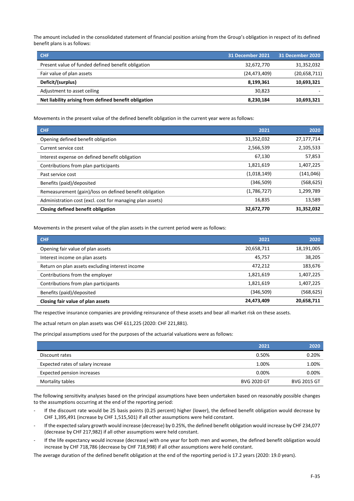The amount included in the consolidated statement of financial position arising from the Group's obligation in respect of its defined benefit plans is as follows:

| <b>CHF</b>                                            | 31 December 2021 | 31 December 2020 |
|-------------------------------------------------------|------------------|------------------|
| Present value of funded defined benefit obligation    | 32,672,770       | 31,352,032       |
| Fair value of plan assets                             | (24, 473, 409)   | (20, 658, 711)   |
| Deficit/(surplus)                                     | 8.199.361        | 10,693,321       |
| Adjustment to asset ceiling                           | 30.823           |                  |
| Net liability arising from defined benefit obligation | 8,230,184        | 10,693,321       |

Movements in the present value of the defined benefit obligation in the current year were as follows:

| <b>CHF</b>                                                | 2021        | 2020       |
|-----------------------------------------------------------|-------------|------------|
| Opening defined benefit obligation                        | 31,352,032  | 27,177,714 |
| Current service cost                                      | 2,566,539   | 2,105,533  |
| Interest expense on defined benefit obligation            | 67,130      | 57,853     |
| Contributions from plan participants                      | 1,821,619   | 1,407,225  |
| Past service cost                                         | (1,018,149) | (141, 046) |
| Benefits (paid)/deposited                                 | (346, 509)  | (568, 625) |
| Remeasurement (gain)/loss on defined benefit obligation   | (1,786,727) | 1,299,789  |
| Administration cost (excl. cost for managing plan assets) | 16,835      | 13,589     |
| Closing defined benefit obligation                        | 32,672,770  | 31,352,032 |

Movements in the present value of the plan assets in the current period were as follows:

| <b>CHF</b>                                      | 2021       | 2020       |
|-------------------------------------------------|------------|------------|
| Opening fair value of plan assets               | 20,658,711 | 18,191,005 |
| Interest income on plan assets                  | 45,757     | 38,205     |
| Return on plan assets excluding interest income | 472.212    | 183,676    |
| Contributions from the employer                 | 1,821,619  | 1,407,225  |
| Contributions from plan participants            | 1,821,619  | 1,407,225  |
| Benefits (paid)/deposited                       | (346,509)  | (568, 625) |
| Closing fair value of plan assets               | 24,473,409 | 20,658,711 |

The respective insurance companies are providing reinsurance of these assets and bear all market risk on these assets.

The actual return on plan assets was CHF 611,225 (2020: CHF 221,881).

The principal assumptions used for the purposes of the actuarial valuations were as follows:

|                                   | 2021        | 2020               |
|-----------------------------------|-------------|--------------------|
| Discount rates                    | 0.50%       | 0.20%              |
| Expected rates of salary increase | 1.00%       | 1.00%              |
| Expected pension increases        | 0.00%       | 0.00%              |
| Mortality tables                  | BVG 2020 GT | <b>BVG 2015 GT</b> |

The following sensitivity analyses based on the principal assumptions have been undertaken based on reasonably possible changes to the assumptions occurring at the end of the reporting period:

- If the discount rate would be 25 basis points (0.25 percent) higher (lower), the defined benefit obligation would decrease by CHF 1,395,491 (increase by CHF 1,515,501) if all other assumptions were held constant.
- If the expected salary growth would increase (decrease) by 0.25%, the defined benefit obligation would increase by CHF 234,077 (decrease by CHF 217,982) if all other assumptions were held constant.
- If the life expectancy would increase (decrease) with one year for both men and women, the defined benefit obligation would increase by CHF 718,786 (decrease by CHF 718,998) if all other assumptions were held constant.

The average duration of the defined benefit obligation at the end of the reporting period is 17.2 years (2020: 19.0 years).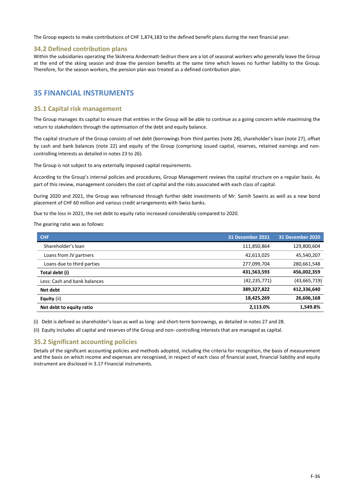The Group expects to make contributions of CHF 1,874,183 to the defined benefit plans during the next financial year.

### 34.2 Defined contribution plans

Within the subsidiaries operating the SkiArena Andermatt-Sedrun there are a lot of seasonal workers who generally leave the Group at the end of the skiing season and draw the pension benefits at the same time which leaves no further liability to the Group. Therefore, for the season workers, the pension plan was treated as a defined contribution plan.

## 35 FINANCIAL INSTRUMENTS

## 35.1 Capital risk management

The Group manages its capital to ensure that entities in the Group will be able to continue as a going concern while maximising the return to stakeholders through the optimisation of the debt and equity balance.

The capital structure of the Group consists of net debt (borrowings from third parties (note 28), shareholder's loan (note 27), offset by cash and bank balances (note 22) and equity of the Group (comprising issued capital, reserves, retained earnings and noncontrolling interests as detailed in notes 23 to 26).

The Group is not subject to any externally imposed capital requirements.

According to the Group's internal policies and procedures, Group Management reviews the capital structure on a regular basis. As part of this review, management considers the cost of capital and the risks associated with each class of capital.

During 2020 and 2021, the Group was refinanced through further debt investments of Mr. Samih Sawiris as well as a new bond placement of CHF 60 million and various credit arrangements with Swiss banks.

Due to the loss in 2021, the net debt to equity ratio increased considerably compared to 2020.

The gearing ratio was as follows:

| <b>CHF</b>                   | <b>31 December 2021</b> | 31 December 2020 |
|------------------------------|-------------------------|------------------|
| Shareholder's loan           | 111,850,864             | 129,800,604      |
| Loans from JV partners       | 42,613,025              | 45,540,207       |
| Loans due to third parties   | 277,099,704             | 280,661,548      |
| Total debt (i)               | 431,563,593             | 456,002,359      |
| Less: Cash and bank balances | (42, 235, 771)          | (43,665,719)     |
| Net debt                     | 389,327,822             | 412,336,640      |
| Equity (ii)                  | 18,425,269              | 26,606,168       |
| Net debt to equity ratio     | 2,113.0%                | 1,549.8%         |

(i) Debt is defined as shareholder's loan as well as long- and short-term borrowings, as detailed in notes 27 and 28.

(ii) Equity includes all capital and reserves of the Group and non- controlling interests that are managed as capital.

## 35.2 Significant accounting policies

Details of the significant accounting policies and methods adopted, including the criteria for recognition, the basis of measurement and the basis on which income and expenses are recognised, in respect of each class of financial asset, financial liability and equity instrument are disclosed in 3.17 Financial instruments.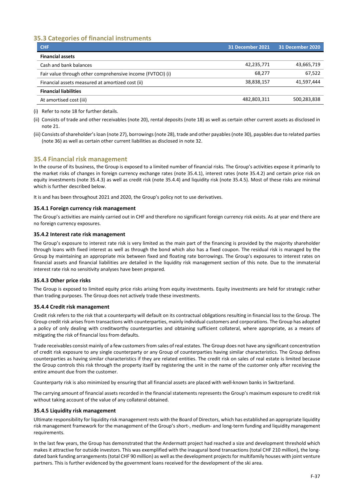## 35.3 Categories of financial instruments

| <b>CHF</b>                                                 | <b>31 December 2021</b> | 31 December 2020 |
|------------------------------------------------------------|-------------------------|------------------|
| <b>Financial assets</b>                                    |                         |                  |
| Cash and bank balances                                     | 42,235,771              | 43,665,719       |
| Fair value through other comprehensive income (FVTOCI) (i) | 68.277                  | 67,522           |
| Financial assets measured at amortized cost (ii)           | 38,838,157              | 41,597,444       |
| <b>Financial liabilities</b>                               |                         |                  |
| At amortised cost (iii)                                    | 482,803,311             | 500,283,838      |
|                                                            |                         |                  |

(i) Refer to note 18 for further details.

(ii) Consists of trade and other receivables (note 20), rental deposits (note 18) as well as certain other current assets as disclosed in note 21.

(iii) Consists of shareholder's loan (note 27), borrowings (note 28), trade and other payables (note 30), payables due to related parties (note 36) as well as certain other current liabilities as disclosed in note 32.

## 35.4 Financial risk management

In the course of its business, the Group is exposed to a limited number of financial risks. The Group's activities expose it primarily to the market risks of changes in foreign currency exchange rates (note 35.4.1), interest rates (note 35.4.2) and certain price risk on equity investments (note 35.4.3) as well as credit risk (note 35.4.4) and liquidity risk (note 35.4.5). Most of these risks are minimal which is further described below.

It is and has been throughout 2021 and 2020, the Group's policy not to use derivatives.

#### 35.4.1 Foreign currency risk management

The Group's activities are mainly carried out in CHF and therefore no significant foreign currency risk exists. As at year end there are no foreign currency exposures.

#### 35.4.2 Interest rate risk management

The Group's exposure to interest rate risk is very limited as the main part of the financing is provided by the majority shareholder through loans with fixed interest as well as through the bond which also has a fixed coupon. The residual risk is managed by the Group by maintaining an appropriate mix between fixed and floating rate borrowings. The Group's exposures to interest rates on financial assets and financial liabilities are detailed in the liquidity risk management section of this note. Due to the immaterial interest rate risk no sensitivity analyses have been prepared.

#### 35.4.3 Other price risks

The Group is exposed to limited equity price risks arising from equity investments. Equity investments are held for strategic rather than trading purposes. The Group does not actively trade these investments.

#### 35.4.4 Credit risk management

Credit risk refers to the risk that a counterparty will default on its contractual obligations resulting in financial loss to the Group. The Group credit risk arises from transactions with counterparties, mainly individual customers and corporations. The Group has adopted a policy of only dealing with creditworthy counterparties and obtaining sufficient collateral, where appropriate, as a means of mitigating the risk of financial loss from defaults.

Trade receivables consist mainly of a few customers from sales of real estates. The Group does not have any significant concentration of credit risk exposure to any single counterparty or any Group of counterparties having similar characteristics. The Group defines counterparties as having similar characteristics if they are related entities. The credit risk on sales of real estate is limited because the Group controls this risk through the property itself by registering the unit in the name of the customer only after receiving the entire amount due from the customer.

Counterparty risk is also minimized by ensuring that all financial assets are placed with well-known banks in Switzerland.

The carrying amount of financial assets recorded in the financial statements represents the Group's maximum exposure to credit risk without taking account of the value of any collateral obtained.

#### 35.4.5 Liquidity risk management

Ultimate responsibility for liquidity risk management rests with the Board of Directors, which has established an appropriate liquidity risk management framework for the management of the Group's short-, medium- and long-term funding and liquidity management requirements.

In the last few years, the Group has demonstrated that the Andermatt project had reached a size and development threshold which makes it attractive for outside investors. This was exemplified with the inaugural bond transactions (total CHF 210 million), the longdated bank funding arrangements (total CHF 90 million) as well as the development projects for multifamily houses with joint venture partners. This is further evidenced by the government loans received for the development of the ski area.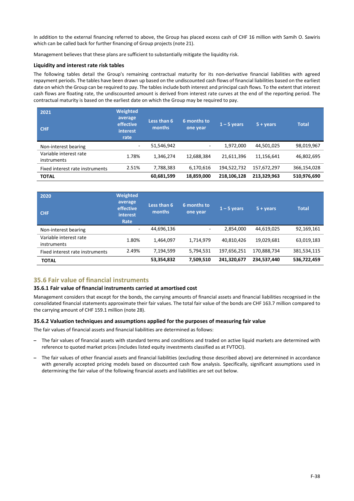In addition to the external financing referred to above, the Group has placed excess cash of CHF 16 million with Samih O. Sawiris which can be called back for further financing of Group projects (note 21).

Management believes that these plans are sufficient to substantially mitigate the liquidity risk.

#### Liquidity and interest rate risk tables

The following tables detail the Group's remaining contractual maturity for its non-derivative financial liabilities with agreed repayment periods. The tables have been drawn up based on the undiscounted cash flows of financial liabilities based on the earliest date on which the Group can be required to pay. The tables include both interest and principal cash flows. To the extent that interest cash flows are floating rate, the undiscounted amount is derived from interest rate curves at the end of the reporting period. The contractual maturity is based on the earliest date on which the Group may be required to pay.

| 2021<br><b>CHF</b>                    | Weighted<br>average<br>effective<br><b>interest</b><br>rate | Less than 6<br>months | 6 months to<br>one year | $1 - 5$ years | $5 + \mathrm{years}$ | <b>Total</b> |
|---------------------------------------|-------------------------------------------------------------|-----------------------|-------------------------|---------------|----------------------|--------------|
| Non-interest bearing                  | $\overline{\phantom{a}}$                                    | 51,546,942            | ٠                       | 1,972,000     | 44,501,025           | 98,019,967   |
| Variable interest rate<br>instruments | 1.78%                                                       | 1,346,274             | 12,688,384              | 21,611,396    | 11,156,641           | 46,802,695   |
| Fixed interest rate instruments       | 2.51%                                                       | 7,788,383             | 6,170,616               | 194,522,732   | 157,672,297          | 366,154,028  |
| <b>TOTAL</b>                          |                                                             | 60,681,599            | 18,859,000              | 218,106,128   | 213,329,963          | 510,976,690  |

| 2020<br><b>CHF</b>                    | Weighted<br>average<br>effective<br>interest<br>Rate | Less than 6<br>months | 6 months to<br>one year | $1 - 5$ years | $5 + \gamma$ ears | <b>Total</b> |
|---------------------------------------|------------------------------------------------------|-----------------------|-------------------------|---------------|-------------------|--------------|
| Non-interest bearing                  | $\overline{\phantom{a}}$                             | 44,696,136            |                         | 2,854,000     | 44,619,025        | 92,169,161   |
| Variable interest rate<br>instruments | 1.80%                                                | 1,464,097             | 1,714,979               | 40,810,426    | 19,029,681        | 63,019,183   |
| Fixed interest rate instruments       | 2.49%                                                | 7,194,599             | 5,794,531               | 197,656,251   | 170,888,734       | 381,534,115  |
| <b>TOTAL</b>                          |                                                      | 53,354,832            | 7,509,510               | 241,320,677   | 234,537,440       | 536,722,459  |

## 35.6 Fair value of financial instruments

## 35.6.1 Fair value of financial instruments carried at amortised cost

Management considers that except for the bonds, the carrying amounts of financial assets and financial liabilities recognised in the consolidated financial statements approximate their fair values. The total fair value of the bonds are CHF 163.7 million compared to the carrying amount of CHF 159.1 million (note 28).

#### 35.6.2 Valuation techniques and assumptions applied for the purposes of measuring fair value

The fair values of financial assets and financial liabilities are determined as follows:

- The fair values of financial assets with standard terms and conditions and traded on active liquid markets are determined with reference to quoted market prices (includes listed equity investments classified as at FVTOCI).
- The fair values of other financial assets and financial liabilities (excluding those described above) are determined in accordance with generally accepted pricing models based on discounted cash flow analysis. Specifically, significant assumptions used in determining the fair value of the following financial assets and liabilities are set out below.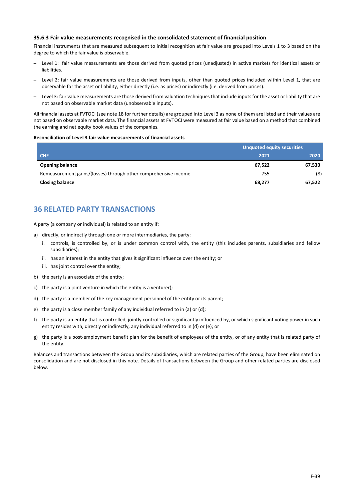#### 35.6.3 Fair value measurements recognised in the consolidated statement of financial position

Financial instruments that are measured subsequent to initial recognition at fair value are grouped into Levels 1 to 3 based on the degree to which the fair value is observable.

- Level 1: fair value measurements are those derived from quoted prices (unadjusted) in active markets for identical assets or liabilities.
- Level 2: fair value measurements are those derived from inputs, other than quoted prices included within Level 1, that are observable for the asset or liability, either directly (i.e. as prices) or indirectly (i.e. derived from prices).
- Level 3: fair value measurements are those derived from valuation techniques that include inputs for the asset or liability that are not based on observable market data (unobservable inputs).

All financial assets at FVTOCI (see note 18 for further details) are grouped into Level 3 as none of them are listed and their values are not based on observable market data. The financial assets at FVTOCI were measured at fair value based on a method that combined the earning and net equity book values of the companies.

#### Reconciliation of Level 3 fair value measurements of financial assets

|                                                                 | <b>Unquoted equity securities</b> |        |  |
|-----------------------------------------------------------------|-----------------------------------|--------|--|
| <b>CHF</b>                                                      | 2021                              | 2020   |  |
| <b>Opening balance</b>                                          | 67.522                            | 67,530 |  |
| Remeasurement gains/(losses) through other comprehensive income | 755                               | (8)    |  |
| <b>Closing balance</b>                                          | 68,277                            | 67,522 |  |

## 36 RELATED PARTY TRANSACTIONS

A party (a company or individual) is related to an entity if:

a) directly, or indirectly through one or more intermediaries, the party:

- i. controls, is controlled by, or is under common control with, the entity (this includes parents, subsidiaries and fellow subsidiaries);
- ii. has an interest in the entity that gives it significant influence over the entity; or
- iii. has joint control over the entity;
- b) the party is an associate of the entity;
- c) the party is a joint venture in which the entity is a venturer);
- d) the party is a member of the key management personnel of the entity or its parent;
- e) the party is a close member family of any individual referred to in (a) or (d);
- f) the party is an entity that is controlled, jointly controlled or significantly influenced by, or which significant voting power in such entity resides with, directly or indirectly, any individual referred to in (d) or (e); or
- g) the party is a post-employment benefit plan for the benefit of employees of the entity, or of any entity that is related party of the entity.

Balances and transactions between the Group and its subsidiaries, which are related parties of the Group, have been eliminated on consolidation and are not disclosed in this note. Details of transactions between the Group and other related parties are disclosed below.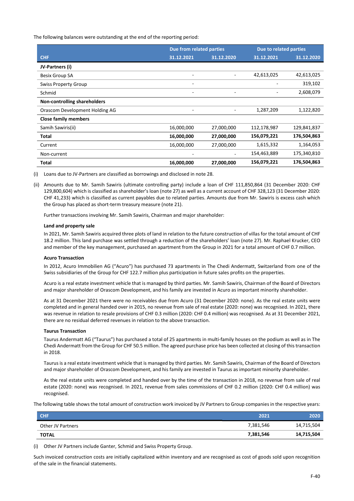The following balances were outstanding at the end of the reporting period:

|                                | Due from related parties |            | Due to related parties |             |
|--------------------------------|--------------------------|------------|------------------------|-------------|
| <b>CHF</b>                     | 31.12.2021               | 31.12.2020 | 31.12.2021             | 31.12.2020  |
| JV-Partners (i)                |                          |            |                        |             |
| Besix Group SA                 |                          |            | 42,613,025             | 42,613,025  |
| Swiss Property Group           | ٠                        |            |                        | 319,102     |
| Schmid                         |                          |            |                        | 2,608,079   |
| Non-controlling shareholders   |                          |            |                        |             |
| Orascom Development Holding AG | ٠                        |            | 1,287,209              | 1,122,820   |
| <b>Close family members</b>    |                          |            |                        |             |
| Samih Sawiris(ii)              | 16,000,000               | 27,000,000 | 112,178,987            | 129,841,837 |
| <b>Total</b>                   | 16,000,000               | 27,000,000 | 156,079,221            | 176,504,863 |
| Current                        | 16,000,000               | 27,000,000 | 1,615,332              | 1,164,053   |
| Non-current                    |                          |            | 154,463,889            | 175,340,810 |
| Total                          | 16,000,000               | 27,000,000 | 156,079,221            | 176,504,863 |

(i) Loans due to JV-Partners are classified as borrowings and disclosed in note 28.

(ii) Amounts due to Mr. Samih Sawiris (ultimate controlling party) include a loan of CHF 111,850,864 (31 December 2020: CHF 129,800,604) which is classified as shareholder's loan (note 27) as well as a current account of CHF 328,123 (31 December 2020: CHF 41,233) which is classified as current payables due to related parties. Amounts due from Mr. Sawiris is excess cash which the Group has placed as short-term treasury measure (note 21).

Further transactions involving Mr. Samih Sawiris, Chairman and major shareholder:

#### Land and property sale

In 2021, Mr. Samih Sawiris acquired three plots of land in relation to the future construction of villas for the total amount of CHF 18.2 million. This land purchase was settled through a reduction of the shareholders' loan (note 27). Mr. Raphael Krucker, CEO and member of the key management, purchased an apartment from the Group in 2021 for a total amount of CHF 0.7 million.

#### Acuro Transaction

In 2012, Acuro Immobilien AG ("Acuro") has purchased 73 apartments in The Chedi Andermatt, Switzerland from one of the Swiss subsidiaries of the Group for CHF 122.7 million plus participation in future sales profits on the properties.

Acuro is a real estate investment vehicle that is managed by third parties. Mr. Samih Sawiris, Chairman of the Board of Directors and major shareholder of Orascom Development, and his family are invested in Acuro as important minority shareholder.

As at 31 December 2021 there were no receivables due from Acuro (31 December 2020: none). As the real estate units were completed and in general handed over in 2015, no revenue from sale of real estate (2020: none) was recognised. In 2021, there was revenue in relation to resale provisions of CHF 0.3 million (2020: CHF 0.4 million) was recognised. As at 31 December 2021, there are no residual deferred revenues in relation to the above transaction.

#### Taurus Transaction

Taurus Andermatt AG ("Taurus") has purchased a total of 25 apartments in multi-family houses on the podium as well as in The Chedi Andermatt from the Group for CHF 50.5 million. The agreed purchase price has been collected at closing of this transaction in 2018.

Taurus is a real estate investment vehicle that is managed by third parties. Mr. Samih Sawiris, Chairman of the Board of Directors and major shareholder of Orascom Development, and his family are invested in Taurus as important minority shareholder.

As the real estate units were completed and handed over by the time of the transaction in 2018, no revenue from sale of real estate (2020: none) was recognised. In 2021, revenue from sales commissions of CHF 0.2 million (2020: CHF 0.4 million) was recognised.

The following table shows the total amount of construction work invoiced by JV Partners to Group companies in the respective years:

| <b>TOTAL</b>      | 7,381,546 | 14,715,504 |
|-------------------|-----------|------------|
| Other JV Partners | 7,381,546 | 14,715,504 |
| <b>CHF</b>        | 2021      | 2020       |

(i) Other JV Partners include Ganter, Schmid and Swiss Property Group.

Such invoiced construction costs are initially capitalized within inventory and are recognised as cost of goods sold upon recognition of the sale in the financial statements.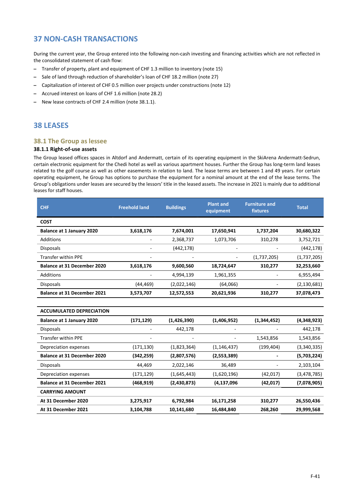## 37 NON-CASH TRANSACTIONS

During the current year, the Group entered into the following non-cash investing and financing activities which are not reflected in the consolidated statement of cash flow:

- Transfer of property, plant and equipment of CHF 1.3 million to inventory (note 15)
- Sale of land through reduction of shareholder's loan of CHF 18.2 million (note 27)
- Capitalization of interest of CHF 0.5 million over projects under constructions (note 12)
- Accrued interest on loans of CHF 1.6 million (note 28.2)
- New lease contracts of CHF 2.4 million (note 38.1.1).

## 38 LEASES

## 38.1 The Group as lessee

## 38.1.1 Right-of-use assets

The Group leased offices spaces in Altdorf and Andermatt, certain of its operating equipment in the SkiArena Andermatt-Sedrun, certain electronic equipment for the Chedi hotel as well as various apartment houses. Further the Group has long-term land leases related to the golf course as well as other easements in relation to land. The lease terms are between 1 and 49 years. For certain operating equipment, he Group has options to purchase the equipment for a nominal amount at the end of the lease terms. The Group's obligations under leases are secured by the lessors' title in the leased assets. The increase in 2021 is mainly due to additional leases for staff houses.

| <b>CHF</b>                         | <b>Freehold land</b> | <b>Buildings</b> | <b>Plant and</b><br>equipment | <b>Furniture and</b><br>fixtures | <b>Total</b>  |
|------------------------------------|----------------------|------------------|-------------------------------|----------------------------------|---------------|
| <b>COST</b>                        |                      |                  |                               |                                  |               |
| Balance at 1 January 2020          | 3,618,176            | 7,674,001        | 17,650,941                    | 1,737,204                        | 30,680,322    |
| Additions                          |                      | 2,368,737        | 1,073,706                     | 310,278                          | 3,752,721     |
| <b>Disposals</b>                   |                      | (442, 178)       |                               |                                  | (442, 178)    |
| <b>Transfer within PPE</b>         |                      |                  | ٠                             | (1,737,205)                      | (1,737,205)   |
| <b>Balance at 31 December 2020</b> | 3,618,176            | 9,600,560        | 18,724,647                    | 310,277                          | 32,253,660    |
| Additions                          |                      | 4,994,139        | 1,961,355                     |                                  | 6,955,494     |
| <b>Disposals</b>                   | (44, 469)            | (2,022,146)      | (64,066)                      |                                  | (2, 130, 681) |
| <b>Balance at 31 December 2021</b> | 3,573,707            | 12,572,553       | 20,621,936                    | 310,277                          | 37,078,473    |

| <b>ACCUMULATED DEPRECIATION</b>    |                          |             |               |             |             |
|------------------------------------|--------------------------|-------------|---------------|-------------|-------------|
| <b>Balance at 1 January 2020</b>   | (171, 129)               | (1,426,390) | (1,406,952)   | (1,344,452) | (4,348,923) |
| <b>Disposals</b>                   |                          | 442,178     | ٠             |             | 442,178     |
| <b>Transfer within PPE</b>         | $\overline{\phantom{0}}$ | ۰           | ٠             | 1,543,856   | 1,543,856   |
| Depreciation expenses              | (171, 130)               | (1,823,364) | (1, 146, 437) | (199, 404)  | (3,340,335) |
| <b>Balance at 31 December 2020</b> | (342, 259)               | (2,807,576) | (2,553,389)   | ۰           | (5,703,224) |
| <b>Disposals</b>                   | 44,469                   | 2,022,146   | 36,489        | ٠           | 2,103,104   |
| Depreciation expenses              | (171, 129)               | (1,645,443) | (1,620,196)   | (42, 017)   | (3,478,785) |
| <b>Balance at 31 December 2021</b> | (468, 919)               | (2,430,873) | (4, 137, 096) | (42, 017)   | (7,078,905) |
| <b>CARRYING AMOUNT</b>             |                          |             |               |             |             |
| At 31 December 2020                | 3,275,917                | 6,792,984   | 16,171,258    | 310,277     | 26,550,436  |
| At 31 December 2021                | 3,104,788                | 10,141,680  | 16,484,840    | 268,260     | 29,999,568  |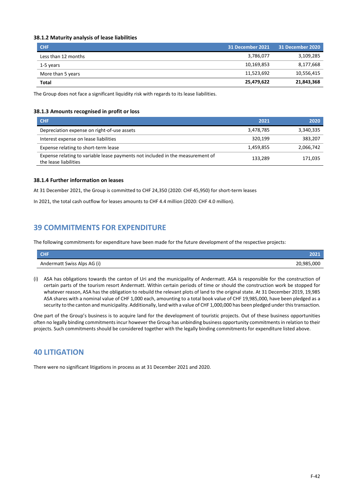### 38.1.2 Maturity analysis of lease liabilities

| <b>CHF</b>          | 31 December 2021 | 31 December 2020 |
|---------------------|------------------|------------------|
| Less than 12 months | 3,786,077        | 3,109,285        |
| 1-5 years           | 10,169,853       | 8,177,668        |
| More than 5 years   | 11,523,692       | 10,556,415       |
| <b>Total</b>        | 25,479,622       | 21,843,368       |

The Group does not face a significant liquidity risk with regards to its lease liabilities.

#### 38.1.3 Amounts recognised in profit or loss

| <b>CHF</b>                                                                                              | 2021      | 2020      |
|---------------------------------------------------------------------------------------------------------|-----------|-----------|
| Depreciation expense on right-of-use assets                                                             | 3,478,785 | 3,340,335 |
| Interest expense on lease liabilities                                                                   | 320.199   | 383,207   |
| Expense relating to short-term lease                                                                    | 1.459.855 | 2,066,742 |
| Expense relating to variable lease payments not included in the measurement of<br>the lease liabilities | 133,289   | 171,035   |

#### 38.1.4 Further information on leases

At 31 December 2021, the Group is committed to CHF 24,350 (2020: CHF 45,950) for short-term leases

In 2021, the total cash outflow for leases amounts to CHF 4.4 million (2020: CHF 4.0 million).

## 39 COMMITMENTS FOR EXPENDITURE

The following commitments for expenditure have been made for the future development of the respective projects:

| <b>CHE</b>                  | 2021       |
|-----------------------------|------------|
| Andermatt Swiss Alps AG (i) | 20,985,000 |

(i) ASA has obligations towards the canton of Uri and the municipality of Andermatt. ASA is responsible for the construction of certain parts of the tourism resort Andermatt. Within certain periods of time or should the construction work be stopped for whatever reason, ASA has the obligation to rebuild the relevant plots of land to the original state. At 31 December 2019, 19,985 ASA shares with a nominal value of CHF 1,000 each, amounting to a total book value of CHF 19,985,000, have been pledged as a security to the canton and municipality. Additionally, land with a value of CHF 1,000,000 has been pledged under this transaction.

One part of the Group's business is to acquire land for the development of touristic projects. Out of these business opportunities often no legally binding commitments incur however the Group has unbinding business opportunity commitments in relation to their projects. Such commitments should be considered together with the legally binding commitments for expenditure listed above.

## 40 LITIGATION

There were no significant litigations in process as at 31 December 2021 and 2020.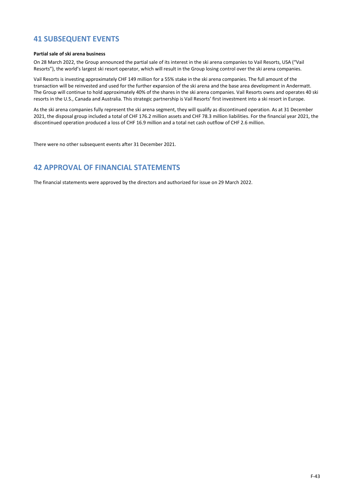## 41 SUBSEQUENT EVENTS

#### Partial sale of ski arena business

On 28 March 2022, the Group announced the partial sale of its interest in the ski arena companies to Vail Resorts, USA ("Vail Resorts"), the world's largest ski resort operator, which will result in the Group losing control over the ski arena companies.

Vail Resorts is investing approximately CHF 149 million for a 55% stake in the ski arena companies. The full amount of the transaction will be reinvested and used for the further expansion of the ski arena and the base area development in Andermatt. The Group will continue to hold approximately 40% of the shares in the ski arena companies. Vail Resorts owns and operates 40 ski resorts in the U.S., Canada and Australia. This strategic partnership is Vail Resorts' first investment into a ski resort in Europe.

As the ski arena companies fully represent the ski arena segment, they will qualify as discontinued operation. As at 31 December 2021, the disposal group included a total of CHF 176.2 million assets and CHF 78.3 million liabilities. For the financial year 2021, the discontinued operation produced a loss of CHF 16.9 million and a total net cash outflow of CHF 2.6 million.

There were no other subsequent events after 31 December 2021.

## 42 APPROVAL OF FINANCIAL STATEMENTS

The financial statements were approved by the directors and authorized for issue on 29 March 2022.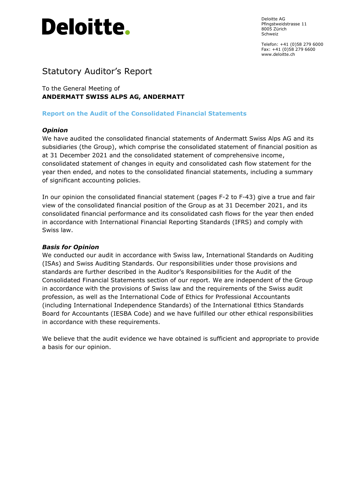Deloitte AG Pfingstweidstrasse 11 8005 Zürich Schweiz

Telefon: +41 (0)58 279 6000 Fax: +41 (0)58 279 6600 www.deloitte.ch

## Statutory Auditor's Report

To the General Meeting of **ANDERMATT SWISS ALPS AG, ANDERMATT** 

## **Report on the Audit of the Consolidated Financial Statements**

## *Opinion*

We have audited the consolidated financial statements of Andermatt Swiss Alps AG and its subsidiaries (the Group), which comprise the consolidated statement of financial position as at 31 December 2021 and the consolidated statement of comprehensive income, consolidated statement of changes in equity and consolidated cash flow statement for the year then ended, and notes to the consolidated financial statements, including a summary of significant accounting policies.

In our opinion the consolidated financial statement (pages F-2 to F-43) give a true and fair view of the consolidated financial position of the Group as at 31 December 2021, and its consolidated financial performance and its consolidated cash flows for the year then ended in accordance with International Financial Reporting Standards (IFRS) and comply with Swiss law.

## *Basis for Opinion*

We conducted our audit in accordance with Swiss law, International Standards on Auditing (ISAs) and Swiss Auditing Standards. Our responsibilities under those provisions and standards are further described in the Auditor's Responsibilities for the Audit of the Consolidated Financial Statements section of our report. We are independent of the Group in accordance with the provisions of Swiss law and the requirements of the Swiss audit profession, as well as the International Code of Ethics for Professional Accountants (including International Independence Standards) of the International Ethics Standards Board for Accountants (IESBA Code) and we have fulfilled our other ethical responsibilities in accordance with these requirements.

We believe that the audit evidence we have obtained is sufficient and appropriate to provide a basis for our opinion.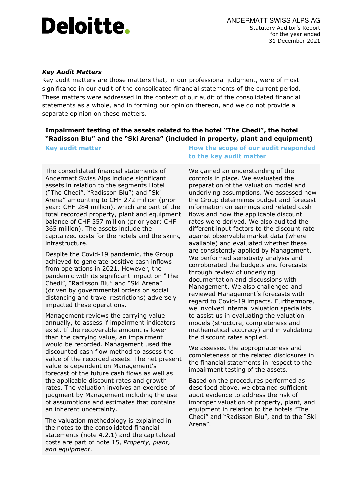## *Key Audit Matters*

Key audit matters are those matters that, in our professional judgment, were of most significance in our audit of the consolidated financial statements of the current period. These matters were addressed in the context of our audit of the consolidated financial statements as a whole, and in forming our opinion thereon, and we do not provide a separate opinion on these matters.

## **Impairment testing of the assets related to the hotel "The Chedi", the hotel "Radisson Blu" and the "Ski Arena" (included in property, plant and equipment)**

The consolidated financial statements of Andermatt Swiss Alps include significant assets in relation to the segments Hotel ("The Chedi", "Radisson Blu") and "Ski Arena" amounting to CHF 272 million (prior year: CHF 284 million), which are part of the total recorded property, plant and equipment balance of CHF 357 million (prior year: CHF 365 million). The assets include the capitalized costs for the hotels and the skiing infrastructure.

Despite the Covid-19 pandemic, the Group achieved to generate positive cash inflows from operations in 2021. However, the pandemic with its significant impact on "The Chedi", "Radisson Blu" and "Ski Arena" (driven by governmental orders on social distancing and travel restrictions) adversely impacted these operations.

Management reviews the carrying value annually, to assess if impairment indicators exist. If the recoverable amount is lower than the carrying value, an impairment would be recorded. Management used the discounted cash flow method to assess the value of the recorded assets. The net present value is dependent on Management's forecast of the future cash flows as well as the applicable discount rates and growth rates. The valuation involves an exercise of judgment by Management including the use of assumptions and estimates that contains an inherent uncertainty.

The valuation methodology is explained in the notes to the consolidated financial statements (note 4.2.1) and the capitalized costs are part of note 15, *Property, plant, and equipment*.

**Key audit matter How the scope of our audit responded to the key audit matter**

> We gained an understanding of the controls in place. We evaluated the preparation of the valuation model and underlying assumptions. We assessed how the Group determines budget and forecast information on earnings and related cash flows and how the applicable discount rates were derived. We also audited the different input factors to the discount rate against observable market data (where available) and evaluated whether these are consistently applied by Management. We performed sensitivity analysis and corroborated the budgets and forecasts through review of underlying documentation and discussions with Management. We also challenged and reviewed Management's forecasts with regard to Covid-19 impacts. Furthermore, we involved internal valuation specialists to assist us in evaluating the valuation models (structure, completeness and mathematical accuracy) and in validating the discount rates applied.

We assessed the appropriateness and completeness of the related disclosures in the financial statements in respect to the impairment testing of the assets.

Based on the procedures performed as described above, we obtained sufficient audit evidence to address the risk of improper valuation of property, plant, and equipment in relation to the hotels "The Chedi" and "Radisson Blu", and to the "Ski Arena".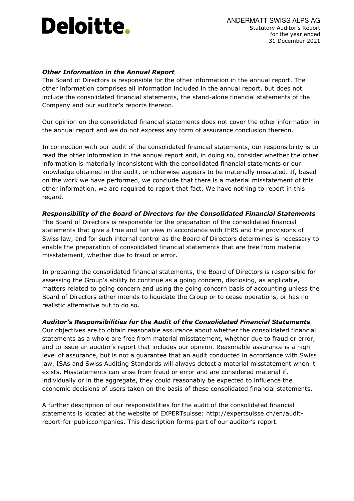## *Other Information in the Annual Report*

The Board of Directors is responsible for the other information in the annual report. The other information comprises all information included in the annual report, but does not include the consolidated financial statements, the stand-alone financial statements of the Company and our auditor's reports thereon.

Our opinion on the consolidated financial statements does not cover the other information in the annual report and we do not express any form of assurance conclusion thereon.

In connection with our audit of the consolidated financial statements, our responsibility is to read the other information in the annual report and, in doing so, consider whether the other information is materially inconsistent with the consolidated financial statements or our knowledge obtained in the audit, or otherwise appears to be materially misstated. If, based on the work we have performed, we conclude that there is a material misstatement of this other information, we are required to report that fact. We have nothing to report in this regard.

## *Responsibility of the Board of Directors for the Consolidated Financial Statements*

The Board of Directors is responsible for the preparation of the consolidated financial statements that give a true and fair view in accordance with IFRS and the provisions of Swiss law, and for such internal control as the Board of Directors determines is necessary to enable the preparation of consolidated financial statements that are free from material misstatement, whether due to fraud or error.

In preparing the consolidated financial statements, the Board of Directors is responsible for assessing the Group's ability to continue as a going concern, disclosing, as applicable, matters related to going concern and using the going concern basis of accounting unless the Board of Directors either intends to liquidate the Group or to cease operations, or has no realistic alternative but to do so.

## *Auditor's Responsibilities for the Audit of the Consolidated Financial Statements*

Our objectives are to obtain reasonable assurance about whether the consolidated financial statements as a whole are free from material misstatement, whether due to fraud or error, and to issue an auditor's report that includes our opinion. Reasonable assurance is a high level of assurance, but is not a guarantee that an audit conducted in accordance with Swiss law, ISAs and Swiss Auditing Standards will always detect a material misstatement when it exists. Misstatements can arise from fraud or error and are considered material if, individually or in the aggregate, they could reasonably be expected to influence the economic decisions of users taken on the basis of these consolidated financial statements.

A further description of our responsibilities for the audit of the consolidated financial statements is located at the website of EXPERTsuisse: http://expertsuisse.ch/en/auditreport-for-publiccompanies. This description forms part of our auditor's report.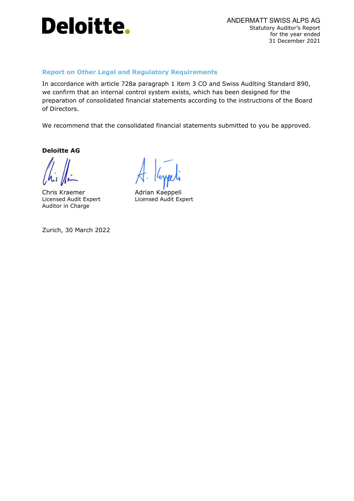

## **Report on Other Legal and Regulatory Requirements**

In accordance with article 728a paragraph 1 item 3 CO and Swiss Auditing Standard 890, we confirm that an internal control system exists, which has been designed for the preparation of consolidated financial statements according to the instructions of the Board of Directors.

We recommend that the consolidated financial statements submitted to you be approved.

**Deloitte AG** 

Licensed Audit Expert Auditor in Charge

Chris Kraemer<br>
Licensed Audit Expert
Licensed Audit Expert
Licensed Audit Expert

Zurich, 30 March 2022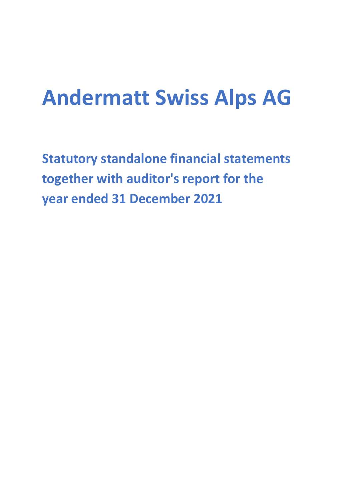Statutory standalone financial statements together with auditor's report for the year ended 31 December 2021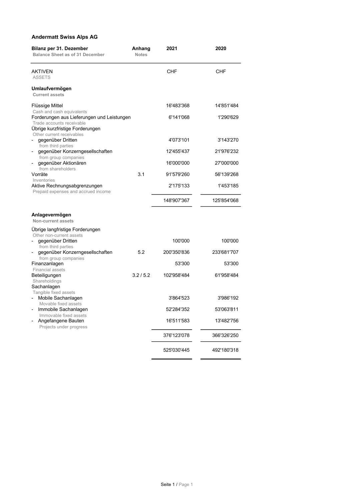| Bilanz per 31. Dezember<br>Balance Sheet as of 31 December                                | Anhang<br><b>Notes</b> | 2021        | 2020        |
|-------------------------------------------------------------------------------------------|------------------------|-------------|-------------|
| <b>AKTIVEN</b><br><b>ASSETS</b>                                                           |                        | <b>CHF</b>  | <b>CHF</b>  |
| Umlaufvermögen<br><b>Current assets</b>                                                   |                        |             |             |
| Flüssige Mittel                                                                           |                        | 16'483'368  | 14'851'484  |
| Cash and cash equivalents<br>Forderungen aus Lieferungen und Leistungen                   |                        | 6'141'068   | 1'290'629   |
| Trade accounts receivable<br>Übrige kurzfristige Forderungen<br>Other current receivables |                        |             |             |
| gegenüber Dritten<br>from third parties                                                   |                        | 4'073'101   | 3'143'270   |
| gegenüber Konzerngesellschaften                                                           |                        | 12'455'437  | 21'976'232  |
| from group companies<br>gegenüber Aktionären                                              |                        | 16'000'000  | 27'000'000  |
| from shareholders<br>Vorräte                                                              | 3.1                    | 91'579'260  | 56'139'268  |
| Inventories<br>Aktive Rechnungsabgrenzungen<br>Prepaid expenses and accrued income        |                        | 2'175'133   | 1'453'185   |
|                                                                                           |                        | 148'907'367 | 125'854'068 |
| Anlagevermögen<br><b>Non-current assets</b>                                               |                        |             |             |
| Übrige langfristige Forderungen<br>Other non-current assets                               |                        |             |             |
| gegenüber Dritten                                                                         |                        | 100'000     | 100'000     |
| from third parties<br>gegenüber Konzerngesellschaften                                     | 5.2                    | 200'350'836 | 233'681'707 |
| from group companies<br>Finanzanlagen                                                     |                        | 53'300      | 53'300      |
| <b>Financial assets</b><br>Beteiligungen                                                  | 3.2/5.2                | 102'958'484 | 61'958'484  |
| Shareholdings<br>Sachanlagen                                                              |                        |             |             |
| Tangible fixed assets<br>Mobile Sachanlagen                                               |                        | 3'864'523   | 3'986'192   |
| Movable fixed assets<br>Immobile Sachanlagen                                              |                        | 52'284'352  | 53'063'811  |
| Immovable fixed assets<br>Angefangene Bauten<br>Projects under progress                   |                        | 16'511'583  | 13'482'756  |
|                                                                                           |                        | 376'123'078 | 366'326'250 |
|                                                                                           |                        | 525'030'445 | 492'180'318 |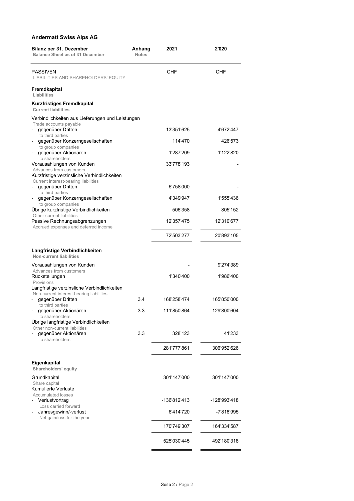| Bilanz per 31. Dezember<br>Anhang<br><b>Balance Sheet as of 31 December</b><br><b>Notes</b> |     | 2021         | 2'020        |  |
|---------------------------------------------------------------------------------------------|-----|--------------|--------------|--|
| <b>PASSIVEN</b><br>LIABILITIES AND SHAREHOLDERS' EQUITY                                     |     | CHF          | CHF          |  |
| Fremdkapital<br>Liabilities                                                                 |     |              |              |  |
| <b>Kurzfristiges Fremdkapital</b><br><b>Current liabilities</b>                             |     |              |              |  |
| Verbindlichkeiten aus Lieferungen und Leistungen                                            |     |              |              |  |
| Trade accounts payable<br>- gegenüber Dritten                                               |     | 13'351'625   | 4'672'447    |  |
| to third parties<br>gegenüber Konzerngesellschaften                                         |     | 114'470      | 426'573      |  |
| to group companies                                                                          |     |              |              |  |
| gegenüber Aktionären<br>to shareholders                                                     |     | 1'287'209    | 1'122'820    |  |
| Vorausahlungen von Kunden<br>Advances from customers                                        |     | 33'778'193   |              |  |
| Kurzfristige verzinsliche Verbindlichkeiten                                                 |     |              |              |  |
| Current interest-bearing liabilities<br>gegenüber Dritten<br>- 1                            |     | 6'758'000    |              |  |
| to third parties<br>gegenüber Konzerngesellschaften                                         |     | 4'349'947    | 1'555'436    |  |
| to group companies                                                                          |     |              |              |  |
| Übrige kurzfristige Verbindlichkeiten<br>Other current liabilities                          |     | 506'358      | 805'152      |  |
| Passive Rechnungsabgrenzungen<br>Accrued expenses and deferred income                       |     | 12'357'475   | 12'310'677   |  |
|                                                                                             |     | 72'503'277   | 20'893'105   |  |
| Langfristige Verbindlichkeiten<br><b>Non-current liabilities</b>                            |     |              |              |  |
| Vorausahlungen von Kunden                                                                   |     |              | 9'274'389    |  |
| Advances from customers<br>Rückstellungen                                                   |     | 1'340'400    | 1'986'400    |  |
| Provisions<br>Langfristige verzinsliche Verbindlichkeiten                                   |     |              |              |  |
| Non-current interest-bearing liabilities                                                    |     |              |              |  |
| gegenüber Dritten<br>to third parties                                                       | 3.4 | 168'258'474  | 165'850'000  |  |
| gegenüber Aktionären<br>to shareholders                                                     | 3.3 | 111'850'864  | 129'800'604  |  |
| Übrige langfristige Verbindlichkeiten                                                       |     |              |              |  |
| Other non-current liabilities<br>gegenüber Aktionären<br>to shareholders                    | 3.3 | 328'123      | 41'233       |  |
|                                                                                             |     | 281'777'861  | 306'952'626  |  |
| Eigenkapital<br>Shareholders' equity                                                        |     |              |              |  |
| Grundkapital                                                                                |     | 301'147'000  | 301'147'000  |  |
| Share capital<br>Kumulierte Verluste                                                        |     |              |              |  |
| <b>Accumulated losses</b>                                                                   |     |              |              |  |
| - Verlustvortrag<br>Loss carried forward                                                    |     | -136'812'413 | -128'993'418 |  |
| Jahresgewinn/-verlust<br>Net gain/loss for the year                                         |     | 6'414'720    | -7'818'995   |  |
|                                                                                             |     | 170'749'307  | 164'334'587  |  |
|                                                                                             |     | 525'030'445  | 492'180'318  |  |
|                                                                                             |     |              |              |  |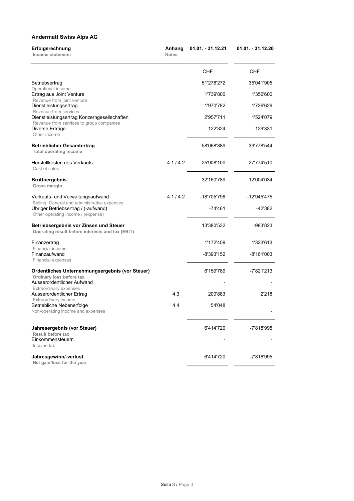| Erfolgsrechnung<br>Income statement                                                                                       | Anhang<br><b>Notes</b> | 01.01. - 31.12.21 | 01.01. - 31.12.20 |
|---------------------------------------------------------------------------------------------------------------------------|------------------------|-------------------|-------------------|
|                                                                                                                           |                        | <b>CHF</b>        | <b>CHF</b>        |
| Betriebsertrag                                                                                                            |                        | 51'278'272        | 35'041'905        |
| Operational income<br>Ertrag aus Joint Venture                                                                            |                        | 1'739'800         | 1'356'600         |
| Revenue from joint venture<br>Dienstleistungsertrag                                                                       |                        | 1'970'782         | 1'726'629         |
| Revenue from services<br>Dienstleistungsertrag Konzerngesellschaften                                                      |                        | 2'957'711         | 1'524'079         |
| Revenue from services to group companies<br>Diverse Erträge<br>Other income                                               |                        | 122'324           | 129'331           |
| <b>Betrieblicher Gesamtertrag</b><br><b>Total operating income</b>                                                        |                        | 58'068'889        | 39'778'544        |
| Herstellkosten des Verkaufs<br>Cost of sales                                                                              | 4.1/4.2                | -25'908'100       | -27'774'510       |
| <b>Bruttoergebnis</b><br>Gross margin                                                                                     |                        | 32'160'789        | 12'004'034        |
| Verkaufs- und Verwaltungsaufwand                                                                                          | 4.1/4.2                | -18'705'796       | -12'945'475       |
| Selling, General and administrative expenses<br>Übriger Betriebsertrag / (-aufwand)<br>Other operating income / (expense) |                        | -74'461           | -42'382           |
| Betriebsergebnis vor Zinsen und Steuer<br>Operating result before interests and tax (EBIT)                                |                        | 13'380'532        | -983'823          |
| Finanzertrag                                                                                                              |                        | 1'172'409         | 1'323'613         |
| Financial income<br>Finanzaufwand<br><b>Financial expenses</b>                                                            |                        | -8'393'152        | -8'161'003        |
| Ordentliches Unternehmungsergebnis (vor Steuer)<br>Ordinary loss before tax                                               |                        | 6'159'789         | -7'821'213        |
| Ausserordentlicher Aufwand<br>Extraordinary expenses                                                                      |                        |                   |                   |
| Ausserordentlicher Ertrag<br>Extraordinary income                                                                         | 4.3                    | 200'883           | 2'218             |
| Betriebliche Nebenerfolge<br>Non-operating income and expenses                                                            | 4.4                    | 54'048            |                   |
| Jahresergebnis (vor Steuer)<br><b>Result before tax</b>                                                                   |                        | 6'414'720         | -7'818'995        |
| Einkommensteuern<br>Income tax                                                                                            |                        |                   |                   |
| Jahresgewinn/-verlust<br>Net gain/loss for the year                                                                       |                        | 6'414'720         | -7'818'995        |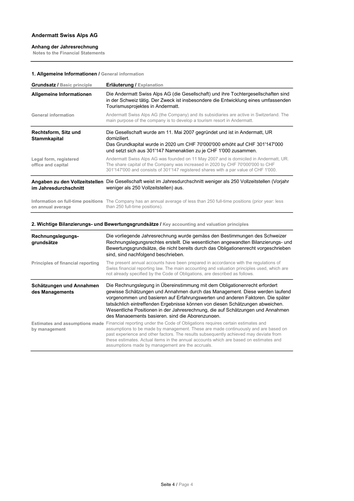#### Anhang der Jahresrechnung

Notes to the Financial Statements

## 1. Allgemeine Informationen / General information

| <b>Grundsatz / Basic principle</b>           | Erläuterung / Explanation                                                                                                                                                                                                                                                                                                                                                                                                                                          |
|----------------------------------------------|--------------------------------------------------------------------------------------------------------------------------------------------------------------------------------------------------------------------------------------------------------------------------------------------------------------------------------------------------------------------------------------------------------------------------------------------------------------------|
| <b>Allgemeine Informationen</b>              | Die Andermatt Swiss Alps AG (die Gesellschaft) und ihre Tochtergesellschaften sind<br>in der Schweiz tätig. Der Zweck ist insbesondere die Entwicklung eines umfassenden<br>Tourismusprojektes in Andermatt.                                                                                                                                                                                                                                                       |
| <b>General information</b>                   | Andermatt Swiss Alps AG (the Company) and its subsidiaries are active in Switzerland. The<br>main purpose of the company is to develop a tourism resort in Andermatt.                                                                                                                                                                                                                                                                                              |
| Rechtsform, Sitz und<br><b>Stammkapital</b>  | Die Gesellschaft wurde am 11. Mai 2007 gegründet und ist in Andermatt, UR<br>domiziliert.<br>Das Grundkapital wurde in 2020 um CHF 70'000'000 erhöht auf CHF 301'147'000<br>und setzt sich aus 301'147 Namenaktien zu je CHF 1'000 zusammen.                                                                                                                                                                                                                       |
| Legal form, registered<br>office and capital | Andermatt Swiss Alps AG was founded on 11 May 2007 and is domiciled in Andermatt, UR.<br>The share capital of the Company was increased in 2020 by CHF 70'000'000 to CHF<br>301'147'000 and consists of 301'147 registered shares with a par value of CHF 1'000.                                                                                                                                                                                                   |
| im Jahresdurchschnitt                        | Angaben zu den Vollzeitstellen Die Gesellschaft weist im Jahresdurchschnitt weniger als 250 Vollzeitstellen (Vorjahr<br>weniger als 250 Vollzeitstellen) aus.                                                                                                                                                                                                                                                                                                      |
| on annual average                            | Information on full-time positions The Company has an annual average of less than 250 full-time positions (prior year: less<br>than 250 full-time positions).                                                                                                                                                                                                                                                                                                      |
|                                              | 2. Wichtige Bilanzierungs- und Bewertungsgrundsätze / Key accounting and valuation principles                                                                                                                                                                                                                                                                                                                                                                      |
| Rechnungslegungs-<br>grundsätze              | Die vorliegende Jahresrechnung wurde gemäss den Bestimmungen des Schweizer<br>Rechnungslegungsrechtes erstellt. Die wesentlichen angewandten Bilanzierungs- und<br>Bewertungsgrundsätze, die nicht bereits durch das Obligationenrecht vorgeschrieben<br>sind, sind nachfolgend beschrieben.                                                                                                                                                                       |
| Principles of financial reporting            | The present annual accounts have been prepared in accordance with the regulations of<br>Swiss financial reporting law. The main accounting and valuation principles used, which are<br>not already specified by the Code of Obligations, are described as follows.                                                                                                                                                                                                 |
| Schätzungen und Annahmen<br>des Managements  | Die Rechnungslegung in Übereinstimmung mit dem Obligationenrecht erfordert<br>gewisse Schätzungen und Annahmen durch das Management. Diese werden laufend<br>vorgenommen und basieren auf Erfahrungswerten und anderen Faktoren. Die später<br>tatsächlich eintreffenden Ergebnisse können von diesen Schätzungen abweichen.<br>Wesentliche Positionen in der Jahresrechnung, die auf Schätzungen und Annahmen<br>des Managements basieren, sind die Abgrenzungen. |
| by management                                | Estimates and assumptions made Financial reporting under the Code of Obligations requires certain estimates and<br>assumptions to be made by management. These are made continuously and are based on<br>past experience and other factors. The results subsequently achieved may deviate from<br>these estimates. Actual items in the annual accounts which are based on estimates and<br>assumptions made by management are the accruals.                        |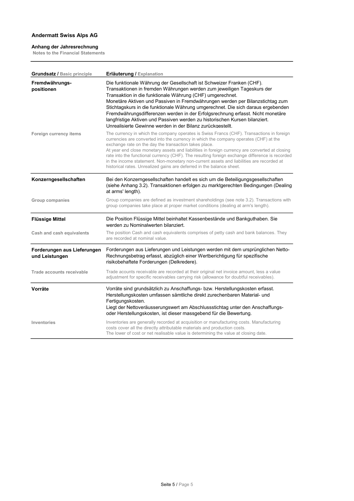#### Anhang der Jahresrechnung

Notes to the Financial Statements

| <b>Grundsatz / Basic principle</b>            | Erläuterung / Explanation                                                                                                                                                                                                                                                                                                                                                                                                                                                                                                                                                                                            |
|-----------------------------------------------|----------------------------------------------------------------------------------------------------------------------------------------------------------------------------------------------------------------------------------------------------------------------------------------------------------------------------------------------------------------------------------------------------------------------------------------------------------------------------------------------------------------------------------------------------------------------------------------------------------------------|
| Fremdwährungs-<br>positionen                  | Die funktionale Währung der Gesellschaft ist Schweizer Franken (CHF).<br>Transaktionen in fremden Währungen werden zum jeweiligen Tageskurs der<br>Transaktion in die funktionale Währung (CHF) umgerechnet.<br>Monetäre Aktiven und Passiven in Fremdwährungen werden per Bilanzstichtag zum<br>Stichtagskurs in die funktionale Währung umgerechnet. Die sich daraus ergebenden<br>Fremdwährungsdifferenzen werden in der Erfolgsrechnung erfasst. Nicht monetäre<br>langfristige Aktiven und Passiven werden zu historischen Kursen bilanziert.<br>Unrealisierte Gewinne werden in der Bilanz zurückgestellt.     |
| Foreign currency items                        | The currency in which the company operates is Swiss Francs (CHF). Transactions in foreign<br>currencies are converted into the currency in which the company operates (CHF) at the<br>exchange rate on the day the transaction takes place.<br>At year end close monetary assets and liabilities in foreign currency are converted at closing<br>rate into the functional currency (CHF). The resulting foreign exchange difference is recorded<br>in the income statement. Non-monetary non-current assets and liabilities are recorded at<br>historical rates. Unrealized gains are deferred in the balance sheet. |
| Konzerngesellschaften                         | Bei den Konzerngesellschaften handelt es sich um die Beteiligungsgesellschaften<br>(siehe Anhang 3.2). Transaktionen erfolgen zu marktgerechten Bedingungen (Dealing<br>at arms' length).                                                                                                                                                                                                                                                                                                                                                                                                                            |
| <b>Group companies</b>                        | Group companies are defined as investment shareholdings (see note 3.2). Transactions with<br>group companies take place at proper market conditions (dealing at arm's length).                                                                                                                                                                                                                                                                                                                                                                                                                                       |
| <b>Flüssige Mittel</b>                        | Die Position Flüssige Mittel beinhaltet Kassenbestände und Bankguthaben. Sie<br>werden zu Nominalwerten bilanziert.                                                                                                                                                                                                                                                                                                                                                                                                                                                                                                  |
| Cash and cash equivalents                     | The position Cash and cash equivalents comprises of petty cash and bank balances. They<br>are recorded at nominal value.                                                                                                                                                                                                                                                                                                                                                                                                                                                                                             |
| Forderungen aus Lieferungen<br>und Leistungen | Forderungen aus Lieferungen und Leistungen werden mit dem ursprünglichen Netto-<br>Rechnungsbetrag erfasst, abzüglich einer Wertberichtigung für spezifische<br>risikobehaftete Forderungen (Delkredere).                                                                                                                                                                                                                                                                                                                                                                                                            |
| Trade accounts receivable                     | Trade acounts receivable are recorded at their original net invoice amount, less a value<br>adjustment for specific receivables carrying risk (allowance for doubtful receivables).                                                                                                                                                                                                                                                                                                                                                                                                                                  |
| Vorräte                                       | Vorräte sind grundsätzlich zu Anschaffungs- bzw. Herstellungskosten erfasst.<br>Herstellungskosten umfassen sämtliche direkt zurechenbaren Material- und<br>Fertigungskosten.<br>Liegt der Nettoveräusserungswert am Abschlussstichtag unter den Anschaffungs-<br>oder Herstellungskosten, ist dieser massgebend für die Bewertung.                                                                                                                                                                                                                                                                                  |
| Inventories                                   | Inventories are generally recorded at acquisition or manufacturing costs. Manufacturing<br>costs cover all the directly attributable materials and production costs.<br>The lower of cost or net realisable value is determining the value at closing date.                                                                                                                                                                                                                                                                                                                                                          |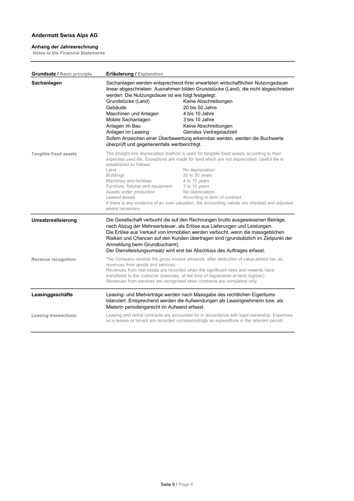#### Anhang der Jahresrechnung

Notes to the Financial Statements

| <b>Grundsatz / Basic principle</b>        | Erläuterung / Explanation                                                                                                                                                                                                   |                                                                                                                                                                                                                                                                                                                                                                                                                                                                                                         |
|-------------------------------------------|-----------------------------------------------------------------------------------------------------------------------------------------------------------------------------------------------------------------------------|---------------------------------------------------------------------------------------------------------------------------------------------------------------------------------------------------------------------------------------------------------------------------------------------------------------------------------------------------------------------------------------------------------------------------------------------------------------------------------------------------------|
| Sachanlagen                               | werden. Die Nutzungsdauer ist wie folgt festgelegt:<br>Grundstücke (Land)<br>Gebäude<br>Maschinen und Anlagen<br>Mobile Sachanlagen<br>Anlagen im Bau<br>Anlagen im Leasing<br>überprüft und gegebenenfalls wertberichtigt. | Sachanlagen werden entsprechend ihrer erwarteten wirtschaftlichen Nutzungsdauer<br>linear abgeschrieben. Ausnahmen bilden Grundstücke (Land), die nicht abgeschrieben<br>Keine Abschreibungen<br>20 bis 50 Jahre<br>4 bis 10 Jahre<br>3 bis 10 Jahre<br>Keine Abschreibungen<br>Gemäss Vertragslaufzeit<br>Sofern Anzeichen einer Überbewertung erkennbar werden, werden die Buchwerte                                                                                                                  |
| <b>Tangible fixed assets</b>              | established as follows:<br>Land<br><b>Buildings</b><br>Machines and facilities<br>Furniture, fixtures and equipment<br>Assets under production<br>Leased assets<br>where necessary.                                         | The straight-line depreciation method is used for tangible fixed assets according to their<br>expected used life. Exceptions are made for land which are not depreciated. Useful life is<br>No depreciation<br>20 to 50 years<br>4 to 10 years<br>3 to 10 years<br>No depreciation<br>According to term of contract<br>If there is any evidence of an over-valuation, the accounting values are checked and adjusted                                                                                    |
| Umsatzrealisierung<br>Revenue recognition | Anmeldung beim Grundbuchamt).<br>revenues from goods and services.                                                                                                                                                          | Die Gesellschaft verbucht die auf den Rechnungen brutto ausgewiesenen Beträge,<br>nach Abzug der Mehrwertsteuer, als Erlöse aus Lieferungen und Leistungen.<br>Die Erlöse aus Verkauf von Immobilien werden verbucht, wenn die massgeblichen<br>Risiken und Chancen auf den Kunden übertragen sind (grundsätzlich im Zeitpunkt der<br>Der Dienstleistungsumsatz wird erst bei Abschluss des Auftrages erfasst.<br>The Company records the gross invoice amounts, after deduction of value-added tax, as |
|                                           |                                                                                                                                                                                                                             | Revenues from real estate are recorded when the significant risks and rewards have<br>transfered to the customer (basically, at the time of registration at land register).<br>Revenues from services are recognised when contracts are completed only.                                                                                                                                                                                                                                                 |
| Leasinggeschäfte                          | Mieterin periodengerecht im Aufwand erfasst.                                                                                                                                                                                | Leasing- und Mietverträge werden nach Massgabe des rechtlichen Eigentums<br>bilanziert. Entsprechend werden die Aufwendungen als Leasingnehmerin bzw. als                                                                                                                                                                                                                                                                                                                                               |
| <b>Leasing transactions</b>               |                                                                                                                                                                                                                             | Leasing and rental contracts are accounted for in accordance with legal ownership. Expenses<br>as a lessee or tenant are recorded correspondingly as expenditure in the relevant period.                                                                                                                                                                                                                                                                                                                |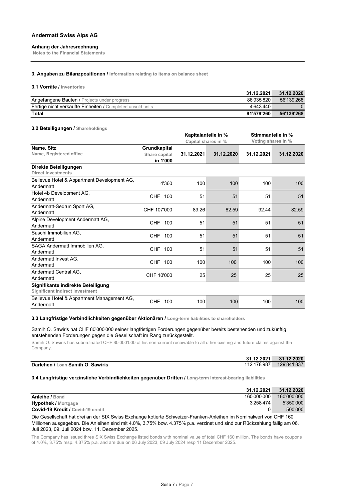#### Anhang der Jahresrechnung

Notes to the Financial Statements

#### 3. Angaben zu Bilanzpositionen / Information relating to items on balance sheet

#### 3.1 Vorräte / Inventories

| 31.12.2021                                                              | 31.12.2020 |
|-------------------------------------------------------------------------|------------|
| 86'935'820<br>Angefangene Bauten / Projects under progress              | 56'139'268 |
| 4'643'440<br>Fertige nicht verkaufte Einheiten / Completed unsold units |            |
| Total<br>91'579'260                                                     | 56'139'268 |

#### 3.2 Beteiligungen / Shareholdings

|                                                                              |                   |            | Kapitalanteile in %<br>Capital shares in % |            | Stimmanteile in %<br>Voting shares in % |  |
|------------------------------------------------------------------------------|-------------------|------------|--------------------------------------------|------------|-----------------------------------------|--|
| Name, Sitz                                                                   | Grundkapital      |            |                                            |            |                                         |  |
| Name, Registered office                                                      | Share capital     | 31.12.2021 | 31.12.2020                                 | 31.12.2021 | 31.12.2020                              |  |
|                                                                              | in 1'000          |            |                                            |            |                                         |  |
| Direkte Beteiligungen                                                        |                   |            |                                            |            |                                         |  |
| <b>Direct investments</b>                                                    |                   |            |                                            |            |                                         |  |
| Bellevue Hotel & Appartment Development AG,<br>Andermatt                     | 4'360             | 100        | 100                                        | 100        | 100                                     |  |
| Hotel 4b Development AG,<br>Andermatt                                        | <b>CHF</b><br>100 | 51         | 51                                         | 51         | 51                                      |  |
| Andermatt-Sedrun Sport AG,<br>Andermatt                                      | CHF 107'000       | 89.26      | 82.59                                      | 92.44      | 82.59                                   |  |
| Alpine Development Andermatt AG,<br>Andermatt                                | <b>CHF</b><br>100 | 51         | 51                                         | 51         | 51                                      |  |
| Saschi Immobilien AG,<br>Andermatt                                           | 100<br><b>CHF</b> | 51         | 51                                         | 51         | 51                                      |  |
| SAGA Andermatt Immobilien AG,<br>Andermatt                                   | <b>CHF</b><br>100 | 51         | 51                                         | 51         | 51                                      |  |
| Andermatt Invest AG,<br>Andermatt                                            | <b>CHF</b><br>100 | 100        | 100                                        | 100        | 100                                     |  |
| Andermatt Central AG,<br>Andermatt                                           | CHF 10'000        | 25         | 25                                         | 25         | 25                                      |  |
| Signifikante indirekte Beteiligung<br><b>Significant indirect investment</b> |                   |            |                                            |            |                                         |  |
| Bellevue Hotel & Appartment Management AG,<br>Andermatt                      | <b>CHF</b><br>100 | 100        | 100                                        | 100        | 100                                     |  |

#### 3.3 Langfristige Verbindlichkeiten gegenüber Aktionären / Long-term liabilities to shareholders

#### Samih O. Sawiris hat CHF 80'000'000 seiner langfristigen Forderungen gegenüber bereits bestehenden und zukünftig entstehenden Forderungen gegen die Gesellschaft im Rang zurückgestellt.

Samih O. Sawiris has subordinated CHF 80'000'000 of his non-current receivable to all other existing and future claims against the Company.

|                                  | 31.12.2021 31.12.2020   |
|----------------------------------|-------------------------|
| Darlehen / Loan Samih O. Sawiris | 112'178'987 129'841'837 |

#### 3.4 Langfristige verzinsliche Verbindlichkeiten gegenüber Dritten / Long-term interest-bearing liabilities

|                                                                                                                    | 31.12.2021  | 31.12.2020  |
|--------------------------------------------------------------------------------------------------------------------|-------------|-------------|
| <b>Anleihe / Bond</b>                                                                                              | 160'000'000 | 160'000'000 |
| <b>Hypothek / Mortgage</b>                                                                                         | 3'258'474   | 5'350'000   |
| <b>Covid-19 Kredit / Covid-19 credit</b>                                                                           |             | 500'000     |
| Die Gesellschaft hat drei an der SIX Swiss Exchange kotierte Schweizer-Franken-Anleihen im Nominalwert von CHF 160 |             |             |

Millionen ausgegeben. Die Anleihen sind mit 4.0%, 3.75% bzw. 4.375% p.a. verzinst und sind zur Rückzahlung fällig am 06. Juli 2023, 09. Juli 2024 bzw. 11. Dezember 2025.

The Company has issued three SIX Swiss Exchange listed bonds with nominal value of total CHF 160 million. The bonds have coupons of 4.0%, 3.75% resp. 4.375% p.a. and are due on 06 July 2023, 09 July 2024 resp 11 December 2025.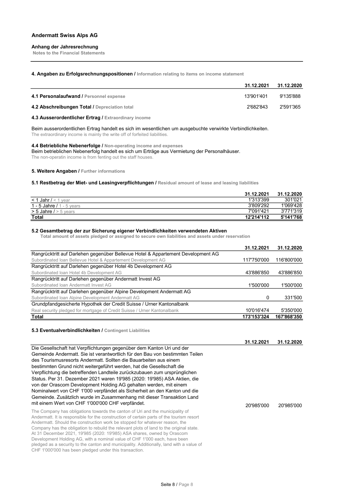#### Anhang der Jahresrechnung

Notes to the Financial Statements

4. Angaben zu Erfolgsrechnungspositionen / Information relating to items on income statement

|                                               | 31.12.2021 | 31.12.2020 |
|-----------------------------------------------|------------|------------|
| 4.1 Personalaufwand / Personnel expense       | 13'901'401 | 9'135'888  |
| 4.2 Abschreibungen Total / Depreciation total | 2'682'843  | 2'591'365  |

4.3 Ausserordentlicher Ertrag / Extraordinary income

The extraordinary income is mainly the write off of forfeited liabilities. Beim ausserordentlichen Ertrag handelt es sich im wesentlichen um ausgebuchte verwirkte Verbindlichkeiten.

### 4.4 Betriebliche Nebenerfolge / Non-operating income and expenses

The non-operatin income is from fenting out the staff houses. Beim betrieblichen Nebenerfolg handelt es sich um Erträge aus Vermietung der Personalhäuser.

#### **5. Weitere Angaben / Further informations**

5.1 Restbetrag der Miet- und Leasingverpflichtungen / Residual amount of lease and leasing liabilities

|                                         | 31.12.2021 | 31.12.2020 |
|-----------------------------------------|------------|------------|
| Jahr ≀<br>$\leq 1$<br>vear              | 1'313'399  | 301'021    |
| 1 - 5 Jahre $\overline{I}$<br>- 5 vears | 3'809'292  | 1'069'428  |
| $> 5$ Jahre $/$ > 5 years               | 7'091'421  | 3'771'319  |
| <b>Total</b>                            | 12'214'112 | 5'141'768  |

## 5.2 Gesamtbetrag der zur Sicherung eigener Verbindlichkeiten verwendeten Aktiven

Total amount of assets pledged or assigned to secure own liabilities and assets under reservation

|                                                                                  | 31.12.2021  | 31.12.2020  |
|----------------------------------------------------------------------------------|-------------|-------------|
| Rangrücktritt auf Darlehen gegenüber Bellevue Hotel & Appartement Development AG |             |             |
| Subordinated Ioan Bellevue Hotel & Appartement Development AG                    | 117'750'000 | 116'800'000 |
| Rangrücktritt auf Darlehen gegenüber Hotel 4b Development AG                     |             |             |
| Subordinated Ioan Hotel 4b Development AG                                        | 43'886'850  | 43'886'850  |
| Rangrücktritt auf Darlehen gegenüber Andermatt Invest AG                         |             |             |
| Subordinated Ioan Andermatt Invest AG                                            | 1'500'000   | 1'500'000   |
| Rangrücktritt auf Darlehen gegenüber Alpine Development Andermatt AG             |             |             |
| Subordinated Ioan Alpine Development Andermatt AG                                | 0           | 331'500     |
| Grundpfandgesicherte Hypothek der Credit Suisse / Urner Kantonalbank             |             |             |
| Real security pledged for mortgage of Credit Suisse / Urner Kantonalbank         | 10'016'474  | 5'350'000   |
| Total                                                                            | 173'153'324 | 167'868'350 |
|                                                                                  |             |             |

#### 5.3 Eventualverbindlichkeiten / Contingent Liabilities

CHF 1'000'000 has been pledged under this transaction.

|                                                                                          | 31.12.2021 | 31.12.2020 |
|------------------------------------------------------------------------------------------|------------|------------|
| Die Gesellschaft hat Verpflichtungen gegenüber dem Kanton Uri und der                    |            |            |
| Gemeinde Andermatt. Sie ist verantwortlich für den Bau von bestimmten Teilen             |            |            |
| des Tourismusresorts Andermatt. Sollten die Bauarbeiten aus einem                        |            |            |
| bestimmten Grund nicht weitergeführt werden, hat die Gesellschaft die                    |            |            |
| Verpflichtung die betreffenden Landteile zurückzubauen zum ursprünglichen                |            |            |
| Status. Per 31. Dezember 2021 waren 19'985 (2020: 19'985) ASA Aktien, die                |            |            |
| von der Orascom Development Holding AG gehalten werden, mit einem                        |            |            |
| Nominalwert von CHF 1'000 verpfändet als Sicherheit an den Kanton und die                |            |            |
| Gemeinde. Zusätzlich wurde im Zusammenhang mit dieser Transaktion Land                   |            |            |
| mit einem Wert von CHF 1'000'000 CHF verpfändet.                                         | 20'985'000 | 20'985'000 |
| The Company has obligations towards the canton of Uri and the municipality of            |            |            |
| Andermatt. It is responsible for the construction of certain parts of the tourism resort |            |            |
| Andermatt. Should the construction work be stopped for whatever reason, the              |            |            |
| Company has the obligation to rebuild the relevant plots of land to the original state.  |            |            |
| At 31 December 2021, 19'985 (2020: 19'985) ASA shares, owned by Orascom                  |            |            |
| Development Holding AG, with a nominal value of CHF 1'000 each, have been                |            |            |
| pledged as a security to the canton and municipality. Additionally, land with a value of |            |            |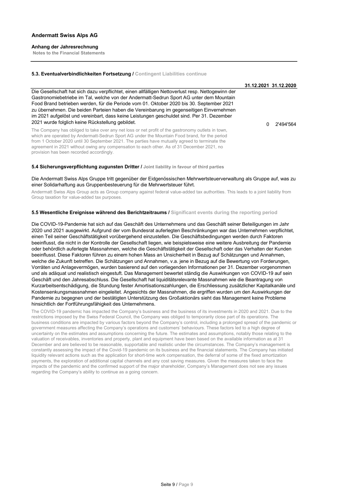#### Anhang der Jahresrechnung

Notes to the Financial Statements

#### 5.3. Eventualverbindlichkeiten Fortsetzung / Contingent Liabilities continue

|                                                                                                                                                                                                                                                                                                                                                                                                                                                                                                                                      | 31.12.2021 31.12.2020 |           |
|--------------------------------------------------------------------------------------------------------------------------------------------------------------------------------------------------------------------------------------------------------------------------------------------------------------------------------------------------------------------------------------------------------------------------------------------------------------------------------------------------------------------------------------|-----------------------|-----------|
| Die Gesellschaft hat sich dazu verpflichtet, einen allfälligen Nettoverlust resp. Nettogewinn der<br>Gastronomiebetriebe im Tal, welche von der Andermatt-Sedrun Sport AG unter dem Mountain<br>Food Brand betrieben werden, für die Periode vom 01. Oktober 2020 bis 30. September 2021<br>zu übernehmen. Die beiden Parteien haben die Vereinbarung im gegenseitigen Einvernehmen<br>im 2021 aufgelöst und vereinbart, dass keine Leistungen geschuldet sind. Per 31. Dezember<br>2021 wurde folglich keine Rückstellung gebildet. |                       | 2'494'564 |
| The Company has obliged to take over any net loss or net profit of the gastronomy outlets in town,<br>which are operated by Andermatt-Sedrun Sport AG under the Mountain Food brand, for the period<br>from 1 October 2020 until 30 September 2021. The parties have mutually agreed to terminate the<br>agreement in 2021 without owing any compensation to each other. As of 31 December 2021, no<br>provision has been recorded accordingly.                                                                                      |                       |           |

#### 5.4 Sicherungsverpflichtung zugunsten Dritter / Joint liability in favour of third parties

Die Andermatt Swiss Alps Gruppe tritt gegenüber der Eidgenössischen Mehrwertsteuerverwaltung als Gruppe auf, was zu einer Solidarhaftung aus Gruppenbesteuerung für die Mehrwertsteuer führt.

Andermatt Swiss Alps Group acts as Group company against federal value-added tax authorities. This leads to a joint liability from Group taxation for value-added tax purposes.

#### 5.5 Wesentliche Ereignisse während des Berichtzeitraums / Significant events during the reporting period

Die COVID-19-Pandemie hat sich auf das Geschäft des Unternehmens und das Geschäft seiner Beteiligungen im Jahr 2020 und 2021 ausgewirkt. Aufgrund der vom Bundesrat auferlegten Beschränkungen war das Unternehmen verpflichtet, einen Teil seiner Geschäftstätigkeit vorübergehend einzustellen. Die Geschäftsbedingungen werden durch Faktoren beeinflusst, die nicht in der Kontrolle der Gesellschaft liegen, wie beispielsweise eine weitere Ausbreitung der Pandemie oder behördlich auferlegte Massnahmen, welche die Geschäftstätigkeit der Gesellschaft oder das Verhalten der Kunden beeinflusst. Diese Faktoren führen zu einem hohen Mass an Unsicherheit in Bezug auf Schätzungen und Annahmen, welche die Zukunft betreffen. Die Schätzungen und Annahmen, v.a. jene in Bezug auf die Bewertung von Forderungen, Vorräten und Anlagevermögen, wurden basierend auf den vorliegenden Informationen per 31. Dezember vorgenommen und als adäquat und realistisch eingestuft. Das Management bewertet ständig die Auswirkungen von COVID-19 auf sein Geschäft und den Jahresabschluss. Die Gesellschaft hat liquiditätsrelevante Massnahmen wie die Beantragung von Kurzarbeitsentschädigung, die Stundung fester Amortisationszahlungen, die Erschliessung zusätzlicher Kapitalkanäle und Kostensenkungsmassnahmen eingeleitet. Angesichts der Massnahmen, die ergriffen wurden um den Auswirkungen der Pandemie zu begegnen und der bestätigten Unterstützung des Großaktionärs sieht das Management keine Probleme hinsichtlich der Fortführungsfähigkeit des Unternehmens.

The COVID-19 pandemic has impacted the Company's business and the business of its investments in 2020 and 2021. Due to the restrictions imposed by the Swiss Federal Council, the Company was obliged to temporarily close part of its operations. The business conditions are impacted by various factors beyond the Company's control, including a prolonged spread of the pandemic or government measures affecting the Company's operations and customers' behaviours. These factors led to a high degree of uncertainty on the estimates and assumptions concerning the future. The estimates and assumptions, notably those relating to the valuation of receivables, inventories and property, plant and equipment have been based on the available information as at 31 December and are believed to be reasonable, supportable and realistic under the circumstances. The Company's management is constantly assessing the impact of the Covid-19 pandemic on its business and the financial statements. The Company has initiated liquidity relevant actions such as the application for short-time work compensation, the deferral of some of the fixed amortization payments, the exploration of additional capital channels and any cost saving measures. Given the measures taken to face the impacts of the pandemic and the confirmed support of the major shareholder, Company's Management does not see any issues regarding the Company's ability to continue as a going concern.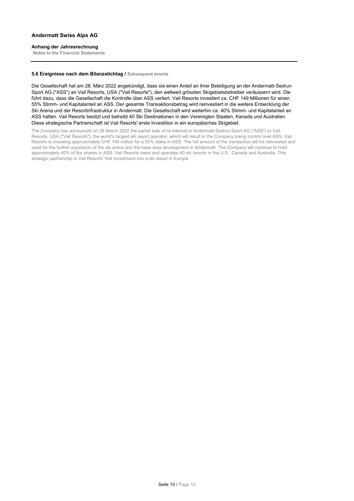#### Anhang der Jahresrechnung

Notes to the Financial Statements

#### 5.6 Ereignisse nach dem Bilanzstichtag / Subsequent events

Die Gesellschaft hat am 28. März 2022 angekündigt, dass sie einen Anteil an ihrer Beteiligung an der Andermatt-Sedrun Sport AG ("ASS") an Vail Resorts, USA ("Vail Resorts"), den weltweit grössten Skigebietsbetreiber veräussern wird. Die führt dazu, dass die Gesellschaft die Kontrolle über ASS verliert. Vail Resorts investiert ca. CHF 149 Millionen für einen 55% Stimm- und Kapitalanteil an ASS. Der gesamte Transaktionsbetrag wird reinvestiert in die weitere Entwicklung der Ski Arena und der Resortinfrastruktur in Andermatt. Die Gesellschaft wird weiterhin ca. 40% Stimm- und Kapitalanteil an ASS halten. Vail Resorts besitzt und betreibt 40 Ski Destinationen in den Vereinigten Staaten, Kanada und Australien. Diese strategische Partnerschaft ist Vail Resorts' erste Investition in ein europäisches Skigebiet.

The Company has announced on 28 March 2022 the partial sale of its interest in Andermatt-Sedrun Sport AG ("ASS") to Vail Resorts, USA ("Vail Resorts"), the world's largest ski resort operator, which will result in the Company losing control over ASS. Vail Resorts is investing approximately CHF 149 million for a 55% stake in ASS. The full amount of the transaction will be reinvested and used for the further expansion of the ski arena and the base area development in Andermatt. The Company will continue to hold approximately 40% of the shares in ASS. Vail Resorts owns and operates 40 ski resorts in the U.S., Canada and Australia. This strategic partnership is Vail Resorts' first investment into a ski resort in Europe.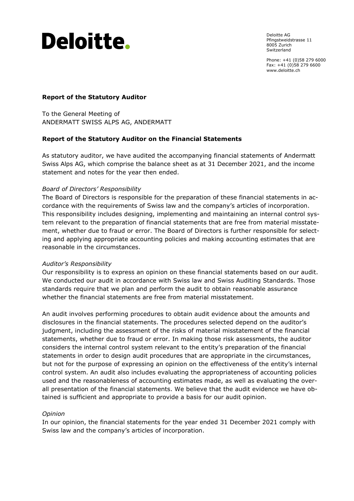Deloitte AG Pfingstweidstrasse 11 8005 Zurich Switzerland

Phone: +41 (0)58 279 6000 Fax: +41 (0)58 279 6600 www.deloitte.ch

## **Report of the Statutory Auditor**

To the General Meeting of ANDERMATT SWISS ALPS AG, ANDERMATT

## **Report of the Statutory Auditor on the Financial Statements**

As statutory auditor, we have audited the accompanying financial statements of Andermatt Swiss Alps AG, which comprise the balance sheet as at 31 December 2021, and the income statement and notes for the year then ended.

## *Board of Directors' Responsibility*

The Board of Directors is responsible for the preparation of these financial statements in accordance with the requirements of Swiss law and the company's articles of incorporation. This responsibility includes designing, implementing and maintaining an internal control system relevant to the preparation of financial statements that are free from material misstatement, whether due to fraud or error. The Board of Directors is further responsible for selecting and applying appropriate accounting policies and making accounting estimates that are reasonable in the circumstances.

## *Auditor's Responsibility*

Our responsibility is to express an opinion on these financial statements based on our audit. We conducted our audit in accordance with Swiss law and Swiss Auditing Standards. Those standards require that we plan and perform the audit to obtain reasonable assurance whether the financial statements are free from material misstatement.

An audit involves performing procedures to obtain audit evidence about the amounts and disclosures in the financial statements. The procedures selected depend on the auditor's judgment, including the assessment of the risks of material misstatement of the financial statements, whether due to fraud or error. In making those risk assessments, the auditor considers the internal control system relevant to the entity's preparation of the financial statements in order to design audit procedures that are appropriate in the circumstances, but not for the purpose of expressing an opinion on the effectiveness of the entity's internal control system. An audit also includes evaluating the appropriateness of accounting policies used and the reasonableness of accounting estimates made, as well as evaluating the overall presentation of the financial statements. We believe that the audit evidence we have obtained is sufficient and appropriate to provide a basis for our audit opinion.

## *Opinion*

In our opinion, the financial statements for the year ended 31 December 2021 comply with Swiss law and the company's articles of incorporation.